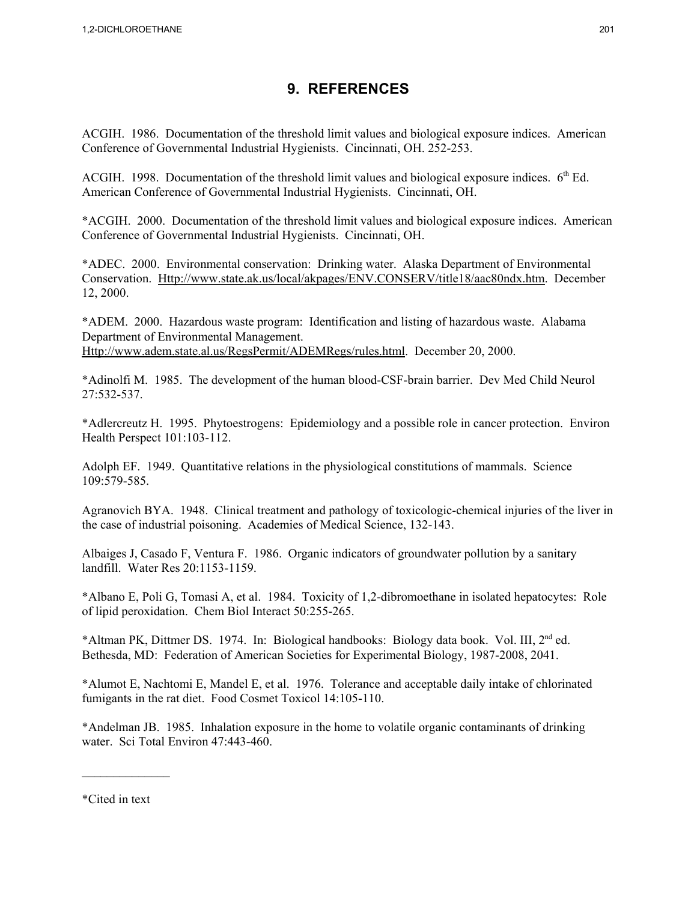## **9. REFERENCES**

ACGIH. 1986. Documentation of the threshold limit values and biological exposure indices. American Conference of Governmental Industrial Hygienists. Cincinnati, OH. 252-253.

ACGIH. 1998. Documentation of the threshold limit values and biological exposure indices.  $6<sup>th</sup>$  Ed. American Conference of Governmental Industrial Hygienists. Cincinnati, OH.

\*ACGIH. 2000. Documentation of the threshold limit values and biological exposure indices. American Conference of Governmental Industrial Hygienists. Cincinnati, OH.

\*ADEC. 2000. Environmental conservation: Drinking water. Alaska Department of Environmental Conservation. Http://www.state.ak.us/local/akpages/ENV.CONSERV/title18/aac80ndx.htm. December 12, 2000.

\*ADEM. 2000. Hazardous waste program: Identification and listing of hazardous waste. Alabama Department of Environmental Management. Http://www.adem.state.al.us/RegsPermit/ADEMRegs/rules.html. December 20, 2000.

\*Adinolfi M. 1985. The development of the human blood-CSF-brain barrier. Dev Med Child Neurol 27:532-537.

\*Adlercreutz H. 1995. Phytoestrogens: Epidemiology and a possible role in cancer protection. Environ Health Perspect 101:103-112.

Adolph EF. 1949. Quantitative relations in the physiological constitutions of mammals. Science 109:579-585.

Agranovich BYA. 1948. Clinical treatment and pathology of toxicologic-chemical injuries of the liver in the case of industrial poisoning. Academies of Medical Science, 132-143.

Albaiges J, Casado F, Ventura F. 1986. Organic indicators of groundwater pollution by a sanitary landfill. Water Res 20:1153-1159.

\*Albano E, Poli G, Tomasi A, et al. 1984. Toxicity of 1,2-dibromoethane in isolated hepatocytes: Role of lipid peroxidation. Chem Biol Interact 50:255-265.

\*Altman PK, Dittmer DS. 1974. In: Biological handbooks: Biology data book. Vol. III, 2nd ed. Bethesda, MD: Federation of American Societies for Experimental Biology, 1987-2008, 2041.

\*Alumot E, Nachtomi E, Mandel E, et al. 1976. Tolerance and acceptable daily intake of chlorinated fumigants in the rat diet. Food Cosmet Toxicol 14:105-110.

\*Andelman JB. 1985. Inhalation exposure in the home to volatile organic contaminants of drinking water. Sci Total Environ 47:443-460.

\*Cited in text

 $\mathcal{L}_\text{max}$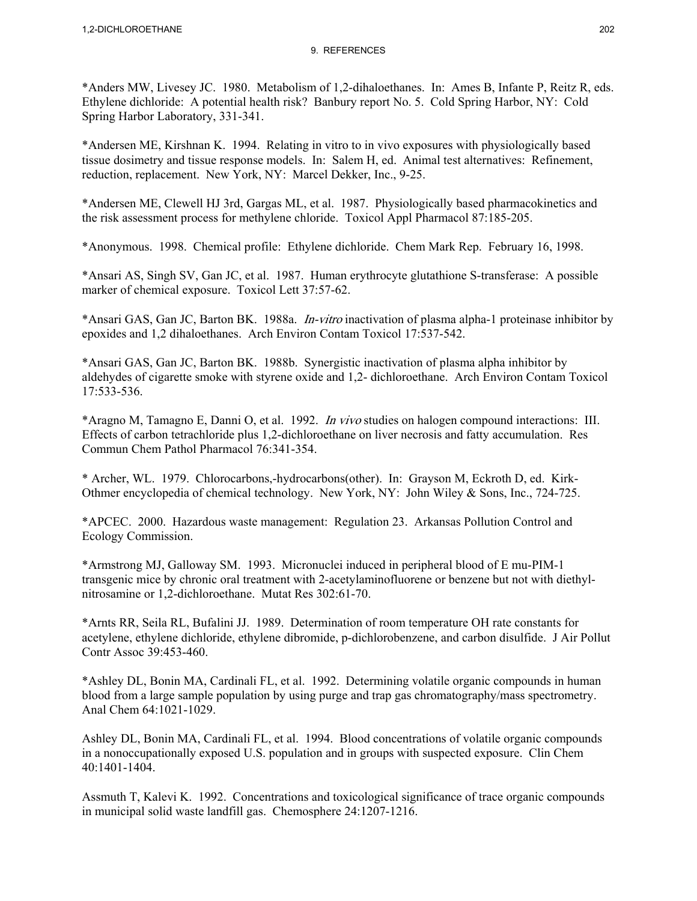\*Anders MW, Livesey JC. 1980. Metabolism of 1,2-dihaloethanes. In: Ames B, Infante P, Reitz R, eds. Ethylene dichloride: A potential health risk? Banbury report No. 5. Cold Spring Harbor, NY: Cold Spring Harbor Laboratory, 331-341.

\*Andersen ME, Kirshnan K. 1994. Relating in vitro to in vivo exposures with physiologically based tissue dosimetry and tissue response models. In: Salem H, ed. Animal test alternatives: Refinement, reduction, replacement. New York, NY: Marcel Dekker, Inc., 9-25.

\*Andersen ME, Clewell HJ 3rd, Gargas ML, et al. 1987. Physiologically based pharmacokinetics and the risk assessment process for methylene chloride. Toxicol Appl Pharmacol 87:185-205.

\*Anonymous. 1998. Chemical profile: Ethylene dichloride. Chem Mark Rep. February 16, 1998.

\*Ansari AS, Singh SV, Gan JC, et al. 1987. Human erythrocyte glutathione S-transferase: A possible marker of chemical exposure. Toxicol Lett 37:57-62.

\*Ansari GAS, Gan JC, Barton BK. 1988a. In-vitro inactivation of plasma alpha-1 proteinase inhibitor by epoxides and 1,2 dihaloethanes. Arch Environ Contam Toxicol 17:537-542.

\*Ansari GAS, Gan JC, Barton BK. 1988b. Synergistic inactivation of plasma alpha inhibitor by aldehydes of cigarette smoke with styrene oxide and 1,2- dichloroethane. Arch Environ Contam Toxicol 17:533-536.

\*Aragno M, Tamagno E, Danni O, et al. 1992. In vivo studies on halogen compound interactions: III. Effects of carbon tetrachloride plus 1,2-dichloroethane on liver necrosis and fatty accumulation. Res Commun Chem Pathol Pharmacol 76:341-354.

\* Archer, WL. 1979. Chlorocarbons,-hydrocarbons(other). In: Grayson M, Eckroth D, ed. Kirk-Othmer encyclopedia of chemical technology. New York, NY: John Wiley & Sons, Inc., 724-725.

\*APCEC. 2000. Hazardous waste management: Regulation 23. Arkansas Pollution Control and Ecology Commission.

\*Armstrong MJ, Galloway SM. 1993. Micronuclei induced in peripheral blood of E mu-PIM-1 transgenic mice by chronic oral treatment with 2-acetylaminofluorene or benzene but not with diethylnitrosamine or 1,2-dichloroethane. Mutat Res 302:61-70.

\*Arnts RR, Seila RL, Bufalini JJ. 1989. Determination of room temperature OH rate constants for acetylene, ethylene dichloride, ethylene dibromide, p-dichlorobenzene, and carbon disulfide. J Air Pollut Contr Assoc 39:453-460.

\*Ashley DL, Bonin MA, Cardinali FL, et al. 1992. Determining volatile organic compounds in human blood from a large sample population by using purge and trap gas chromatography/mass spectrometry. Anal Chem 64:1021-1029.

Ashley DL, Bonin MA, Cardinali FL, et al. 1994. Blood concentrations of volatile organic compounds in a nonoccupationally exposed U.S. population and in groups with suspected exposure. Clin Chem 40:1401-1404.

Assmuth T, Kalevi K. 1992. Concentrations and toxicological significance of trace organic compounds in municipal solid waste landfill gas. Chemosphere 24:1207-1216.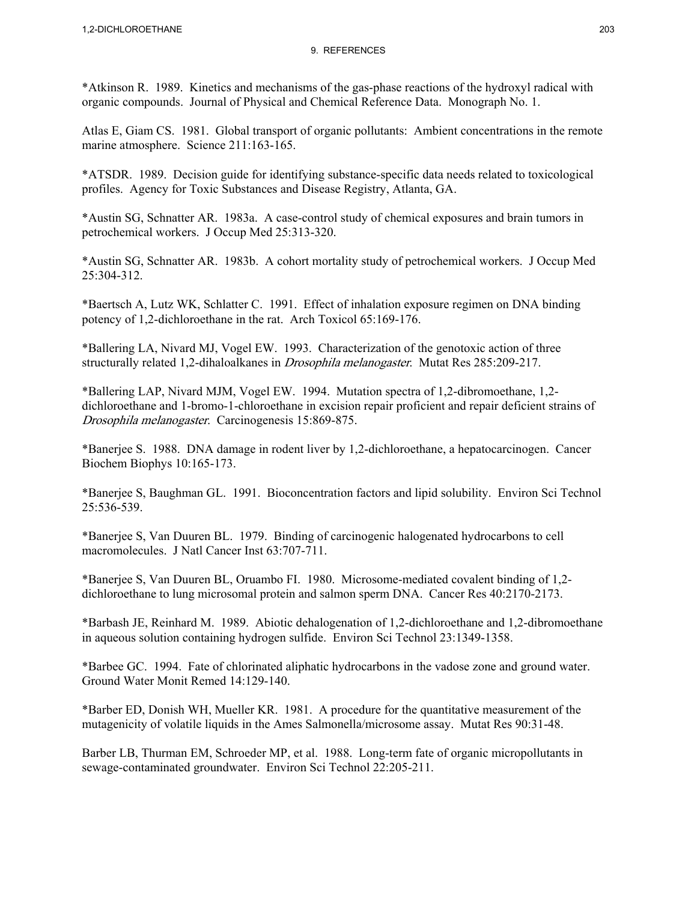\*Atkinson R. 1989. Kinetics and mechanisms of the gas-phase reactions of the hydroxyl radical with organic compounds. Journal of Physical and Chemical Reference Data. Monograph No. 1.

Atlas E, Giam CS. 1981. Global transport of organic pollutants: Ambient concentrations in the remote marine atmosphere. Science 211:163-165.

\*ATSDR. 1989. Decision guide for identifying substance-specific data needs related to toxicological profiles. Agency for Toxic Substances and Disease Registry, Atlanta, GA.

\*Austin SG, Schnatter AR. 1983a. A case-control study of chemical exposures and brain tumors in petrochemical workers. J Occup Med 25:313-320.

\*Austin SG, Schnatter AR. 1983b. A cohort mortality study of petrochemical workers. J Occup Med 25:304-312.

\*Baertsch A, Lutz WK, Schlatter C. 1991. Effect of inhalation exposure regimen on DNA binding potency of 1,2-dichloroethane in the rat. Arch Toxicol 65:169-176.

\*Ballering LA, Nivard MJ, Vogel EW. 1993. Characterization of the genotoxic action of three structurally related 1,2-dihaloalkanes in Drosophila melanogaster. Mutat Res 285:209-217.

\*Ballering LAP, Nivard MJM, Vogel EW. 1994. Mutation spectra of 1,2-dibromoethane, 1,2 dichloroethane and 1-bromo-1-chloroethane in excision repair proficient and repair deficient strains of Drosophila melanogaster. Carcinogenesis 15:869-875.

\*Banerjee S. 1988. DNA damage in rodent liver by 1,2-dichloroethane, a hepatocarcinogen. Cancer Biochem Biophys 10:165-173.

\*Banerjee S, Baughman GL. 1991. Bioconcentration factors and lipid solubility. Environ Sci Technol 25:536-539.

\*Banerjee S, Van Duuren BL. 1979. Binding of carcinogenic halogenated hydrocarbons to cell macromolecules. J Natl Cancer Inst 63:707-711.

\*Banerjee S, Van Duuren BL, Oruambo FI. 1980. Microsome-mediated covalent binding of 1,2 dichloroethane to lung microsomal protein and salmon sperm DNA. Cancer Res 40:2170-2173.

\*Barbash JE, Reinhard M. 1989. Abiotic dehalogenation of 1,2-dichloroethane and 1,2-dibromoethane in aqueous solution containing hydrogen sulfide. Environ Sci Technol 23:1349-1358.

\*Barbee GC. 1994. Fate of chlorinated aliphatic hydrocarbons in the vadose zone and ground water. Ground Water Monit Remed 14:129-140.

\*Barber ED, Donish WH, Mueller KR. 1981. A procedure for the quantitative measurement of the mutagenicity of volatile liquids in the Ames Salmonella/microsome assay. Mutat Res 90:31-48.

Barber LB, Thurman EM, Schroeder MP, et al. 1988. Long-term fate of organic micropollutants in sewage-contaminated groundwater. Environ Sci Technol 22:205-211.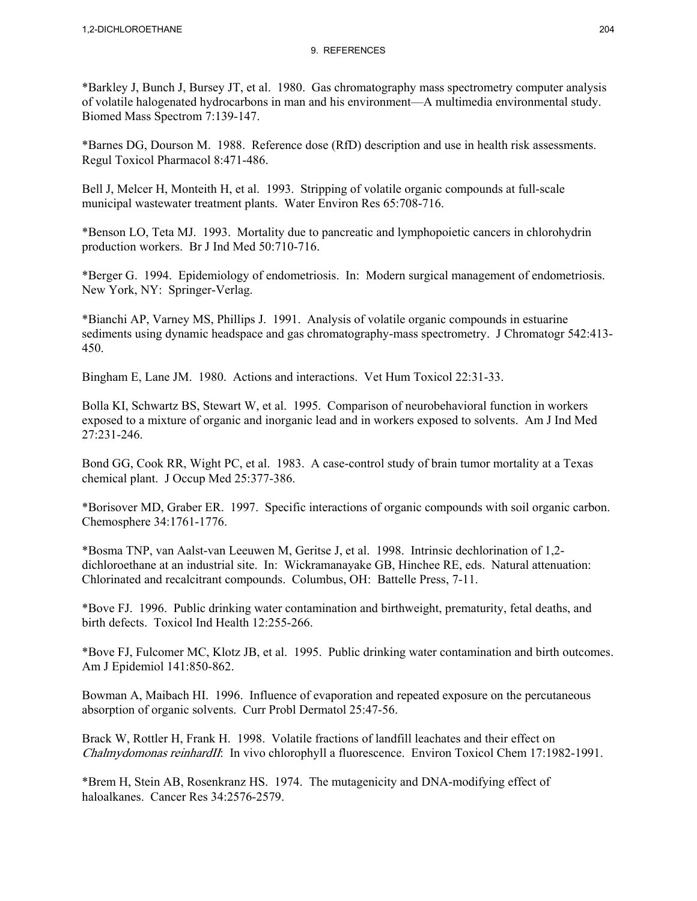\*Barkley J, Bunch J, Bursey JT, et al. 1980. Gas chromatography mass spectrometry computer analysis of volatile halogenated hydrocarbons in man and his environment—A multimedia environmental study. Biomed Mass Spectrom 7:139-147.

\*Barnes DG, Dourson M. 1988. Reference dose (RfD) description and use in health risk assessments. Regul Toxicol Pharmacol 8:471-486.

Bell J, Melcer H, Monteith H, et al. 1993. Stripping of volatile organic compounds at full-scale municipal wastewater treatment plants. Water Environ Res 65:708-716.

\*Benson LO, Teta MJ. 1993. Mortality due to pancreatic and lymphopoietic cancers in chlorohydrin production workers. Br J Ind Med 50:710-716.

\*Berger G. 1994. Epidemiology of endometriosis. In: Modern surgical management of endometriosis. New York, NY: Springer-Verlag.

\*Bianchi AP, Varney MS, Phillips J. 1991. Analysis of volatile organic compounds in estuarine sediments using dynamic headspace and gas chromatography-mass spectrometry. J Chromatogr 542:413-450.

Bingham E, Lane JM. 1980. Actions and interactions. Vet Hum Toxicol 22:31-33.

Bolla KI, Schwartz BS, Stewart W, et al. 1995. Comparison of neurobehavioral function in workers exposed to a mixture of organic and inorganic lead and in workers exposed to solvents. Am J Ind Med 27:231-246.

Bond GG, Cook RR, Wight PC, et al. 1983. A case-control study of brain tumor mortality at a Texas chemical plant. J Occup Med 25:377-386.

\*Borisover MD, Graber ER. 1997. Specific interactions of organic compounds with soil organic carbon. Chemosphere 34:1761-1776.

\*Bosma TNP, van Aalst-van Leeuwen M, Geritse J, et al. 1998. Intrinsic dechlorination of 1,2 dichloroethane at an industrial site. In: Wickramanayake GB, Hinchee RE, eds. Natural attenuation: Chlorinated and recalcitrant compounds. Columbus, OH: Battelle Press, 7-11.

\*Bove FJ. 1996. Public drinking water contamination and birthweight, prematurity, fetal deaths, and birth defects. Toxicol Ind Health 12:255-266.

\*Bove FJ, Fulcomer MC, Klotz JB, et al. 1995. Public drinking water contamination and birth outcomes. Am J Epidemiol 141:850-862.

Bowman A, Maibach HI. 1996. Influence of evaporation and repeated exposure on the percutaneous absorption of organic solvents. Curr Probl Dermatol 25:47-56.

Brack W, Rottler H, Frank H. 1998. Volatile fractions of landfill leachates and their effect on Chalmydomonas reinhardII: In vivo chlorophyll a fluorescence. Environ Toxicol Chem 17:1982-1991.

\*Brem H, Stein AB, Rosenkranz HS. 1974. The mutagenicity and DNA-modifying effect of haloalkanes. Cancer Res 34:2576-2579.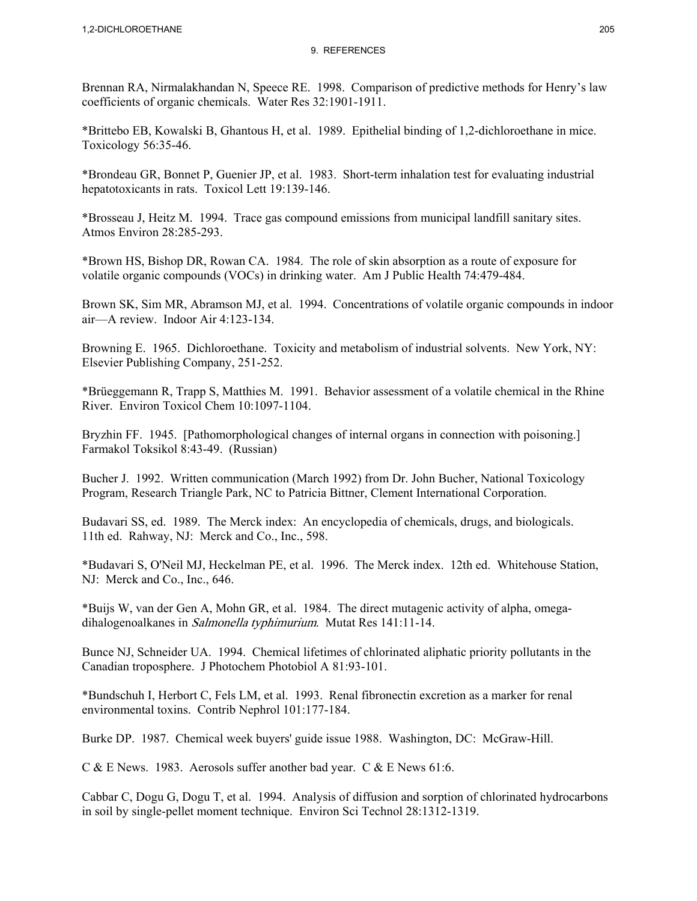Brennan RA, Nirmalakhandan N, Speece RE. 1998. Comparison of predictive methods for Henry's law coefficients of organic chemicals. Water Res 32:1901-1911.

\*Brittebo EB, Kowalski B, Ghantous H, et al. 1989. Epithelial binding of 1,2-dichloroethane in mice. Toxicology 56:35-46.

\*Brondeau GR, Bonnet P, Guenier JP, et al. 1983. Short-term inhalation test for evaluating industrial hepatotoxicants in rats. Toxicol Lett 19:139-146.

\*Brosseau J, Heitz M. 1994. Trace gas compound emissions from municipal landfill sanitary sites. Atmos Environ 28:285-293.

\*Brown HS, Bishop DR, Rowan CA. 1984. The role of skin absorption as a route of exposure for volatile organic compounds (VOCs) in drinking water. Am J Public Health 74:479-484.

Brown SK, Sim MR, Abramson MJ, et al. 1994. Concentrations of volatile organic compounds in indoor air—A review. Indoor Air 4:123-134.

Browning E. 1965. Dichloroethane. Toxicity and metabolism of industrial solvents. New York, NY: Elsevier Publishing Company, 251-252.

\*Brüeggemann R, Trapp S, Matthies M. 1991. Behavior assessment of a volatile chemical in the Rhine River. Environ Toxicol Chem 10:1097-1104.

Bryzhin FF. 1945. [Pathomorphological changes of internal organs in connection with poisoning.] Farmakol Toksikol 8:43-49. (Russian)

Bucher J. 1992. Written communication (March 1992) from Dr. John Bucher, National Toxicology Program, Research Triangle Park, NC to Patricia Bittner, Clement International Corporation.

Budavari SS, ed. 1989. The Merck index: An encyclopedia of chemicals, drugs, and biologicals. 11th ed. Rahway, NJ: Merck and Co., Inc., 598.

\*Budavari S, O'Neil MJ, Heckelman PE, et al. 1996. The Merck index. 12th ed. Whitehouse Station, NJ: Merck and Co., Inc., 646.

\*Buijs W, van der Gen A, Mohn GR, et al. 1984. The direct mutagenic activity of alpha, omegadihalogenoalkanes in Salmonella typhimurium. Mutat Res 141:11-14.

Bunce NJ, Schneider UA. 1994. Chemical lifetimes of chlorinated aliphatic priority pollutants in the Canadian troposphere. J Photochem Photobiol A 81:93-101.

\*Bundschuh I, Herbort C, Fels LM, et al. 1993. Renal fibronectin excretion as a marker for renal environmental toxins. Contrib Nephrol 101:177-184.

Burke DP. 1987. Chemical week buyers' guide issue 1988. Washington, DC: McGraw-Hill.

C & E News. 1983. Aerosols suffer another bad year. C & E News 61:6.

Cabbar C, Dogu G, Dogu T, et al. 1994. Analysis of diffusion and sorption of chlorinated hydrocarbons in soil by single-pellet moment technique. Environ Sci Technol 28:1312-1319.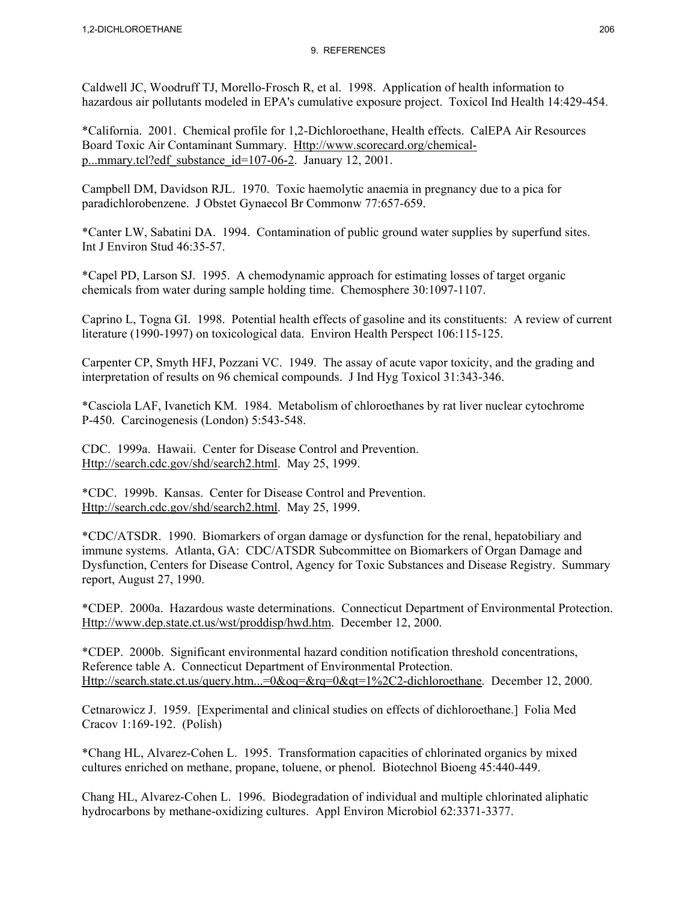Caldwell JC, Woodruff TJ, Morello-Frosch R, et al. 1998. Application of health information to hazardous air pollutants modeled in EPA's cumulative exposure project. Toxicol Ind Health 14:429-454.

\*California. 2001. Chemical profile for 1,2-Dichloroethane, Health effects. CalEPA Air Resources Board Toxic Air Contaminant Summary. Http://www.scorecard.org/chemicalp...mmary.tcl?edf\_substance\_id=107-06-2. January 12, 2001.

Campbell DM, Davidson RJL. 1970. Toxic haemolytic anaemia in pregnancy due to a pica for paradichlorobenzene. J Obstet Gynaecol Br Commonw 77:657-659.

\*Canter LW, Sabatini DA. 1994. Contamination of public ground water supplies by superfund sites. Int J Environ Stud 46:35-57.

\*Capel PD, Larson SJ. 1995. A chemodynamic approach for estimating losses of target organic chemicals from water during sample holding time. Chemosphere 30:1097-1107.

Caprino L, Togna GI. 1998. Potential health effects of gasoline and its constituents: A review of current literature (1990-1997) on toxicological data. Environ Health Perspect 106:115-125.

Carpenter CP, Smyth HFJ, Pozzani VC. 1949. The assay of acute vapor toxicity, and the grading and interpretation of results on 96 chemical compounds. J Ind Hyg Toxicol 31:343-346.

\*Casciola LAF, Ivanetich KM. 1984. Metabolism of chloroethanes by rat liver nuclear cytochrome P-450. Carcinogenesis (London) 5:543-548.

CDC. 1999a. Hawaii. Center for Disease Control and Prevention. Http://search.cdc.gov/shd/search2.html. May 25, 1999.

\*CDC. 1999b. Kansas. Center for Disease Control and Prevention. Http://search.cdc.gov/shd/search2.html. May 25, 1999.

\*CDC/ATSDR. 1990. Biomarkers of organ damage or dysfunction for the renal, hepatobiliary and immune systems. Atlanta, GA: CDC/ATSDR Subcommittee on Biomarkers of Organ Damage and Dysfunction, Centers for Disease Control, Agency for Toxic Substances and Disease Registry. Summary report, August 27, 1990.

\*CDEP. 2000a. Hazardous waste determinations. Connecticut Department of Environmental Protection. Http://www.dep.state.ct.us/wst/proddisp/hwd.htm. December 12, 2000.

\*CDEP. 2000b. Significant environmental hazard condition notification threshold concentrations, Reference table A. Connecticut Department of Environmental Protection. Http://search.state.ct.us/query.htm...=0&oq=&rq=0&qt=1%2C2-dichloroethane. December 12, 2000.

Cetnarowicz J. 1959. [Experimental and clinical studies on effects of dichloroethane.] Folia Med Cracov 1:169-192. (Polish)

\*Chang HL, Alvarez-Cohen L. 1995. Transformation capacities of chlorinated organics by mixed cultures enriched on methane, propane, toluene, or phenol. Biotechnol Bioeng 45:440-449.

Chang HL, Alvarez-Cohen L. 1996. Biodegradation of individual and multiple chlorinated aliphatic hydrocarbons by methane-oxidizing cultures. Appl Environ Microbiol 62:3371-3377.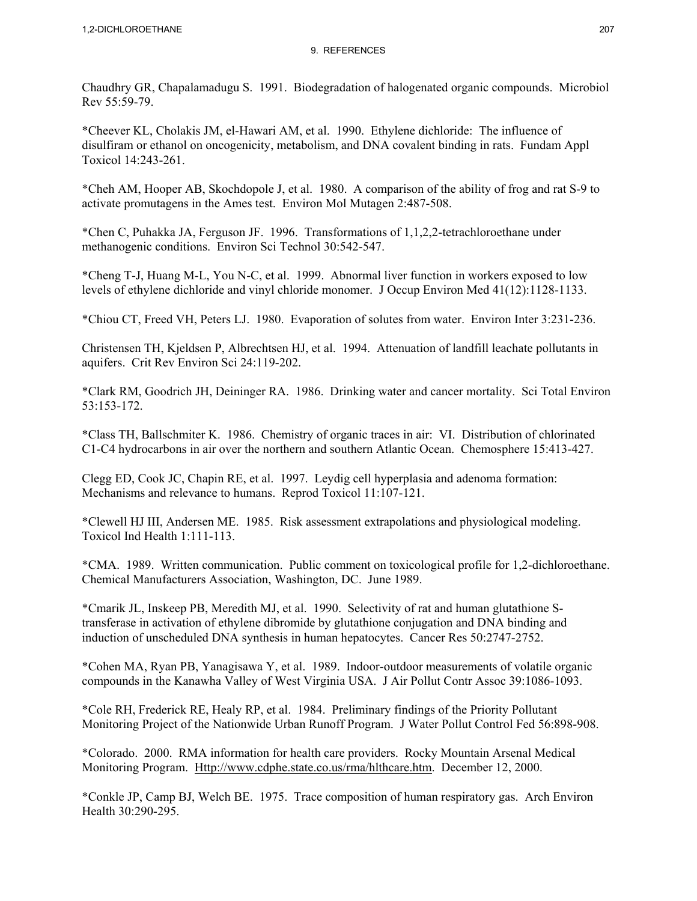Chaudhry GR, Chapalamadugu S. 1991. Biodegradation of halogenated organic compounds. Microbiol Rev 55:59-79.

\*Cheever KL, Cholakis JM, el-Hawari AM, et al. 1990. Ethylene dichloride: The influence of disulfiram or ethanol on oncogenicity, metabolism, and DNA covalent binding in rats. Fundam Appl Toxicol 14:243-261.

\*Cheh AM, Hooper AB, Skochdopole J, et al. 1980. A comparison of the ability of frog and rat S-9 to activate promutagens in the Ames test. Environ Mol Mutagen 2:487-508.

\*Chen C, Puhakka JA, Ferguson JF. 1996. Transformations of 1,1,2,2-tetrachloroethane under methanogenic conditions. Environ Sci Technol 30:542-547.

\*Cheng T-J, Huang M-L, You N-C, et al. 1999. Abnormal liver function in workers exposed to low levels of ethylene dichloride and vinyl chloride monomer. J Occup Environ Med 41(12):1128-1133.

\*Chiou CT, Freed VH, Peters LJ. 1980. Evaporation of solutes from water. Environ Inter 3:231-236.

Christensen TH, Kjeldsen P, Albrechtsen HJ, et al. 1994. Attenuation of landfill leachate pollutants in aquifers. Crit Rev Environ Sci 24:119-202.

\*Clark RM, Goodrich JH, Deininger RA. 1986. Drinking water and cancer mortality. Sci Total Environ 53:153-172.

\*Class TH, Ballschmiter K. 1986. Chemistry of organic traces in air: VI. Distribution of chlorinated C1-C4 hydrocarbons in air over the northern and southern Atlantic Ocean. Chemosphere 15:413-427.

Clegg ED, Cook JC, Chapin RE, et al. 1997. Leydig cell hyperplasia and adenoma formation: Mechanisms and relevance to humans. Reprod Toxicol 11:107-121.

\*Clewell HJ III, Andersen ME. 1985. Risk assessment extrapolations and physiological modeling. Toxicol Ind Health 1:111-113.

\*CMA. 1989. Written communication. Public comment on toxicological profile for 1,2-dichloroethane. Chemical Manufacturers Association, Washington, DC. June 1989.

\*Cmarik JL, Inskeep PB, Meredith MJ, et al. 1990. Selectivity of rat and human glutathione Stransferase in activation of ethylene dibromide by glutathione conjugation and DNA binding and induction of unscheduled DNA synthesis in human hepatocytes. Cancer Res 50:2747-2752.

\*Cohen MA, Ryan PB, Yanagisawa Y, et al. 1989. Indoor-outdoor measurements of volatile organic compounds in the Kanawha Valley of West Virginia USA. J Air Pollut Contr Assoc 39:1086-1093.

\*Cole RH, Frederick RE, Healy RP, et al. 1984. Preliminary findings of the Priority Pollutant Monitoring Project of the Nationwide Urban Runoff Program. J Water Pollut Control Fed 56:898-908.

\*Colorado. 2000. RMA information for health care providers. Rocky Mountain Arsenal Medical Monitoring Program. Http://www.cdphe.state.co.us/rma/hlthcare.htm. December 12, 2000.

\*Conkle JP, Camp BJ, Welch BE. 1975. Trace composition of human respiratory gas. Arch Environ Health 30:290-295.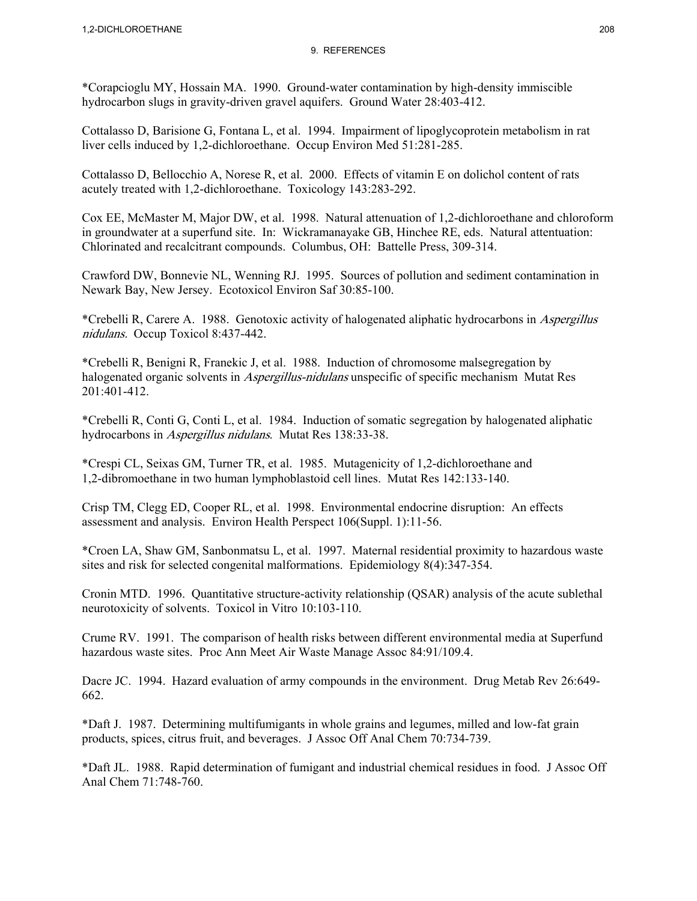\*Corapcioglu MY, Hossain MA. 1990. Ground-water contamination by high-density immiscible hydrocarbon slugs in gravity-driven gravel aquifers. Ground Water 28:403-412.

Cottalasso D, Barisione G, Fontana L, et al. 1994. Impairment of lipoglycoprotein metabolism in rat liver cells induced by 1,2-dichloroethane. Occup Environ Med 51:281-285.

Cottalasso D, Bellocchio A, Norese R, et al. 2000. Effects of vitamin E on dolichol content of rats acutely treated with 1,2-dichloroethane. Toxicology 143:283-292.

Cox EE, McMaster M, Major DW, et al. 1998. Natural attenuation of 1,2-dichloroethane and chloroform in groundwater at a superfund site. In: Wickramanayake GB, Hinchee RE, eds. Natural attentuation: Chlorinated and recalcitrant compounds. Columbus, OH: Battelle Press, 309-314.

Crawford DW, Bonnevie NL, Wenning RJ. 1995. Sources of pollution and sediment contamination in Newark Bay, New Jersey. Ecotoxicol Environ Saf 30:85-100.

\*Crebelli R, Carere A. 1988. Genotoxic activity of halogenated aliphatic hydrocarbons in Aspergillus nidulans. Occup Toxicol 8:437-442.

\*Crebelli R, Benigni R, Franekic J, et al. 1988. Induction of chromosome malsegregation by halogenated organic solvents in *Aspergillus-nidulans* unspecific of specific mechanism Mutat Res 201:401-412.

\*Crebelli R, Conti G, Conti L, et al. 1984. Induction of somatic segregation by halogenated aliphatic hydrocarbons in Aspergillus nidulans. Mutat Res 138:33-38.

\*Crespi CL, Seixas GM, Turner TR, et al. 1985. Mutagenicity of 1,2-dichloroethane and 1,2-dibromoethane in two human lymphoblastoid cell lines. Mutat Res 142:133-140.

Crisp TM, Clegg ED, Cooper RL, et al. 1998. Environmental endocrine disruption: An effects assessment and analysis. Environ Health Perspect 106(Suppl. 1):11-56.

\*Croen LA, Shaw GM, Sanbonmatsu L, et al. 1997. Maternal residential proximity to hazardous waste sites and risk for selected congenital malformations. Epidemiology 8(4):347-354.

Cronin MTD. 1996. Quantitative structure-activity relationship (QSAR) analysis of the acute sublethal neurotoxicity of solvents. Toxicol in Vitro 10:103-110.

Crume RV. 1991. The comparison of health risks between different environmental media at Superfund hazardous waste sites. Proc Ann Meet Air Waste Manage Assoc 84:91/109.4.

Dacre JC. 1994. Hazard evaluation of army compounds in the environment. Drug Metab Rev 26:649- 662.

\*Daft J. 1987. Determining multifumigants in whole grains and legumes, milled and low-fat grain products, spices, citrus fruit, and beverages. J Assoc Off Anal Chem 70:734-739.

\*Daft JL. 1988. Rapid determination of fumigant and industrial chemical residues in food. J Assoc Off Anal Chem 71:748-760.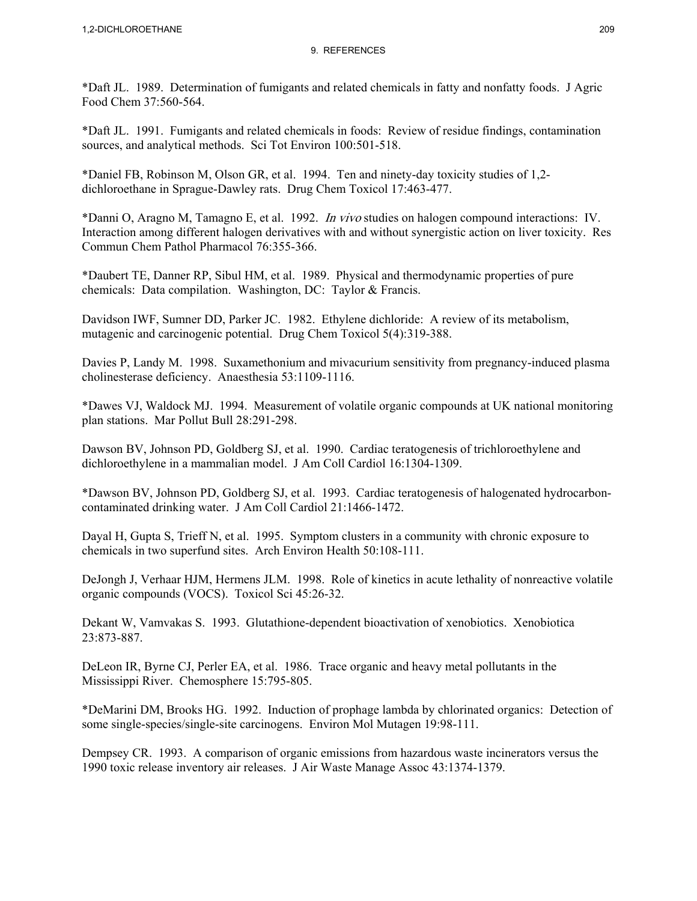\*Daft JL. 1989. Determination of fumigants and related chemicals in fatty and nonfatty foods. J Agric Food Chem 37:560-564.

\*Daft JL. 1991. Fumigants and related chemicals in foods: Review of residue findings, contamination sources, and analytical methods. Sci Tot Environ 100:501-518.

\*Daniel FB, Robinson M, Olson GR, et al. 1994. Ten and ninety-day toxicity studies of 1,2 dichloroethane in Sprague-Dawley rats. Drug Chem Toxicol 17:463-477.

\*Danni O, Aragno M, Tamagno E, et al. 1992. In vivo studies on halogen compound interactions: IV. Interaction among different halogen derivatives with and without synergistic action on liver toxicity. Res Commun Chem Pathol Pharmacol 76:355-366.

\*Daubert TE, Danner RP, Sibul HM, et al. 1989. Physical and thermodynamic properties of pure chemicals: Data compilation. Washington, DC: Taylor & Francis.

Davidson IWF, Sumner DD, Parker JC. 1982. Ethylene dichloride: A review of its metabolism, mutagenic and carcinogenic potential. Drug Chem Toxicol 5(4):319-388.

Davies P, Landy M. 1998. Suxamethonium and mivacurium sensitivity from pregnancy-induced plasma cholinesterase deficiency. Anaesthesia 53:1109-1116.

\*Dawes VJ, Waldock MJ. 1994. Measurement of volatile organic compounds at UK national monitoring plan stations. Mar Pollut Bull 28:291-298.

Dawson BV, Johnson PD, Goldberg SJ, et al. 1990. Cardiac teratogenesis of trichloroethylene and dichloroethylene in a mammalian model. J Am Coll Cardiol 16:1304-1309.

\*Dawson BV, Johnson PD, Goldberg SJ, et al. 1993. Cardiac teratogenesis of halogenated hydrocarboncontaminated drinking water. J Am Coll Cardiol 21:1466-1472.

Dayal H, Gupta S, Trieff N, et al. 1995. Symptom clusters in a community with chronic exposure to chemicals in two superfund sites. Arch Environ Health 50:108-111.

DeJongh J, Verhaar HJM, Hermens JLM. 1998. Role of kinetics in acute lethality of nonreactive volatile organic compounds (VOCS). Toxicol Sci 45:26-32.

Dekant W, Vamvakas S. 1993. Glutathione-dependent bioactivation of xenobiotics. Xenobiotica 23:873-887.

DeLeon IR, Byrne CJ, Perler EA, et al. 1986. Trace organic and heavy metal pollutants in the Mississippi River. Chemosphere 15:795-805.

\*DeMarini DM, Brooks HG. 1992. Induction of prophage lambda by chlorinated organics: Detection of some single-species/single-site carcinogens. Environ Mol Mutagen 19:98-111.

Dempsey CR. 1993. A comparison of organic emissions from hazardous waste incinerators versus the 1990 toxic release inventory air releases. J Air Waste Manage Assoc 43:1374-1379.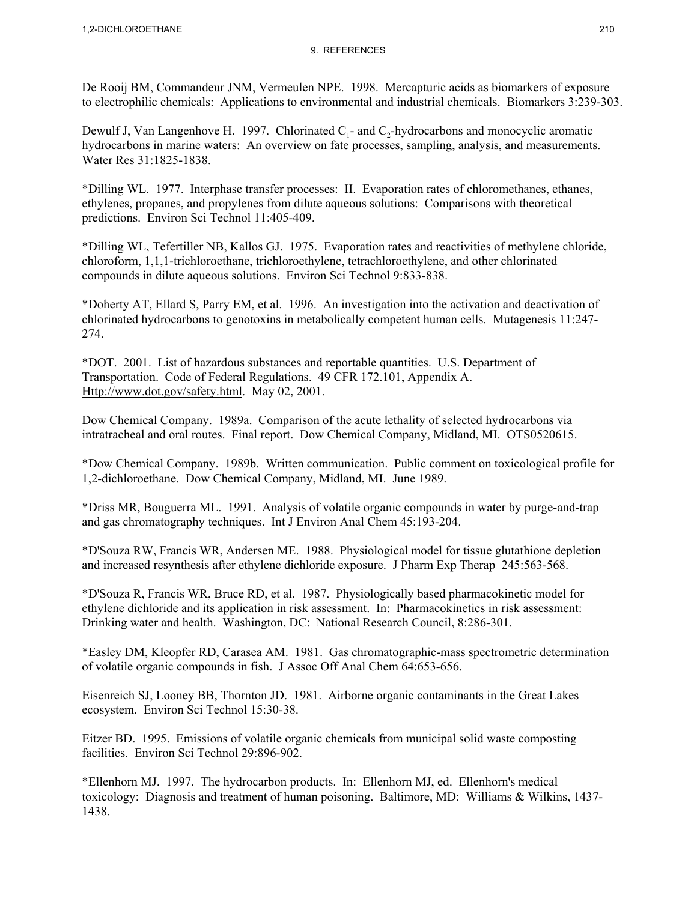De Rooij BM, Commandeur JNM, Vermeulen NPE. 1998. Mercapturic acids as biomarkers of exposure to electrophilic chemicals: Applications to environmental and industrial chemicals. Biomarkers 3:239-303.

Dewulf J, Van Langenhove H. 1997. Chlorinated  $C_1$ - and  $C_2$ -hydrocarbons and monocyclic aromatic hydrocarbons in marine waters: An overview on fate processes, sampling, analysis, and measurements. Water Res 31:1825-1838.

\*Dilling WL. 1977. Interphase transfer processes: II. Evaporation rates of chloromethanes, ethanes, ethylenes, propanes, and propylenes from dilute aqueous solutions: Comparisons with theoretical predictions. Environ Sci Technol 11:405-409.

\*Dilling WL, Tefertiller NB, Kallos GJ. 1975. Evaporation rates and reactivities of methylene chloride, chloroform, 1,1,1-trichloroethane, trichloroethylene, tetrachloroethylene, and other chlorinated compounds in dilute aqueous solutions. Environ Sci Technol 9:833-838.

\*Doherty AT, Ellard S, Parry EM, et al. 1996. An investigation into the activation and deactivation of chlorinated hydrocarbons to genotoxins in metabolically competent human cells. Mutagenesis 11:247- 274.

\*DOT. 2001. List of hazardous substances and reportable quantities. U.S. Department of Transportation. Code of Federal Regulations. 49 CFR 172.101, Appendix A. Http://www.dot.gov/safety.html. May 02, 2001.

Dow Chemical Company. 1989a. Comparison of the acute lethality of selected hydrocarbons via intratracheal and oral routes. Final report. Dow Chemical Company, Midland, MI. OTS0520615.

\*Dow Chemical Company. 1989b. Written communication. Public comment on toxicological profile for 1,2-dichloroethane. Dow Chemical Company, Midland, MI. June 1989.

\*Driss MR, Bouguerra ML. 1991. Analysis of volatile organic compounds in water by purge-and-trap and gas chromatography techniques. Int J Environ Anal Chem 45:193-204.

\*D'Souza RW, Francis WR, Andersen ME. 1988. Physiological model for tissue glutathione depletion and increased resynthesis after ethylene dichloride exposure. J Pharm Exp Therap 245:563-568.

\*D'Souza R, Francis WR, Bruce RD, et al. 1987. Physiologically based pharmacokinetic model for ethylene dichloride and its application in risk assessment. In: Pharmacokinetics in risk assessment: Drinking water and health. Washington, DC: National Research Council, 8:286-301.

\*Easley DM, Kleopfer RD, Carasea AM. 1981. Gas chromatographic-mass spectrometric determination of volatile organic compounds in fish. J Assoc Off Anal Chem 64:653-656.

Eisenreich SJ, Looney BB, Thornton JD. 1981. Airborne organic contaminants in the Great Lakes ecosystem. Environ Sci Technol 15:30-38.

Eitzer BD. 1995. Emissions of volatile organic chemicals from municipal solid waste composting facilities. Environ Sci Technol 29:896-902.

\*Ellenhorn MJ. 1997. The hydrocarbon products. In: Ellenhorn MJ, ed. Ellenhorn's medical toxicology: Diagnosis and treatment of human poisoning. Baltimore, MD: Williams & Wilkins, 1437- 1438.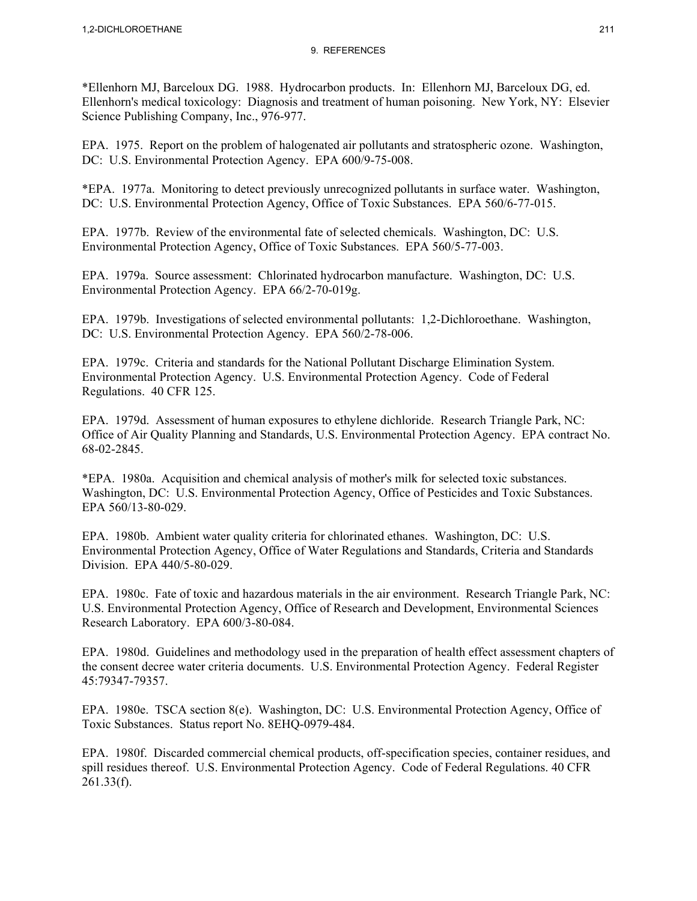\*Ellenhorn MJ, Barceloux DG. 1988. Hydrocarbon products. In: Ellenhorn MJ, Barceloux DG, ed. Ellenhorn's medical toxicology: Diagnosis and treatment of human poisoning. New York, NY: Elsevier Science Publishing Company, Inc., 976-977.

EPA. 1975. Report on the problem of halogenated air pollutants and stratospheric ozone. Washington, DC: U.S. Environmental Protection Agency. EPA 600/9-75-008.

\*EPA. 1977a. Monitoring to detect previously unrecognized pollutants in surface water. Washington, DC: U.S. Environmental Protection Agency, Office of Toxic Substances. EPA 560/6-77-015.

EPA. 1977b. Review of the environmental fate of selected chemicals. Washington, DC: U.S. Environmental Protection Agency, Office of Toxic Substances. EPA 560/5-77-003.

EPA. 1979a. Source assessment: Chlorinated hydrocarbon manufacture. Washington, DC: U.S. Environmental Protection Agency. EPA 66/2-70-019g.

EPA. 1979b. Investigations of selected environmental pollutants: 1,2-Dichloroethane. Washington, DC: U.S. Environmental Protection Agency. EPA 560/2-78-006.

EPA. 1979c. Criteria and standards for the National Pollutant Discharge Elimination System. Environmental Protection Agency. U.S. Environmental Protection Agency. Code of Federal Regulations. 40 CFR 125.

EPA. 1979d. Assessment of human exposures to ethylene dichloride. Research Triangle Park, NC: Office of Air Quality Planning and Standards, U.S. Environmental Protection Agency. EPA contract No. 68-02-2845.

\*EPA. 1980a. Acquisition and chemical analysis of mother's milk for selected toxic substances. Washington, DC: U.S. Environmental Protection Agency, Office of Pesticides and Toxic Substances. EPA 560/13-80-029.

EPA. 1980b. Ambient water quality criteria for chlorinated ethanes. Washington, DC: U.S. Environmental Protection Agency, Office of Water Regulations and Standards, Criteria and Standards Division. EPA 440/5-80-029.

EPA. 1980c. Fate of toxic and hazardous materials in the air environment. Research Triangle Park, NC: U.S. Environmental Protection Agency, Office of Research and Development, Environmental Sciences Research Laboratory. EPA 600/3-80-084.

EPA. 1980d. Guidelines and methodology used in the preparation of health effect assessment chapters of the consent decree water criteria documents. U.S. Environmental Protection Agency. Federal Register 45:79347-79357.

EPA. 1980e. TSCA section 8(e). Washington, DC: U.S. Environmental Protection Agency, Office of Toxic Substances. Status report No. 8EHQ-0979-484.

EPA. 1980f. Discarded commercial chemical products, off-specification species, container residues, and spill residues thereof. U.S. Environmental Protection Agency. Code of Federal Regulations. 40 CFR 261.33(f).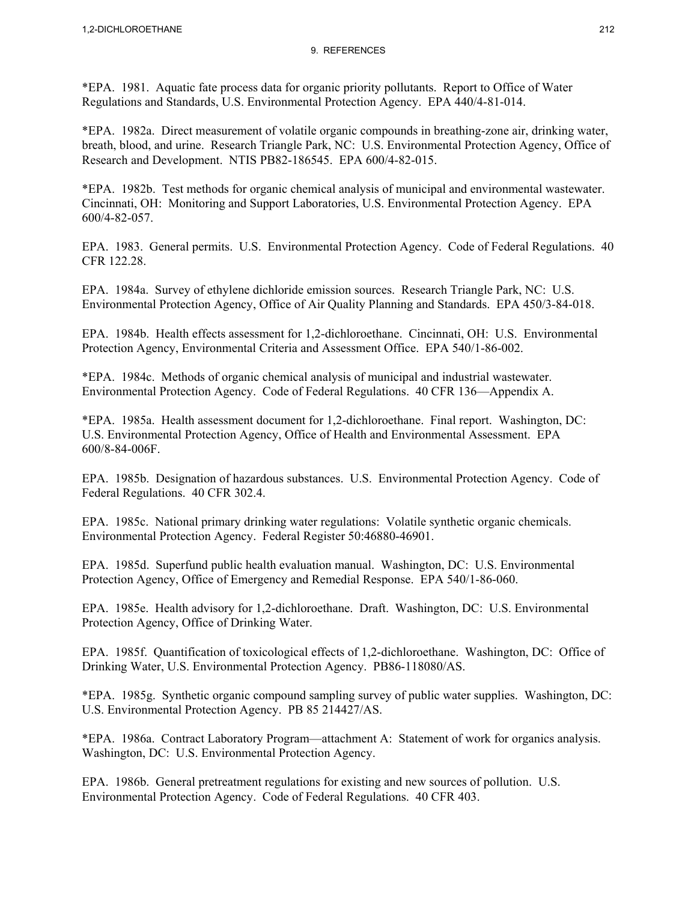\*EPA. 1981. Aquatic fate process data for organic priority pollutants. Report to Office of Water Regulations and Standards, U.S. Environmental Protection Agency. EPA 440/4-81-014.

\*EPA. 1982a. Direct measurement of volatile organic compounds in breathing-zone air, drinking water, breath, blood, and urine. Research Triangle Park, NC: U.S. Environmental Protection Agency, Office of Research and Development. NTIS PB82-186545. EPA 600/4-82-015.

\*EPA. 1982b. Test methods for organic chemical analysis of municipal and environmental wastewater. Cincinnati, OH: Monitoring and Support Laboratories, U.S. Environmental Protection Agency. EPA 600/4-82-057.

EPA. 1983. General permits. U.S. Environmental Protection Agency. Code of Federal Regulations. 40 CFR 122.28.

EPA. 1984a. Survey of ethylene dichloride emission sources. Research Triangle Park, NC: U.S. Environmental Protection Agency, Office of Air Quality Planning and Standards. EPA 450/3-84-018.

EPA. 1984b. Health effects assessment for 1,2-dichloroethane. Cincinnati, OH: U.S. Environmental Protection Agency, Environmental Criteria and Assessment Office. EPA 540/1-86-002.

\*EPA. 1984c. Methods of organic chemical analysis of municipal and industrial wastewater. Environmental Protection Agency. Code of Federal Regulations. 40 CFR 136—Appendix A.

\*EPA. 1985a. Health assessment document for 1,2-dichloroethane. Final report. Washington, DC: U.S. Environmental Protection Agency, Office of Health and Environmental Assessment. EPA 600/8-84-006F.

EPA. 1985b. Designation of hazardous substances. U.S. Environmental Protection Agency. Code of Federal Regulations. 40 CFR 302.4.

EPA. 1985c. National primary drinking water regulations: Volatile synthetic organic chemicals. Environmental Protection Agency. Federal Register 50:46880-46901.

EPA. 1985d. Superfund public health evaluation manual. Washington, DC: U.S. Environmental Protection Agency, Office of Emergency and Remedial Response. EPA 540/1-86-060.

EPA. 1985e. Health advisory for 1,2-dichloroethane. Draft. Washington, DC: U.S. Environmental Protection Agency, Office of Drinking Water.

EPA. 1985f. Quantification of toxicological effects of 1,2-dichloroethane. Washington, DC: Office of Drinking Water, U.S. Environmental Protection Agency. PB86-118080/AS.

\*EPA. 1985g. Synthetic organic compound sampling survey of public water supplies. Washington, DC: U.S. Environmental Protection Agency. PB 85 214427/AS.

\*EPA. 1986a. Contract Laboratory Program—attachment A: Statement of work for organics analysis. Washington, DC: U.S. Environmental Protection Agency.

EPA. 1986b. General pretreatment regulations for existing and new sources of pollution. U.S. Environmental Protection Agency. Code of Federal Regulations. 40 CFR 403.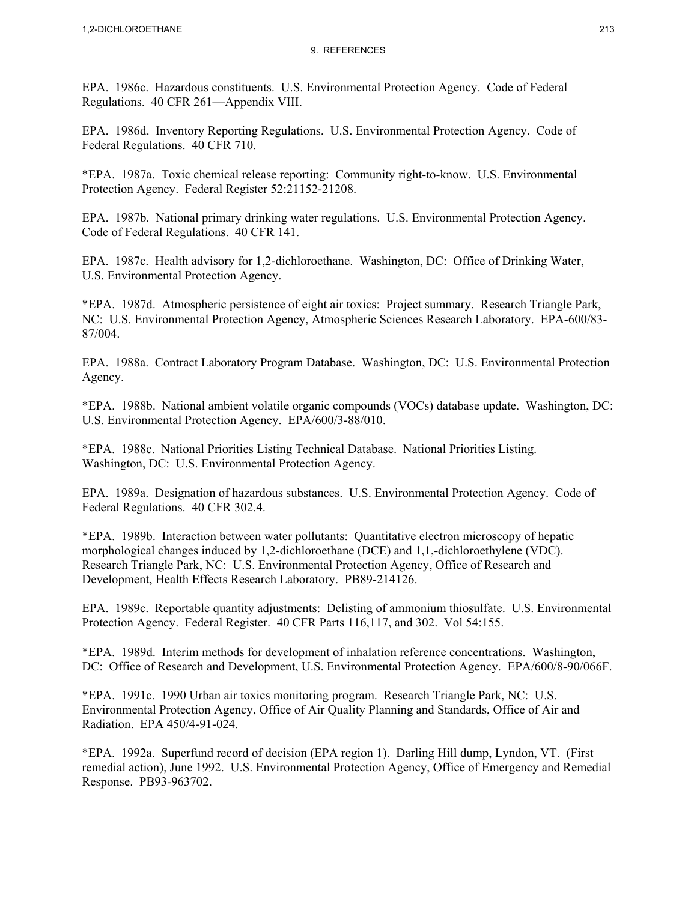EPA. 1986c. Hazardous constituents. U.S. Environmental Protection Agency. Code of Federal Regulations. 40 CFR 261—Appendix VIII.

EPA. 1986d. Inventory Reporting Regulations. U.S. Environmental Protection Agency. Code of Federal Regulations. 40 CFR 710.

\*EPA. 1987a. Toxic chemical release reporting: Community right-to-know. U.S. Environmental Protection Agency. Federal Register 52:21152-21208.

EPA. 1987b. National primary drinking water regulations. U.S. Environmental Protection Agency. Code of Federal Regulations. 40 CFR 141.

EPA. 1987c. Health advisory for 1,2-dichloroethane. Washington, DC: Office of Drinking Water, U.S. Environmental Protection Agency.

\*EPA. 1987d. Atmospheric persistence of eight air toxics: Project summary. Research Triangle Park, NC: U.S. Environmental Protection Agency, Atmospheric Sciences Research Laboratory. EPA-600/83- 87/004.

EPA. 1988a. Contract Laboratory Program Database. Washington, DC: U.S. Environmental Protection Agency.

\*EPA. 1988b. National ambient volatile organic compounds (VOCs) database update. Washington, DC: U.S. Environmental Protection Agency. EPA/600/3-88/010.

\*EPA. 1988c. National Priorities Listing Technical Database. National Priorities Listing. Washington, DC: U.S. Environmental Protection Agency.

EPA. 1989a. Designation of hazardous substances. U.S. Environmental Protection Agency. Code of Federal Regulations. 40 CFR 302.4.

\*EPA. 1989b. Interaction between water pollutants: Quantitative electron microscopy of hepatic morphological changes induced by 1,2-dichloroethane (DCE) and 1,1,-dichloroethylene (VDC). Research Triangle Park, NC: U.S. Environmental Protection Agency, Office of Research and Development, Health Effects Research Laboratory. PB89-214126.

EPA. 1989c. Reportable quantity adjustments: Delisting of ammonium thiosulfate. U.S. Environmental Protection Agency. Federal Register. 40 CFR Parts 116,117, and 302. Vol 54:155.

\*EPA. 1989d. Interim methods for development of inhalation reference concentrations. Washington, DC: Office of Research and Development, U.S. Environmental Protection Agency. EPA/600/8-90/066F.

\*EPA. 1991c. 1990 Urban air toxics monitoring program. Research Triangle Park, NC: U.S. Environmental Protection Agency, Office of Air Quality Planning and Standards, Office of Air and Radiation. EPA 450/4-91-024.

\*EPA. 1992a. Superfund record of decision (EPA region 1). Darling Hill dump, Lyndon, VT. (First remedial action), June 1992. U.S. Environmental Protection Agency, Office of Emergency and Remedial Response. PB93-963702.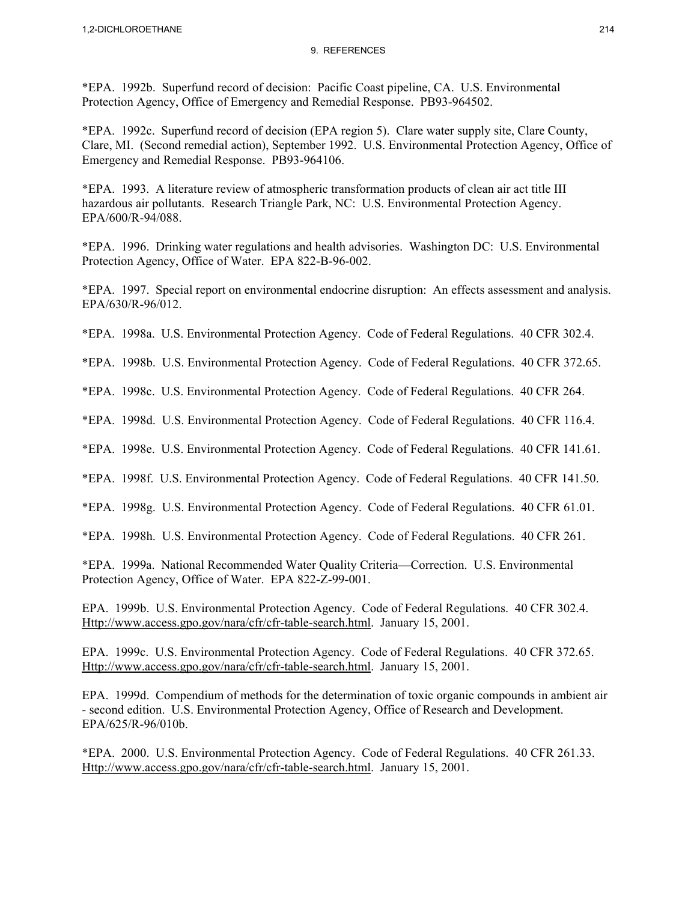\*EPA. 1992b. Superfund record of decision: Pacific Coast pipeline, CA. U.S. Environmental Protection Agency, Office of Emergency and Remedial Response. PB93-964502.

\*EPA. 1992c. Superfund record of decision (EPA region 5). Clare water supply site, Clare County, Clare, MI. (Second remedial action), September 1992. U.S. Environmental Protection Agency, Office of Emergency and Remedial Response. PB93-964106.

\*EPA. 1993. A literature review of atmospheric transformation products of clean air act title III hazardous air pollutants. Research Triangle Park, NC: U.S. Environmental Protection Agency. EPA/600/R-94/088.

\*EPA. 1996. Drinking water regulations and health advisories. Washington DC: U.S. Environmental Protection Agency, Office of Water. EPA 822-B-96-002.

\*EPA. 1997. Special report on environmental endocrine disruption: An effects assessment and analysis. EPA/630/R-96/012.

\*EPA. 1998a. U.S. Environmental Protection Agency. Code of Federal Regulations. 40 CFR 302.4.

\*EPA. 1998b. U.S. Environmental Protection Agency. Code of Federal Regulations. 40 CFR 372.65.

\*EPA. 1998c. U.S. Environmental Protection Agency. Code of Federal Regulations. 40 CFR 264.

\*EPA. 1998d. U.S. Environmental Protection Agency. Code of Federal Regulations. 40 CFR 116.4.

\*EPA. 1998e. U.S. Environmental Protection Agency. Code of Federal Regulations. 40 CFR 141.61.

\*EPA. 1998f. U.S. Environmental Protection Agency. Code of Federal Regulations. 40 CFR 141.50.

\*EPA. 1998g. U.S. Environmental Protection Agency. Code of Federal Regulations. 40 CFR 61.01.

\*EPA. 1998h. U.S. Environmental Protection Agency. Code of Federal Regulations. 40 CFR 261.

\*EPA. 1999a. National Recommended Water Quality Criteria—Correction. U.S. Environmental Protection Agency, Office of Water. EPA 822-Z-99-001.

EPA. 1999b. U.S. Environmental Protection Agency. Code of Federal Regulations. 40 CFR 302.4. Http://www.access.gpo.gov/nara/cfr/cfr-table-search.html. January 15, 2001.

EPA. 1999c. U.S. Environmental Protection Agency. Code of Federal Regulations. 40 CFR 372.65. Http://www.access.gpo.gov/nara/cfr/cfr-table-search.html. January 15, 2001.

EPA. 1999d. Compendium of methods for the determination of toxic organic compounds in ambient air - second edition. U.S. Environmental Protection Agency, Office of Research and Development. EPA/625/R-96/010b.

\*EPA. 2000. U.S. Environmental Protection Agency. Code of Federal Regulations. 40 CFR 261.33. Http://www.access.gpo.gov/nara/cfr/cfr-table-search.html. January 15, 2001.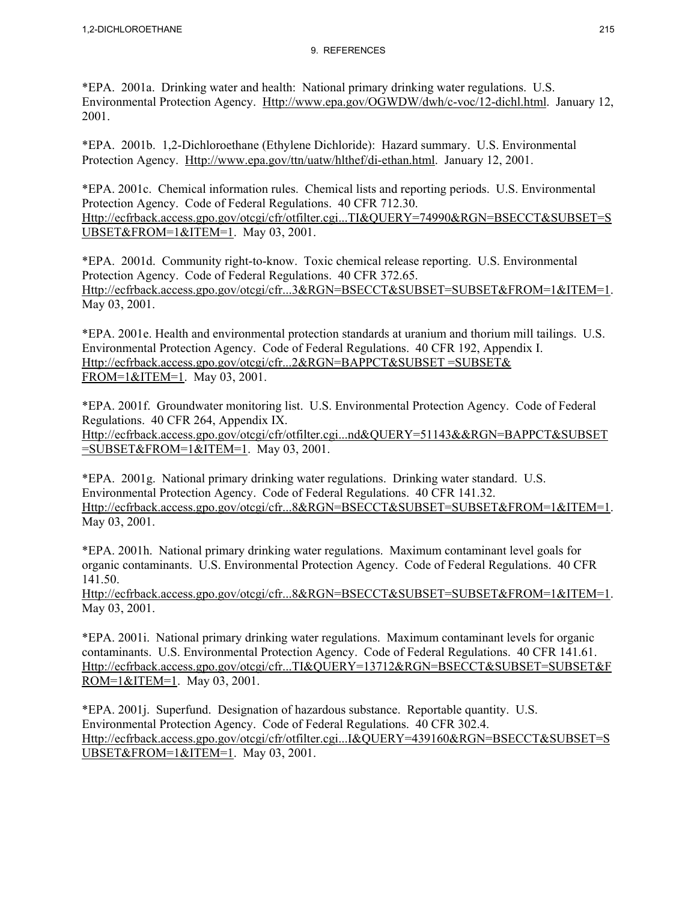\*EPA. 2001a. Drinking water and health: National primary drinking water regulations. U.S. Environmental Protection Agency. Http://www.epa.gov/OGWDW/dwh/c-voc/12-dichl.html. January 12, 2001.

\*EPA. 2001b. 1,2-Dichloroethane (Ethylene Dichloride): Hazard summary. U.S. Environmental Protection Agency. Http://www.epa.gov/ttn/uatw/hlthef/di-ethan.html. January 12, 2001.

\*EPA. 2001c. Chemical information rules. Chemical lists and reporting periods. U.S. Environmental Protection Agency. Code of Federal Regulations. 40 CFR 712.30. Http://ecfrback.access.gpo.gov/otcgi/cfr/otfilter.cgi...TI&QUERY=74990&RGN=BSECCT&SUBSET=S UBSET&FROM=1&ITEM=1. May 03, 2001.

\*EPA. 2001d. Community right-to-know. Toxic chemical release reporting. U.S. Environmental Protection Agency. Code of Federal Regulations. 40 CFR 372.65. Http://ecfrback.access.gpo.gov/otcgi/cfr...3&RGN=BSECCT&SUBSET=SUBSET&FROM=1&ITEM=1. May 03, 2001.

\*EPA. 2001e. Health and environmental protection standards at uranium and thorium mill tailings. U.S. Environmental Protection Agency. Code of Federal Regulations. 40 CFR 192, Appendix I. Http://ecfrback.access.gpo.gov/otcgi/cfr...2&RGN=BAPPCT&SUBSET =SUBSET& FROM=1&ITEM=1. May 03, 2001.

\*EPA. 2001f. Groundwater monitoring list. U.S. Environmental Protection Agency. Code of Federal Regulations. 40 CFR 264, Appendix IX. Http://ecfrback.access.gpo.gov/otcgi/cfr/otfilter.cgi...nd&QUERY=51143&&RGN=BAPPCT&SUBSET =SUBSET&FROM=1&ITEM=1. May 03, 2001.

\*EPA. 2001g. National primary drinking water regulations. Drinking water standard. U.S. Environmental Protection Agency. Code of Federal Regulations. 40 CFR 141.32. Http://ecfrback.access.gpo.gov/otcgi/cfr...8&RGN=BSECCT&SUBSET=SUBSET&FROM=1&ITEM=1. May 03, 2001.

\*EPA. 2001h. National primary drinking water regulations. Maximum contaminant level goals for organic contaminants. U.S. Environmental Protection Agency. Code of Federal Regulations. 40 CFR 141.50.

Http://ecfrback.access.gpo.gov/otcgi/cfr...8&RGN=BSECCT&SUBSET=SUBSET&FROM=1&ITEM=1. May 03, 2001.

\*EPA. 2001i. National primary drinking water regulations. Maximum contaminant levels for organic contaminants. U.S. Environmental Protection Agency. Code of Federal Regulations. 40 CFR 141.61. Http://ecfrback.access.gpo.gov/otcgi/cfr...TI&QUERY=13712&RGN=BSECCT&SUBSET=SUBSET&F ROM=1&ITEM=1. May 03, 2001.

\*EPA. 2001j. Superfund. Designation of hazardous substance. Reportable quantity. U.S. Environmental Protection Agency. Code of Federal Regulations. 40 CFR 302.4. Http://ecfrback.access.gpo.gov/otcgi/cfr/otfilter.cgi...I&QUERY=439160&RGN=BSECCT&SUBSET=S UBSET&FROM=1&ITEM=1. May 03, 2001.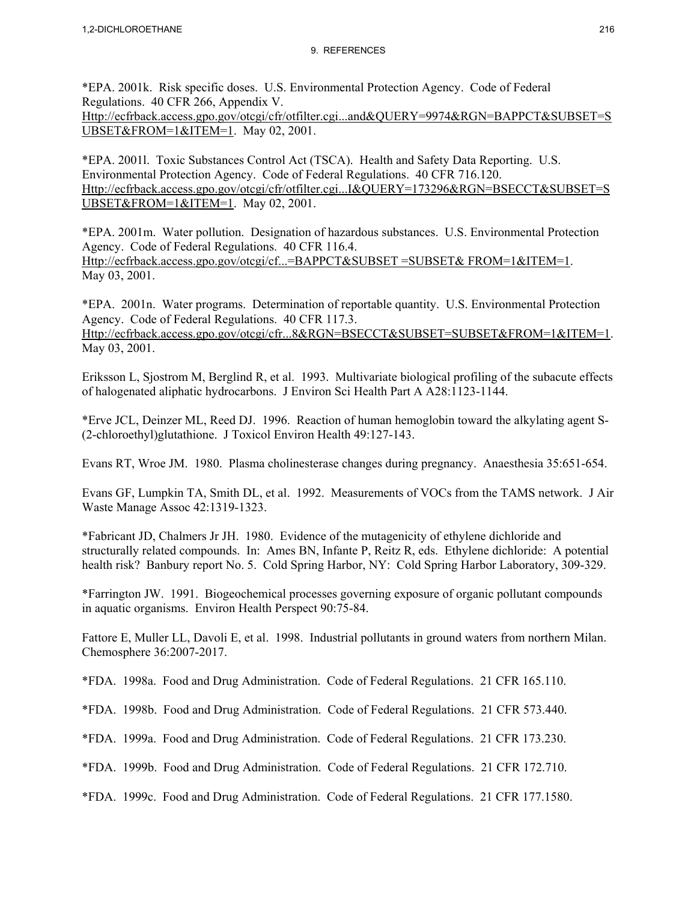\*EPA. 2001k. Risk specific doses. U.S. Environmental Protection Agency. Code of Federal Regulations. 40 CFR 266, Appendix V. Http://ecfrback.access.gpo.gov/otcgi/cfr/otfilter.cgi...and&QUERY=9974&RGN=BAPPCT&SUBSET=S UBSET&FROM=1&ITEM=1. May 02, 2001.

\*EPA. 2001l. Toxic Substances Control Act (TSCA). Health and Safety Data Reporting. U.S. Environmental Protection Agency. Code of Federal Regulations. 40 CFR 716.120. Http://ecfrback.access.gpo.gov/otcgi/cfr/otfilter.cgi...I&QUERY=173296&RGN=BSECCT&SUBSET=S UBSET&FROM=1&ITEM=1. May 02, 2001.

\*EPA. 2001m. Water pollution. Designation of hazardous substances. U.S. Environmental Protection Agency. Code of Federal Regulations. 40 CFR 116.4. Http://ecfrback.access.gpo.gov/otcgi/cf...=BAPPCT&SUBSET =SUBSET& FROM=1&ITEM=1. May 03, 2001.

\*EPA. 2001n. Water programs. Determination of reportable quantity. U.S. Environmental Protection Agency. Code of Federal Regulations. 40 CFR 117.3. Http://ecfrback.access.gpo.gov/otcgi/cfr...8&RGN=BSECCT&SUBSET=SUBSET&FROM=1&ITEM=1. May 03, 2001.

Eriksson L, Sjostrom M, Berglind R, et al. 1993. Multivariate biological profiling of the subacute effects of halogenated aliphatic hydrocarbons. J Environ Sci Health Part A A28:1123-1144.

\*Erve JCL, Deinzer ML, Reed DJ. 1996. Reaction of human hemoglobin toward the alkylating agent S- (2-chloroethyl)glutathione. J Toxicol Environ Health 49:127-143.

Evans RT, Wroe JM. 1980. Plasma cholinesterase changes during pregnancy. Anaesthesia 35:651-654.

Evans GF, Lumpkin TA, Smith DL, et al. 1992. Measurements of VOCs from the TAMS network. J Air Waste Manage Assoc 42:1319-1323.

\*Fabricant JD, Chalmers Jr JH. 1980. Evidence of the mutagenicity of ethylene dichloride and structurally related compounds. In: Ames BN, Infante P, Reitz R, eds. Ethylene dichloride: A potential health risk? Banbury report No. 5. Cold Spring Harbor, NY: Cold Spring Harbor Laboratory, 309-329.

\*Farrington JW. 1991. Biogeochemical processes governing exposure of organic pollutant compounds in aquatic organisms. Environ Health Perspect 90:75-84.

Fattore E, Muller LL, Davoli E, et al. 1998. Industrial pollutants in ground waters from northern Milan. Chemosphere 36:2007-2017.

\*FDA. 1998a. Food and Drug Administration. Code of Federal Regulations. 21 CFR 165.110.

\*FDA. 1998b. Food and Drug Administration. Code of Federal Regulations. 21 CFR 573.440.

\*FDA. 1999a. Food and Drug Administration. Code of Federal Regulations. 21 CFR 173.230.

\*FDA. 1999b. Food and Drug Administration. Code of Federal Regulations. 21 CFR 172.710.

\*FDA. 1999c. Food and Drug Administration. Code of Federal Regulations. 21 CFR 177.1580.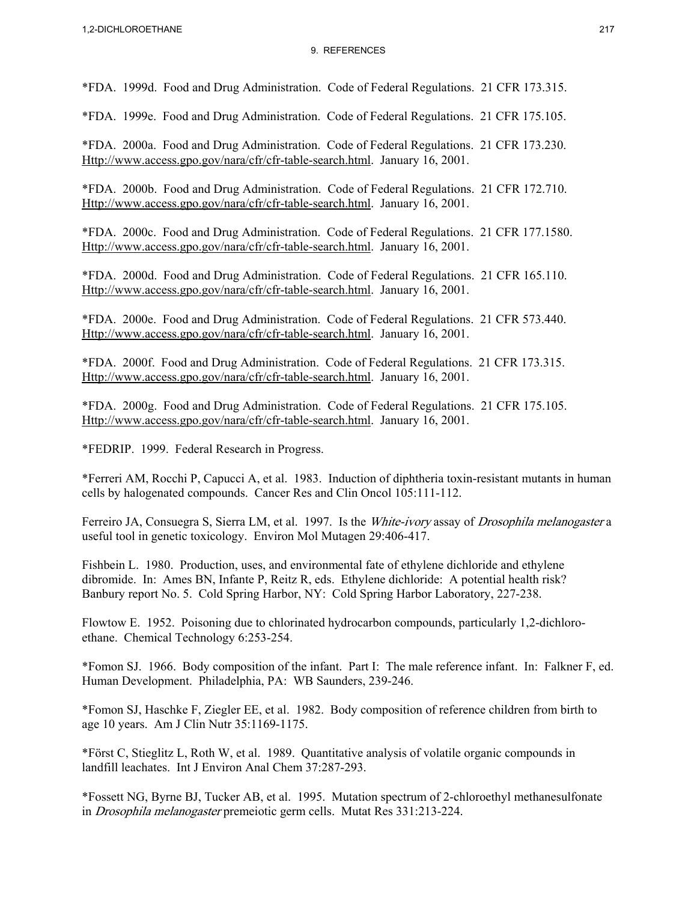\*FDA. 1999d. Food and Drug Administration. Code of Federal Regulations. 21 CFR 173.315.

\*FDA. 1999e. Food and Drug Administration. Code of Federal Regulations. 21 CFR 175.105.

\*FDA. 2000a. Food and Drug Administration. Code of Federal Regulations. 21 CFR 173.230. Http://www.access.gpo.gov/nara/cfr/cfr-table-search.html. January 16, 2001.

\*FDA. 2000b. Food and Drug Administration. Code of Federal Regulations. 21 CFR 172.710. Http://www.access.gpo.gov/nara/cfr/cfr-table-search.html. January 16, 2001.

\*FDA. 2000c. Food and Drug Administration. Code of Federal Regulations. 21 CFR 177.1580. Http://www.access.gpo.gov/nara/cfr/cfr-table-search.html. January 16, 2001.

\*FDA. 2000d. Food and Drug Administration. Code of Federal Regulations. 21 CFR 165.110. Http://www.access.gpo.gov/nara/cfr/cfr-table-search.html. January 16, 2001.

\*FDA. 2000e. Food and Drug Administration. Code of Federal Regulations. 21 CFR 573.440. Http://www.access.gpo.gov/nara/cfr/cfr-table-search.html. January 16, 2001.

\*FDA. 2000f. Food and Drug Administration. Code of Federal Regulations. 21 CFR 173.315. Http://www.access.gpo.gov/nara/cfr/cfr-table-search.html. January 16, 2001.

\*FDA. 2000g. Food and Drug Administration. Code of Federal Regulations. 21 CFR 175.105. Http://www.access.gpo.gov/nara/cfr/cfr-table-search.html. January 16, 2001.

\*FEDRIP. 1999. Federal Research in Progress.

\*Ferreri AM, Rocchi P, Capucci A, et al. 1983. Induction of diphtheria toxin-resistant mutants in human cells by halogenated compounds. Cancer Res and Clin Oncol 105:111-112.

Ferreiro JA, Consuegra S, Sierra LM, et al. 1997. Is the *White-ivory* assay of *Drosophila melanogaster* a useful tool in genetic toxicology. Environ Mol Mutagen 29:406-417.

Fishbein L. 1980. Production, uses, and environmental fate of ethylene dichloride and ethylene dibromide. In: Ames BN, Infante P, Reitz R, eds. Ethylene dichloride: A potential health risk? Banbury report No. 5. Cold Spring Harbor, NY: Cold Spring Harbor Laboratory, 227-238.

Flowtow E. 1952. Poisoning due to chlorinated hydrocarbon compounds, particularly 1,2-dichloroethane. Chemical Technology 6:253-254.

\*Fomon SJ. 1966. Body composition of the infant. Part I: The male reference infant. In: Falkner F, ed. Human Development. Philadelphia, PA: WB Saunders, 239-246.

\*Fomon SJ, Haschke F, Ziegler EE, et al. 1982. Body composition of reference children from birth to age 10 years. Am J Clin Nutr 35:1169-1175.

\*Först C, Stieglitz L, Roth W, et al. 1989. Quantitative analysis of volatile organic compounds in landfill leachates. Int J Environ Anal Chem 37:287-293.

\*Fossett NG, Byrne BJ, Tucker AB, et al. 1995. Mutation spectrum of 2-chloroethyl methanesulfonate in Drosophila melanogaster premeiotic germ cells. Mutat Res 331:213-224.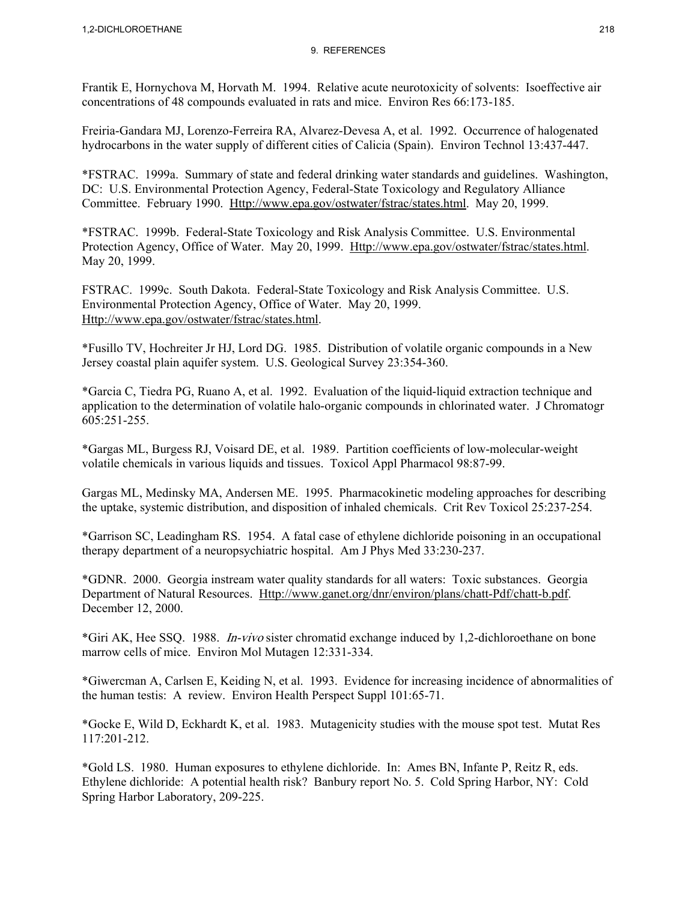Frantik E, Hornychova M, Horvath M. 1994. Relative acute neurotoxicity of solvents: Isoeffective air concentrations of 48 compounds evaluated in rats and mice. Environ Res 66:173-185.

Freiria-Gandara MJ, Lorenzo-Ferreira RA, Alvarez-Devesa A, et al. 1992. Occurrence of halogenated hydrocarbons in the water supply of different cities of Calicia (Spain). Environ Technol 13:437-447.

\*FSTRAC. 1999a. Summary of state and federal drinking water standards and guidelines. Washington, DC: U.S. Environmental Protection Agency, Federal-State Toxicology and Regulatory Alliance Committee. February 1990. Http://www.epa.gov/ostwater/fstrac/states.html. May 20, 1999.

\*FSTRAC. 1999b. Federal-State Toxicology and Risk Analysis Committee. U.S. Environmental Protection Agency, Office of Water. May 20, 1999. Http://www.epa.gov/ostwater/fstrac/states.html. May 20, 1999.

FSTRAC. 1999c. South Dakota. Federal-State Toxicology and Risk Analysis Committee. U.S. Environmental Protection Agency, Office of Water. May 20, 1999. Http://www.epa.gov/ostwater/fstrac/states.html.

\*Fusillo TV, Hochreiter Jr HJ, Lord DG. 1985. Distribution of volatile organic compounds in a New Jersey coastal plain aquifer system. U.S. Geological Survey 23:354-360.

\*Garcia C, Tiedra PG, Ruano A, et al. 1992. Evaluation of the liquid-liquid extraction technique and application to the determination of volatile halo-organic compounds in chlorinated water. J Chromatogr 605:251-255.

\*Gargas ML, Burgess RJ, Voisard DE, et al. 1989. Partition coefficients of low-molecular-weight volatile chemicals in various liquids and tissues. Toxicol Appl Pharmacol 98:87-99.

Gargas ML, Medinsky MA, Andersen ME. 1995. Pharmacokinetic modeling approaches for describing the uptake, systemic distribution, and disposition of inhaled chemicals. Crit Rev Toxicol 25:237-254.

\*Garrison SC, Leadingham RS. 1954. A fatal case of ethylene dichloride poisoning in an occupational therapy department of a neuropsychiatric hospital. Am J Phys Med 33:230-237.

\*GDNR. 2000. Georgia instream water quality standards for all waters: Toxic substances. Georgia Department of Natural Resources. Http://www.ganet.org/dnr/environ/plans/chatt-Pdf/chatt-b.pdf. December 12, 2000.

\*Giri AK, Hee SSQ. 1988. In-vivo sister chromatid exchange induced by 1,2-dichloroethane on bone marrow cells of mice. Environ Mol Mutagen 12:331-334.

\*Giwercman A, Carlsen E, Keiding N, et al. 1993. Evidence for increasing incidence of abnormalities of the human testis: A review. Environ Health Perspect Suppl 101:65-71.

\*Gocke E, Wild D, Eckhardt K, et al. 1983. Mutagenicity studies with the mouse spot test. Mutat Res 117:201-212.

\*Gold LS. 1980. Human exposures to ethylene dichloride. In: Ames BN, Infante P, Reitz R, eds. Ethylene dichloride: A potential health risk? Banbury report No. 5. Cold Spring Harbor, NY: Cold Spring Harbor Laboratory, 209-225.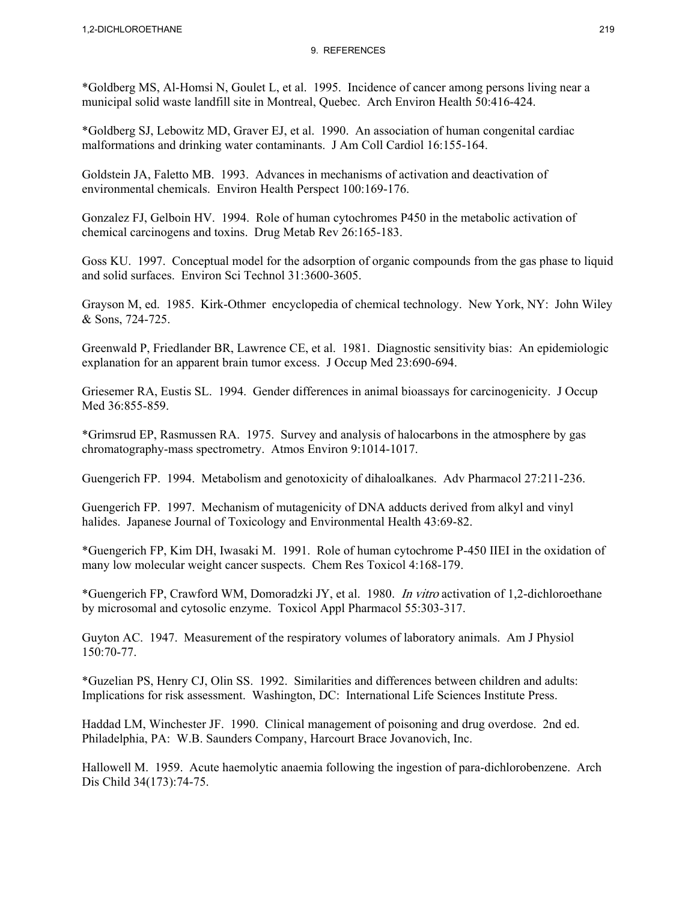\*Goldberg MS, Al-Homsi N, Goulet L, et al. 1995. Incidence of cancer among persons living near a municipal solid waste landfill site in Montreal, Quebec. Arch Environ Health 50:416-424.

\*Goldberg SJ, Lebowitz MD, Graver EJ, et al. 1990. An association of human congenital cardiac malformations and drinking water contaminants. J Am Coll Cardiol 16:155-164.

Goldstein JA, Faletto MB. 1993. Advances in mechanisms of activation and deactivation of environmental chemicals. Environ Health Perspect 100:169-176.

Gonzalez FJ, Gelboin HV. 1994. Role of human cytochromes P450 in the metabolic activation of chemical carcinogens and toxins. Drug Metab Rev 26:165-183.

Goss KU. 1997. Conceptual model for the adsorption of organic compounds from the gas phase to liquid and solid surfaces. Environ Sci Technol 31:3600-3605.

Grayson M, ed. 1985. Kirk-Othmer encyclopedia of chemical technology. New York, NY: John Wiley & Sons, 724-725.

Greenwald P, Friedlander BR, Lawrence CE, et al. 1981. Diagnostic sensitivity bias: An epidemiologic explanation for an apparent brain tumor excess. J Occup Med 23:690-694.

Griesemer RA, Eustis SL. 1994. Gender differences in animal bioassays for carcinogenicity. J Occup Med 36:855-859.

\*Grimsrud EP, Rasmussen RA. 1975. Survey and analysis of halocarbons in the atmosphere by gas chromatography-mass spectrometry. Atmos Environ 9:1014-1017.

Guengerich FP. 1994. Metabolism and genotoxicity of dihaloalkanes. Adv Pharmacol 27:211-236.

Guengerich FP. 1997. Mechanism of mutagenicity of DNA adducts derived from alkyl and vinyl halides. Japanese Journal of Toxicology and Environmental Health 43:69-82.

\*Guengerich FP, Kim DH, Iwasaki M. 1991. Role of human cytochrome P-450 IIEI in the oxidation of many low molecular weight cancer suspects. Chem Res Toxicol 4:168-179.

\*Guengerich FP, Crawford WM, Domoradzki JY, et al. 1980. In vitro activation of 1,2-dichloroethane by microsomal and cytosolic enzyme. Toxicol Appl Pharmacol 55:303-317.

Guyton AC. 1947. Measurement of the respiratory volumes of laboratory animals. Am J Physiol 150:70-77.

\*Guzelian PS, Henry CJ, Olin SS. 1992. Similarities and differences between children and adults: Implications for risk assessment. Washington, DC: International Life Sciences Institute Press.

Haddad LM, Winchester JF. 1990. Clinical management of poisoning and drug overdose. 2nd ed. Philadelphia, PA: W.B. Saunders Company, Harcourt Brace Jovanovich, Inc.

Hallowell M. 1959. Acute haemolytic anaemia following the ingestion of para-dichlorobenzene. Arch Dis Child 34(173):74-75.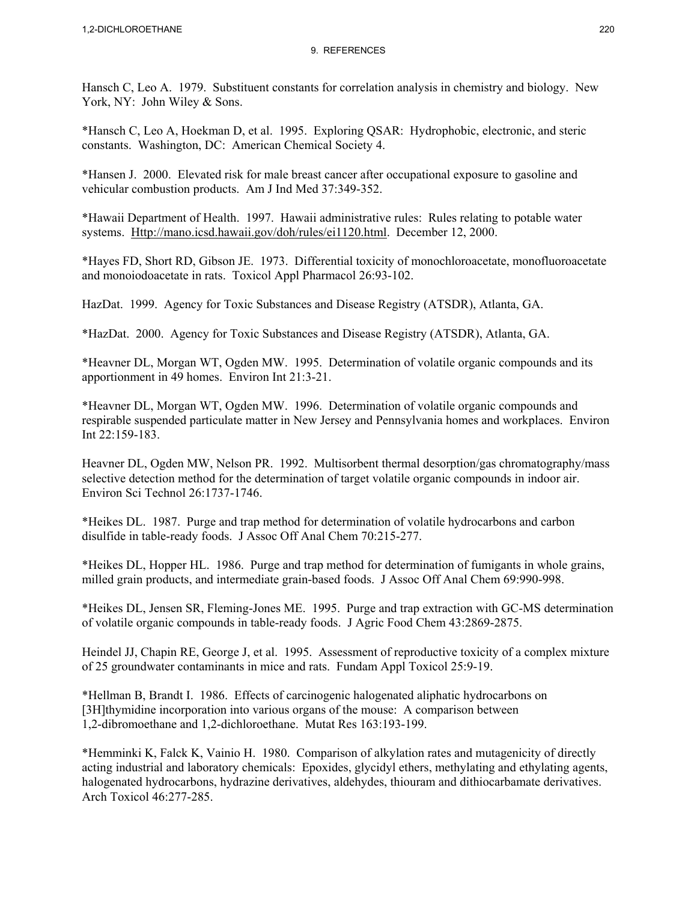Hansch C, Leo A. 1979. Substituent constants for correlation analysis in chemistry and biology. New York, NY: John Wiley & Sons.

\*Hansch C, Leo A, Hoekman D, et al. 1995. Exploring QSAR: Hydrophobic, electronic, and steric constants. Washington, DC: American Chemical Society 4.

\*Hansen J. 2000. Elevated risk for male breast cancer after occupational exposure to gasoline and vehicular combustion products. Am J Ind Med 37:349-352.

\*Hawaii Department of Health. 1997. Hawaii administrative rules: Rules relating to potable water systems. Http://mano.icsd.hawaii.gov/doh/rules/ei1120.html. December 12, 2000.

\*Hayes FD, Short RD, Gibson JE. 1973. Differential toxicity of monochloroacetate, monofluoroacetate and monoiodoacetate in rats. Toxicol Appl Pharmacol 26:93-102.

HazDat. 1999. Agency for Toxic Substances and Disease Registry (ATSDR), Atlanta, GA.

\*HazDat. 2000. Agency for Toxic Substances and Disease Registry (ATSDR), Atlanta, GA.

\*Heavner DL, Morgan WT, Ogden MW. 1995. Determination of volatile organic compounds and its apportionment in 49 homes. Environ Int 21:3-21.

\*Heavner DL, Morgan WT, Ogden MW. 1996. Determination of volatile organic compounds and respirable suspended particulate matter in New Jersey and Pennsylvania homes and workplaces. Environ Int 22:159-183.

Heavner DL, Ogden MW, Nelson PR. 1992. Multisorbent thermal desorption/gas chromatography/mass selective detection method for the determination of target volatile organic compounds in indoor air. Environ Sci Technol 26:1737-1746.

\*Heikes DL. 1987. Purge and trap method for determination of volatile hydrocarbons and carbon disulfide in table-ready foods. J Assoc Off Anal Chem 70:215-277.

\*Heikes DL, Hopper HL. 1986. Purge and trap method for determination of fumigants in whole grains, milled grain products, and intermediate grain-based foods. J Assoc Off Anal Chem 69:990-998.

\*Heikes DL, Jensen SR, Fleming-Jones ME. 1995. Purge and trap extraction with GC-MS determination of volatile organic compounds in table-ready foods. J Agric Food Chem 43:2869-2875.

Heindel JJ, Chapin RE, George J, et al. 1995. Assessment of reproductive toxicity of a complex mixture of 25 groundwater contaminants in mice and rats. Fundam Appl Toxicol 25:9-19.

\*Hellman B, Brandt I. 1986. Effects of carcinogenic halogenated aliphatic hydrocarbons on [3H]thymidine incorporation into various organs of the mouse: A comparison between 1,2-dibromoethane and 1,2-dichloroethane. Mutat Res 163:193-199.

\*Hemminki K, Falck K, Vainio H. 1980. Comparison of alkylation rates and mutagenicity of directly acting industrial and laboratory chemicals: Epoxides, glycidyl ethers, methylating and ethylating agents, halogenated hydrocarbons, hydrazine derivatives, aldehydes, thiouram and dithiocarbamate derivatives. Arch Toxicol 46:277-285.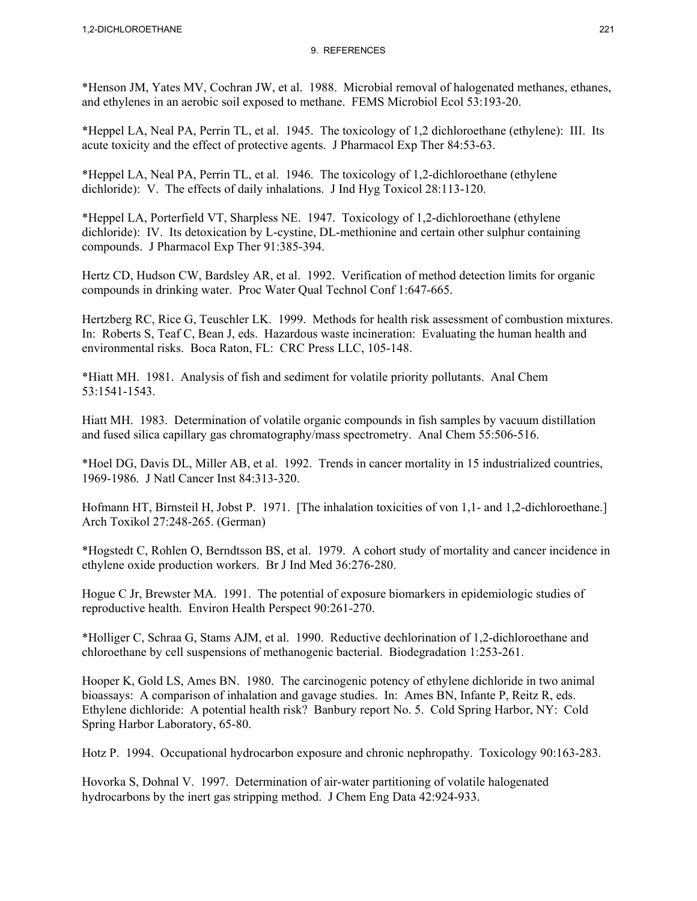\*Henson JM, Yates MV, Cochran JW, et al. 1988. Microbial removal of halogenated methanes, ethanes, and ethylenes in an aerobic soil exposed to methane. FEMS Microbiol Ecol 53:193-20.

\*Heppel LA, Neal PA, Perrin TL, et al. 1945. The toxicology of 1,2 dichloroethane (ethylene): III. Its acute toxicity and the effect of protective agents. J Pharmacol Exp Ther 84:53-63.

\*Heppel LA, Neal PA, Perrin TL, et al. 1946. The toxicology of 1,2-dichloroethane (ethylene dichloride): V. The effects of daily inhalations. J Ind Hyg Toxicol 28:113-120.

\*Heppel LA, Porterfield VT, Sharpless NE. 1947. Toxicology of 1,2-dichloroethane (ethylene dichloride): IV. Its detoxication by L-cystine, DL-methionine and certain other sulphur containing compounds. J Pharmacol Exp Ther 91:385-394.

Hertz CD, Hudson CW, Bardsley AR, et al. 1992. Verification of method detection limits for organic compounds in drinking water. Proc Water Qual Technol Conf 1:647-665.

Hertzberg RC, Rice G, Teuschler LK. 1999. Methods for health risk assessment of combustion mixtures. In: Roberts S, Teaf C, Bean J, eds. Hazardous waste incineration: Evaluating the human health and environmental risks. Boca Raton, FL: CRC Press LLC, 105-148.

\*Hiatt MH. 1981. Analysis of fish and sediment for volatile priority pollutants. Anal Chem 53:1541-1543.

Hiatt MH. 1983. Determination of volatile organic compounds in fish samples by vacuum distillation and fused silica capillary gas chromatography/mass spectrometry. Anal Chem 55:506-516.

\*Hoel DG, Davis DL, Miller AB, et al. 1992. Trends in cancer mortality in 15 industrialized countries, 1969-1986. J Natl Cancer Inst 84:313-320.

Hofmann HT, Birnsteil H, Jobst P. 1971. [The inhalation toxicities of von 1,1- and 1,2-dichloroethane.] Arch Toxikol 27:248-265. (German)

\*Hogstedt C, Rohlen O, Berndtsson BS, et al. 1979. A cohort study of mortality and cancer incidence in ethylene oxide production workers. Br J Ind Med 36:276-280.

Hogue C Jr, Brewster MA. 1991. The potential of exposure biomarkers in epidemiologic studies of reproductive health. Environ Health Perspect 90:261-270.

\*Holliger C, Schraa G, Stams AJM, et al. 1990. Reductive dechlorination of 1,2-dichloroethane and chloroethane by cell suspensions of methanogenic bacterial. Biodegradation 1:253-261.

Hooper K, Gold LS, Ames BN. 1980. The carcinogenic potency of ethylene dichloride in two animal bioassays: A comparison of inhalation and gavage studies. In: Ames BN, Infante P, Reitz R, eds. Ethylene dichloride: A potential health risk? Banbury report No. 5. Cold Spring Harbor, NY: Cold Spring Harbor Laboratory, 65-80.

Hotz P. 1994. Occupational hydrocarbon exposure and chronic nephropathy. Toxicology 90:163-283.

Hovorka S, Dohnal V. 1997. Determination of air-water partitioning of volatile halogenated hydrocarbons by the inert gas stripping method. J Chem Eng Data 42:924-933.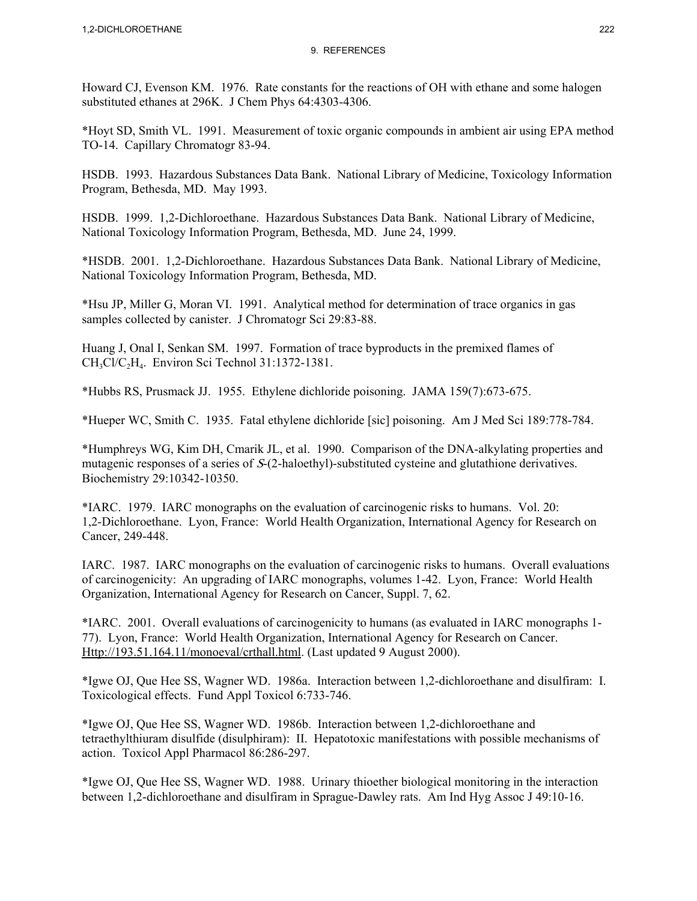Howard CJ, Evenson KM. 1976. Rate constants for the reactions of OH with ethane and some halogen substituted ethanes at 296K. J Chem Phys 64:4303-4306.

\*Hoyt SD, Smith VL. 1991. Measurement of toxic organic compounds in ambient air using EPA method TO-14. Capillary Chromatogr 83-94.

HSDB. 1993. Hazardous Substances Data Bank. National Library of Medicine, Toxicology Information Program, Bethesda, MD. May 1993.

HSDB. 1999. 1,2-Dichloroethane. Hazardous Substances Data Bank. National Library of Medicine, National Toxicology Information Program, Bethesda, MD. June 24, 1999.

\*HSDB. 2001. 1,2-Dichloroethane. Hazardous Substances Data Bank. National Library of Medicine, National Toxicology Information Program, Bethesda, MD.

\*Hsu JP, Miller G, Moran VI. 1991. Analytical method for determination of trace organics in gas samples collected by canister. J Chromatogr Sci 29:83-88.

Huang J, Onal I, Senkan SM. 1997. Formation of trace byproducts in the premixed flames of CH<sub>3</sub>Cl/C<sub>2</sub>H<sub>4</sub>. Environ Sci Technol 31:1372-1381.

\*Hubbs RS, Prusmack JJ. 1955. Ethylene dichloride poisoning. JAMA 159(7):673-675.

\*Hueper WC, Smith C. 1935. Fatal ethylene dichloride [sic] poisoning. Am J Med Sci 189:778-784.

\*Humphreys WG, Kim DH, Cmarik JL, et al. 1990. Comparison of the DNA-alkylating properties and mutagenic responses of a series of S-(2-haloethyl)-substituted cysteine and glutathione derivatives. Biochemistry 29:10342-10350.

\*IARC. 1979. IARC monographs on the evaluation of carcinogenic risks to humans. Vol. 20: 1,2-Dichloroethane. Lyon, France: World Health Organization, International Agency for Research on Cancer, 249-448.

IARC. 1987. IARC monographs on the evaluation of carcinogenic risks to humans. Overall evaluations of carcinogenicity: An upgrading of IARC monographs, volumes 1-42. Lyon, France: World Health Organization, International Agency for Research on Cancer, Suppl. 7, 62.

\*IARC. 2001. Overall evaluations of carcinogenicity to humans (as evaluated in IARC monographs 1- 77). Lyon, France: World Health Organization, International Agency for Research on Cancer. Http://193.51.164.11/monoeval/crthall.html. (Last updated 9 August 2000).

\*Igwe OJ, Que Hee SS, Wagner WD. 1986a. Interaction between 1,2-dichloroethane and disulfiram: I. Toxicological effects. Fund Appl Toxicol 6:733-746.

\*Igwe OJ, Que Hee SS, Wagner WD. 1986b. Interaction between 1,2-dichloroethane and tetraethylthiuram disulfide (disulphiram): II. Hepatotoxic manifestations with possible mechanisms of action. Toxicol Appl Pharmacol 86:286-297.

\*Igwe OJ, Que Hee SS, Wagner WD. 1988. Urinary thioether biological monitoring in the interaction between 1,2-dichloroethane and disulfiram in Sprague-Dawley rats. Am Ind Hyg Assoc J 49:10-16.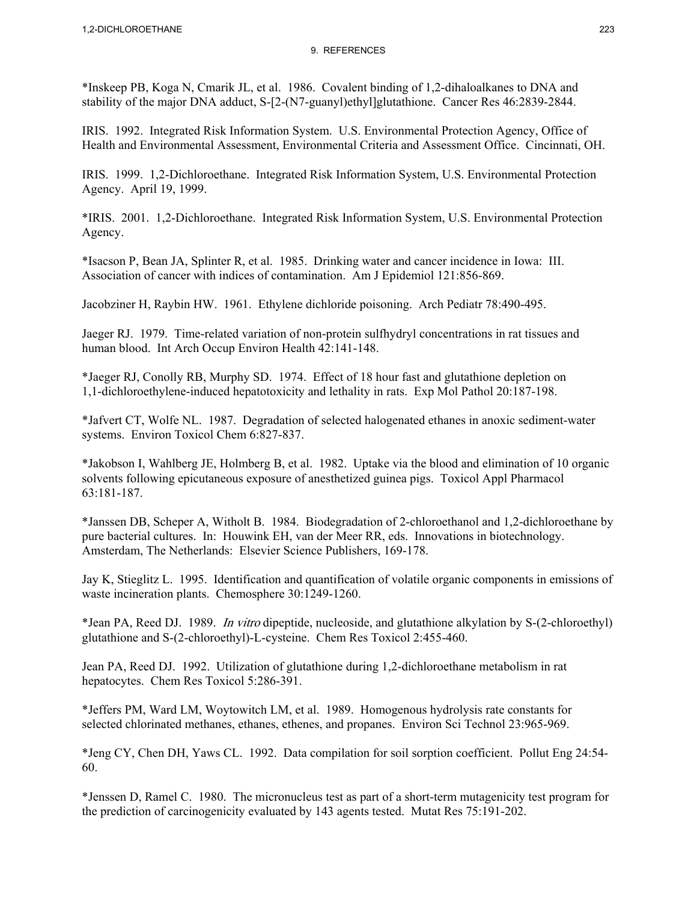\*Inskeep PB, Koga N, Cmarik JL, et al. 1986. Covalent binding of 1,2-dihaloalkanes to DNA and stability of the major DNA adduct, S-[2-(N7-guanyl)ethyl]glutathione. Cancer Res 46:2839-2844.

IRIS. 1992. Integrated Risk Information System. U.S. Environmental Protection Agency, Office of Health and Environmental Assessment, Environmental Criteria and Assessment Office. Cincinnati, OH.

IRIS. 1999. 1,2-Dichloroethane. Integrated Risk Information System, U.S. Environmental Protection Agency. April 19, 1999.

\*IRIS. 2001. 1,2-Dichloroethane. Integrated Risk Information System, U.S. Environmental Protection Agency.

\*Isacson P, Bean JA, Splinter R, et al. 1985. Drinking water and cancer incidence in Iowa: III. Association of cancer with indices of contamination. Am J Epidemiol 121:856-869.

Jacobziner H, Raybin HW. 1961. Ethylene dichloride poisoning. Arch Pediatr 78:490-495.

Jaeger RJ. 1979. Time-related variation of non-protein sulfhydryl concentrations in rat tissues and human blood. Int Arch Occup Environ Health 42:141-148.

\*Jaeger RJ, Conolly RB, Murphy SD. 1974. Effect of 18 hour fast and glutathione depletion on 1,1-dichloroethylene-induced hepatotoxicity and lethality in rats. Exp Mol Pathol 20:187-198.

\*Jafvert CT, Wolfe NL. 1987. Degradation of selected halogenated ethanes in anoxic sediment-water systems. Environ Toxicol Chem 6:827-837.

\*Jakobson I, Wahlberg JE, Holmberg B, et al. 1982. Uptake via the blood and elimination of 10 organic solvents following epicutaneous exposure of anesthetized guinea pigs. Toxicol Appl Pharmacol 63:181-187.

\*Janssen DB, Scheper A, Witholt B. 1984. Biodegradation of 2-chloroethanol and 1,2-dichloroethane by pure bacterial cultures. In: Houwink EH, van der Meer RR, eds. Innovations in biotechnology. Amsterdam, The Netherlands: Elsevier Science Publishers, 169-178.

Jay K, Stieglitz L. 1995. Identification and quantification of volatile organic components in emissions of waste incineration plants. Chemosphere 30:1249-1260.

\*Jean PA, Reed DJ. 1989. In vitro dipeptide, nucleoside, and glutathione alkylation by S-(2-chloroethyl) glutathione and S-(2-chloroethyl)-L-cysteine. Chem Res Toxicol 2:455-460.

Jean PA, Reed DJ. 1992. Utilization of glutathione during 1,2-dichloroethane metabolism in rat hepatocytes. Chem Res Toxicol 5:286-391.

\*Jeffers PM, Ward LM, Woytowitch LM, et al. 1989. Homogenous hydrolysis rate constants for selected chlorinated methanes, ethanes, ethenes, and propanes. Environ Sci Technol 23:965-969.

\*Jeng CY, Chen DH, Yaws CL. 1992. Data compilation for soil sorption coefficient. Pollut Eng 24:54- 60.

\*Jenssen D, Ramel C. 1980. The micronucleus test as part of a short-term mutagenicity test program for the prediction of carcinogenicity evaluated by 143 agents tested. Mutat Res 75:191-202.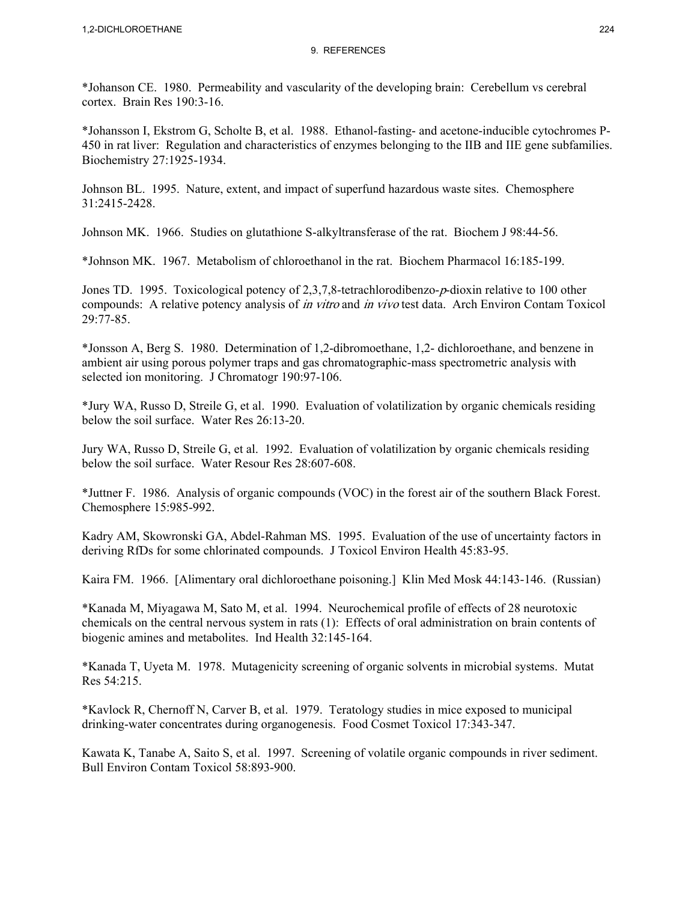\*Johanson CE. 1980. Permeability and vascularity of the developing brain: Cerebellum vs cerebral cortex. Brain Res 190:3-16.

\*Johansson I, Ekstrom G, Scholte B, et al. 1988. Ethanol-fasting- and acetone-inducible cytochromes P-450 in rat liver: Regulation and characteristics of enzymes belonging to the IIB and IIE gene subfamilies. Biochemistry 27:1925-1934.

Johnson BL. 1995. Nature, extent, and impact of superfund hazardous waste sites. Chemosphere 31:2415-2428.

Johnson MK. 1966. Studies on glutathione S-alkyltransferase of the rat. Biochem J 98:44-56.

\*Johnson MK. 1967. Metabolism of chloroethanol in the rat. Biochem Pharmacol 16:185-199.

Jones TD. 1995. Toxicological potency of 2,3,7,8-tetrachlorodibenzo-p-dioxin relative to 100 other compounds: A relative potency analysis of *in vitro* and *in vivo* test data. Arch Environ Contam Toxicol 29:77-85.

\*Jonsson A, Berg S. 1980. Determination of 1,2-dibromoethane, 1,2- dichloroethane, and benzene in ambient air using porous polymer traps and gas chromatographic-mass spectrometric analysis with selected ion monitoring. J Chromatogr 190:97-106.

\*Jury WA, Russo D, Streile G, et al. 1990. Evaluation of volatilization by organic chemicals residing below the soil surface. Water Res 26:13-20.

Jury WA, Russo D, Streile G, et al. 1992. Evaluation of volatilization by organic chemicals residing below the soil surface. Water Resour Res 28:607-608.

\*Juttner F. 1986. Analysis of organic compounds (VOC) in the forest air of the southern Black Forest. Chemosphere 15:985-992.

Kadry AM, Skowronski GA, Abdel-Rahman MS. 1995. Evaluation of the use of uncertainty factors in deriving RfDs for some chlorinated compounds. J Toxicol Environ Health 45:83-95.

Kaira FM. 1966. [Alimentary oral dichloroethane poisoning.] Klin Med Mosk 44:143-146. (Russian)

\*Kanada M, Miyagawa M, Sato M, et al. 1994. Neurochemical profile of effects of 28 neurotoxic chemicals on the central nervous system in rats (1): Effects of oral administration on brain contents of biogenic amines and metabolites. Ind Health 32:145-164.

\*Kanada T, Uyeta M. 1978. Mutagenicity screening of organic solvents in microbial systems. Mutat Res 54:215.

\*Kavlock R, Chernoff N, Carver B, et al. 1979. Teratology studies in mice exposed to municipal drinking-water concentrates during organogenesis. Food Cosmet Toxicol 17:343-347.

Kawata K, Tanabe A, Saito S, et al. 1997. Screening of volatile organic compounds in river sediment. Bull Environ Contam Toxicol 58:893-900.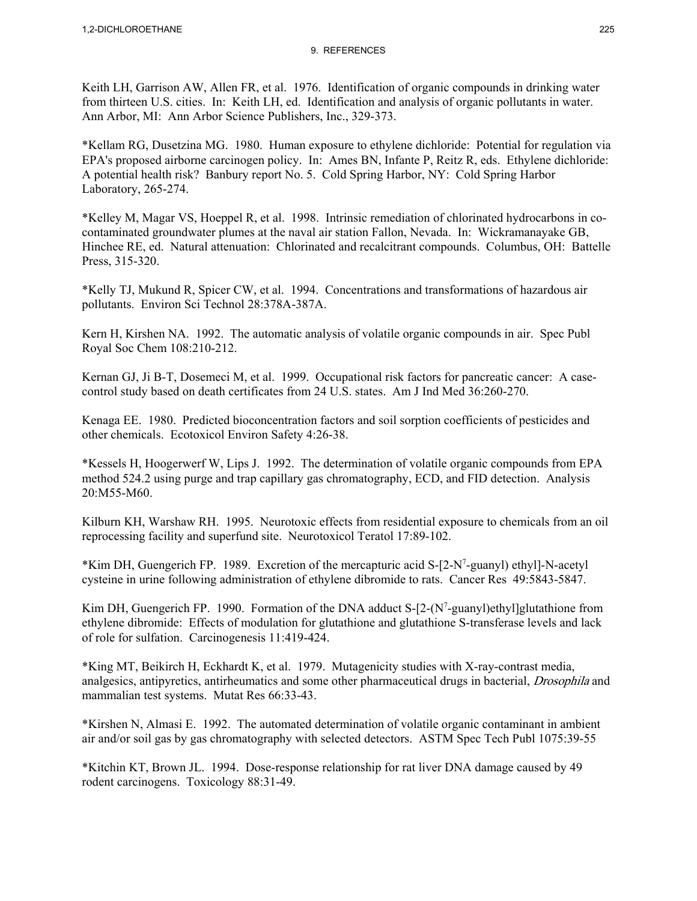Keith LH, Garrison AW, Allen FR, et al. 1976. Identification of organic compounds in drinking water from thirteen U.S. cities. In: Keith LH, ed. Identification and analysis of organic pollutants in water. Ann Arbor, MI: Ann Arbor Science Publishers, Inc., 329-373.

\*Kellam RG, Dusetzina MG. 1980. Human exposure to ethylene dichloride: Potential for regulation via EPA's proposed airborne carcinogen policy. In: Ames BN, Infante P, Reitz R, eds. Ethylene dichloride: A potential health risk? Banbury report No. 5. Cold Spring Harbor, NY: Cold Spring Harbor Laboratory, 265-274.

\*Kelley M, Magar VS, Hoeppel R, et al. 1998. Intrinsic remediation of chlorinated hydrocarbons in cocontaminated groundwater plumes at the naval air station Fallon, Nevada. In: Wickramanayake GB, Hinchee RE, ed. Natural attenuation: Chlorinated and recalcitrant compounds. Columbus, OH: Battelle Press, 315-320.

\*Kelly TJ, Mukund R, Spicer CW, et al. 1994. Concentrations and transformations of hazardous air pollutants. Environ Sci Technol 28:378A-387A.

Kern H, Kirshen NA. 1992. The automatic analysis of volatile organic compounds in air. Spec Publ Royal Soc Chem 108:210-212.

Kernan GJ, Ji B-T, Dosemeci M, et al. 1999. Occupational risk factors for pancreatic cancer: A casecontrol study based on death certificates from 24 U.S. states. Am J Ind Med 36:260-270.

Kenaga EE. 1980. Predicted bioconcentration factors and soil sorption coefficients of pesticides and other chemicals. Ecotoxicol Environ Safety 4:26-38.

\*Kessels H, Hoogerwerf W, Lips J. 1992. The determination of volatile organic compounds from EPA method 524.2 using purge and trap capillary gas chromatography, ECD, and FID detection. Analysis 20:M55-M60.

Kilburn KH, Warshaw RH. 1995. Neurotoxic effects from residential exposure to chemicals from an oil reprocessing facility and superfund site. Neurotoxicol Teratol 17:89-102.

\*Kim DH, Guengerich FP. 1989. Excretion of the mercapturic acid S-[2-N7 -guanyl) ethyl]-N-acetyl cysteine in urine following administration of ethylene dibromide to rats. Cancer Res 49:5843-5847.

Kim DH, Guengerich FP. 1990. Formation of the DNA adduct  $S-[2-(N^7-guany])$ ethyl]glutathione from ethylene dibromide: Effects of modulation for glutathione and glutathione S-transferase levels and lack of role for sulfation. Carcinogenesis 11:419-424.

\*King MT, Beikirch H, Eckhardt K, et al. 1979. Mutagenicity studies with X-ray-contrast media, analgesics, antipyretics, antirheumatics and some other pharmaceutical drugs in bacterial, Drosophila and mammalian test systems. Mutat Res 66:33-43.

\*Kirshen N, Almasi E. 1992. The automated determination of volatile organic contaminant in ambient air and/or soil gas by gas chromatography with selected detectors. ASTM Spec Tech Publ 1075:39-55

\*Kitchin KT, Brown JL. 1994. Dose-response relationship for rat liver DNA damage caused by 49 rodent carcinogens. Toxicology 88:31-49.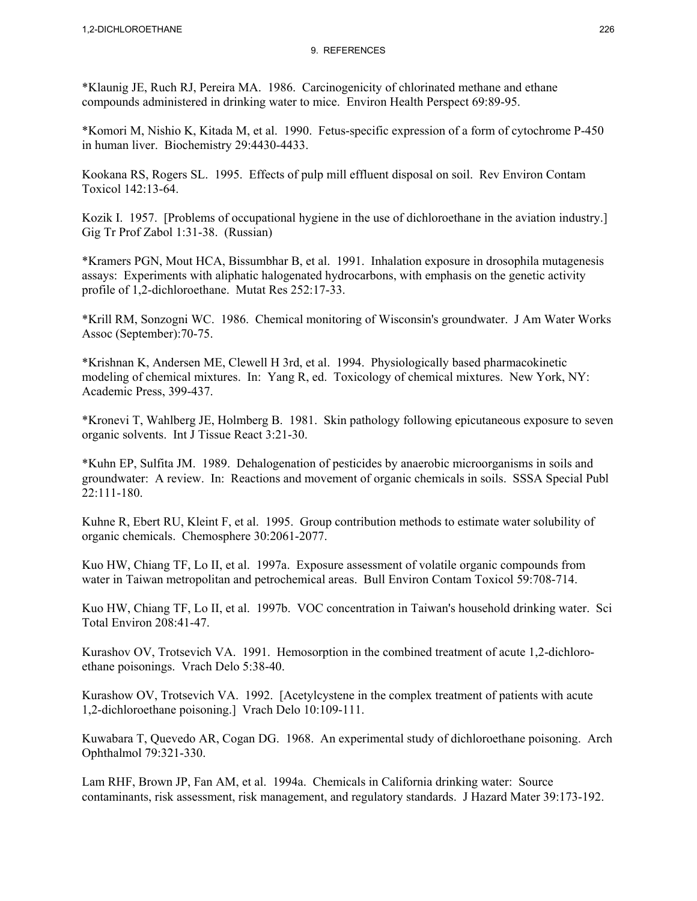\*Klaunig JE, Ruch RJ, Pereira MA. 1986. Carcinogenicity of chlorinated methane and ethane compounds administered in drinking water to mice. Environ Health Perspect 69:89-95.

\*Komori M, Nishio K, Kitada M, et al. 1990. Fetus-specific expression of a form of cytochrome P-450 in human liver. Biochemistry 29:4430-4433.

Kookana RS, Rogers SL. 1995. Effects of pulp mill effluent disposal on soil. Rev Environ Contam Toxicol 142:13-64.

Kozik I. 1957. [Problems of occupational hygiene in the use of dichloroethane in the aviation industry.] Gig Tr Prof Zabol 1:31-38. (Russian)

\*Kramers PGN, Mout HCA, Bissumbhar B, et al. 1991. Inhalation exposure in drosophila mutagenesis assays: Experiments with aliphatic halogenated hydrocarbons, with emphasis on the genetic activity profile of 1,2-dichloroethane. Mutat Res 252:17-33.

\*Krill RM, Sonzogni WC. 1986. Chemical monitoring of Wisconsin's groundwater. J Am Water Works Assoc (September):70-75.

\*Krishnan K, Andersen ME, Clewell H 3rd, et al. 1994. Physiologically based pharmacokinetic modeling of chemical mixtures. In: Yang R, ed. Toxicology of chemical mixtures. New York, NY: Academic Press, 399-437.

\*Kronevi T, Wahlberg JE, Holmberg B. 1981. Skin pathology following epicutaneous exposure to seven organic solvents. Int J Tissue React 3:21-30.

\*Kuhn EP, Sulfita JM. 1989. Dehalogenation of pesticides by anaerobic microorganisms in soils and groundwater: A review. In: Reactions and movement of organic chemicals in soils. SSSA Special Publ 22:111-180.

Kuhne R, Ebert RU, Kleint F, et al. 1995. Group contribution methods to estimate water solubility of organic chemicals. Chemosphere 30:2061-2077.

Kuo HW, Chiang TF, Lo II, et al. 1997a. Exposure assessment of volatile organic compounds from water in Taiwan metropolitan and petrochemical areas. Bull Environ Contam Toxicol 59:708-714.

Kuo HW, Chiang TF, Lo II, et al. 1997b. VOC concentration in Taiwan's household drinking water. Sci Total Environ 208:41-47.

Kurashov OV, Trotsevich VA. 1991. Hemosorption in the combined treatment of acute 1,2-dichloroethane poisonings. Vrach Delo 5:38-40.

Kurashow OV, Trotsevich VA. 1992. [Acetylcystene in the complex treatment of patients with acute 1,2-dichloroethane poisoning.] Vrach Delo 10:109-111.

Kuwabara T, Quevedo AR, Cogan DG. 1968. An experimental study of dichloroethane poisoning. Arch Ophthalmol 79:321-330.

Lam RHF, Brown JP, Fan AM, et al. 1994a. Chemicals in California drinking water: Source contaminants, risk assessment, risk management, and regulatory standards. J Hazard Mater 39:173-192.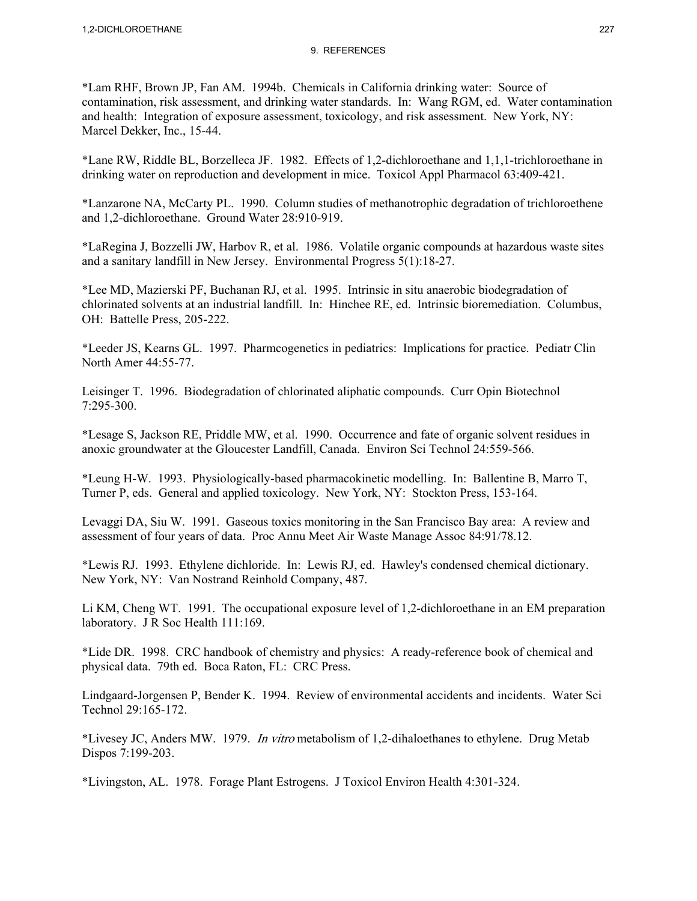\*Lam RHF, Brown JP, Fan AM. 1994b. Chemicals in California drinking water: Source of contamination, risk assessment, and drinking water standards. In: Wang RGM, ed. Water contamination and health: Integration of exposure assessment, toxicology, and risk assessment. New York, NY: Marcel Dekker, Inc., 15-44.

\*Lane RW, Riddle BL, Borzelleca JF. 1982. Effects of 1,2-dichloroethane and 1,1,1-trichloroethane in drinking water on reproduction and development in mice. Toxicol Appl Pharmacol 63:409-421.

\*Lanzarone NA, McCarty PL. 1990. Column studies of methanotrophic degradation of trichloroethene and 1,2-dichloroethane. Ground Water 28:910-919.

\*LaRegina J, Bozzelli JW, Harbov R, et al. 1986. Volatile organic compounds at hazardous waste sites and a sanitary landfill in New Jersey. Environmental Progress 5(1):18-27.

\*Lee MD, Mazierski PF, Buchanan RJ, et al. 1995. Intrinsic in situ anaerobic biodegradation of chlorinated solvents at an industrial landfill. In: Hinchee RE, ed. Intrinsic bioremediation. Columbus, OH: Battelle Press, 205-222.

\*Leeder JS, Kearns GL. 1997. Pharmcogenetics in pediatrics: Implications for practice. Pediatr Clin North Amer 44:55-77.

Leisinger T. 1996. Biodegradation of chlorinated aliphatic compounds. Curr Opin Biotechnol 7:295-300.

\*Lesage S, Jackson RE, Priddle MW, et al. 1990. Occurrence and fate of organic solvent residues in anoxic groundwater at the Gloucester Landfill, Canada. Environ Sci Technol 24:559-566.

\*Leung H-W. 1993. Physiologically-based pharmacokinetic modelling. In: Ballentine B, Marro T, Turner P, eds. General and applied toxicology. New York, NY: Stockton Press, 153-164.

Levaggi DA, Siu W. 1991. Gaseous toxics monitoring in the San Francisco Bay area: A review and assessment of four years of data. Proc Annu Meet Air Waste Manage Assoc 84:91/78.12.

\*Lewis RJ. 1993. Ethylene dichloride. In: Lewis RJ, ed. Hawley's condensed chemical dictionary. New York, NY: Van Nostrand Reinhold Company, 487.

Li KM, Cheng WT. 1991. The occupational exposure level of 1,2-dichloroethane in an EM preparation laboratory. J R Soc Health 111:169.

\*Lide DR. 1998. CRC handbook of chemistry and physics: A ready-reference book of chemical and physical data. 79th ed. Boca Raton, FL: CRC Press.

Lindgaard-Jorgensen P, Bender K. 1994. Review of environmental accidents and incidents. Water Sci Technol 29:165-172.

\*Livesey JC, Anders MW. 1979. In vitro metabolism of 1,2-dihaloethanes to ethylene. Drug Metab Dispos 7:199-203.

\*Livingston, AL. 1978. Forage Plant Estrogens. J Toxicol Environ Health 4:301-324.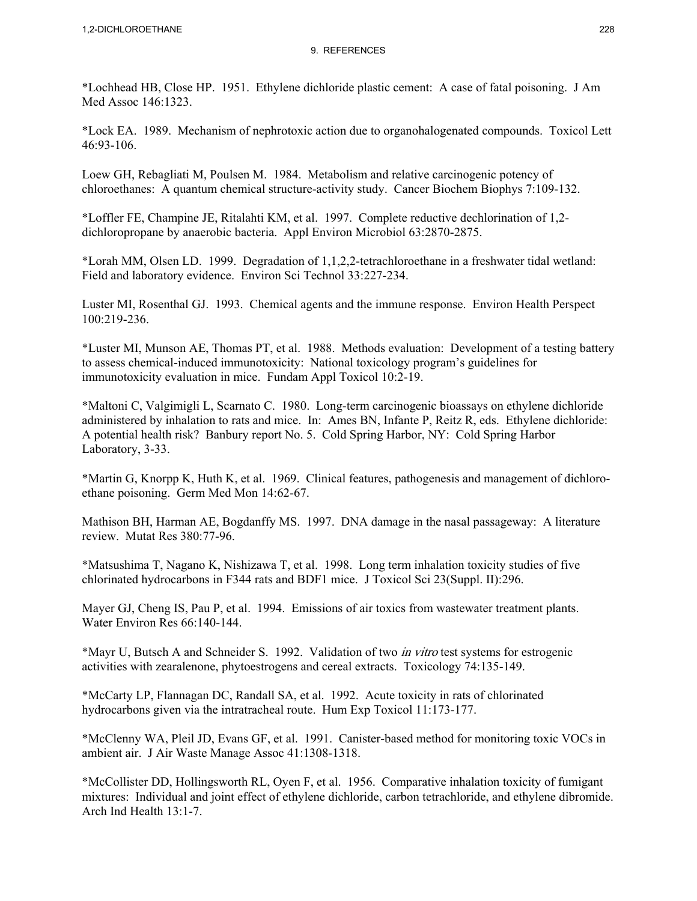\*Lochhead HB, Close HP. 1951. Ethylene dichloride plastic cement: A case of fatal poisoning. J Am Med Assoc 146:1323.

\*Lock EA. 1989. Mechanism of nephrotoxic action due to organohalogenated compounds. Toxicol Lett 46:93-106.

Loew GH, Rebagliati M, Poulsen M. 1984. Metabolism and relative carcinogenic potency of chloroethanes: A quantum chemical structure-activity study. Cancer Biochem Biophys 7:109-132.

\*Loffler FE, Champine JE, Ritalahti KM, et al. 1997. Complete reductive dechlorination of 1,2 dichloropropane by anaerobic bacteria. Appl Environ Microbiol 63:2870-2875.

\*Lorah MM, Olsen LD. 1999. Degradation of 1,1,2,2-tetrachloroethane in a freshwater tidal wetland: Field and laboratory evidence. Environ Sci Technol 33:227-234.

Luster MI, Rosenthal GJ. 1993. Chemical agents and the immune response. Environ Health Perspect 100:219-236.

\*Luster MI, Munson AE, Thomas PT, et al. 1988. Methods evaluation: Development of a testing battery to assess chemical-induced immunotoxicity: National toxicology program's guidelines for immunotoxicity evaluation in mice. Fundam Appl Toxicol 10:2-19.

\*Maltoni C, Valgimigli L, Scarnato C. 1980. Long-term carcinogenic bioassays on ethylene dichloride administered by inhalation to rats and mice. In: Ames BN, Infante P, Reitz R, eds. Ethylene dichloride: A potential health risk? Banbury report No. 5. Cold Spring Harbor, NY: Cold Spring Harbor Laboratory, 3-33.

\*Martin G, Knorpp K, Huth K, et al. 1969. Clinical features, pathogenesis and management of dichloroethane poisoning. Germ Med Mon 14:62-67.

Mathison BH, Harman AE, Bogdanffy MS. 1997. DNA damage in the nasal passageway: A literature review. Mutat Res 380:77-96.

\*Matsushima T, Nagano K, Nishizawa T, et al. 1998. Long term inhalation toxicity studies of five chlorinated hydrocarbons in F344 rats and BDF1 mice. J Toxicol Sci 23(Suppl. II):296.

Mayer GJ, Cheng IS, Pau P, et al. 1994. Emissions of air toxics from wastewater treatment plants. Water Environ Res 66:140-144.

\*Mayr U, Butsch A and Schneider S. 1992. Validation of two in vitro test systems for estrogenic activities with zearalenone, phytoestrogens and cereal extracts. Toxicology 74:135-149.

\*McCarty LP, Flannagan DC, Randall SA, et al. 1992. Acute toxicity in rats of chlorinated hydrocarbons given via the intratracheal route. Hum Exp Toxicol 11:173-177.

\*McClenny WA, Pleil JD, Evans GF, et al. 1991. Canister-based method for monitoring toxic VOCs in ambient air. J Air Waste Manage Assoc 41:1308-1318.

\*McCollister DD, Hollingsworth RL, Oyen F, et al. 1956. Comparative inhalation toxicity of fumigant mixtures: Individual and joint effect of ethylene dichloride, carbon tetrachloride, and ethylene dibromide. Arch Ind Health 13:1-7.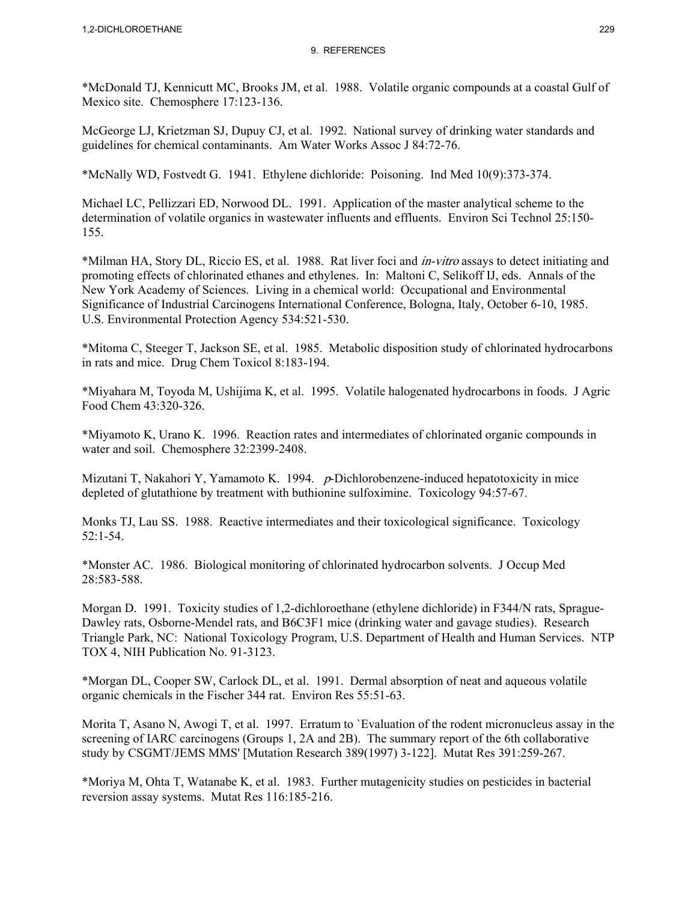\*McDonald TJ, Kennicutt MC, Brooks JM, et al. 1988. Volatile organic compounds at a coastal Gulf of Mexico site. Chemosphere 17:123-136.

McGeorge LJ, Krietzman SJ, Dupuy CJ, et al. 1992. National survey of drinking water standards and guidelines for chemical contaminants. Am Water Works Assoc J 84:72-76.

\*McNally WD, Fostvedt G. 1941. Ethylene dichloride: Poisoning. Ind Med 10(9):373-374.

Michael LC, Pellizzari ED, Norwood DL. 1991. Application of the master analytical scheme to the determination of volatile organics in wastewater influents and effluents. Environ Sci Technol 25:150- 155.

\*Milman HA, Story DL, Riccio ES, et al. 1988. Rat liver foci and in-vitro assays to detect initiating and promoting effects of chlorinated ethanes and ethylenes. In: Maltoni C, Selikoff IJ, eds. Annals of the New York Academy of Sciences. Living in a chemical world: Occupational and Environmental Significance of Industrial Carcinogens International Conference, Bologna, Italy, October 6-10, 1985. U.S. Environmental Protection Agency 534:521-530.

\*Mitoma C, Steeger T, Jackson SE, et al. 1985. Metabolic disposition study of chlorinated hydrocarbons in rats and mice. Drug Chem Toxicol 8:183-194.

\*Miyahara M, Toyoda M, Ushijima K, et al. 1995. Volatile halogenated hydrocarbons in foods. J Agric Food Chem 43:320-326.

\*Miyamoto K, Urano K. 1996. Reaction rates and intermediates of chlorinated organic compounds in water and soil. Chemosphere 32:2399-2408.

Mizutani T, Nakahori Y, Yamamoto K. 1994. p-Dichlorobenzene-induced hepatotoxicity in mice depleted of glutathione by treatment with buthionine sulfoximine. Toxicology 94:57-67.

Monks TJ, Lau SS. 1988. Reactive intermediates and their toxicological significance. Toxicology 52:1-54.

\*Monster AC. 1986. Biological monitoring of chlorinated hydrocarbon solvents. J Occup Med 28:583-588.

Morgan D. 1991. Toxicity studies of 1,2-dichloroethane (ethylene dichloride) in F344/N rats, Sprague-Dawley rats, Osborne-Mendel rats, and B6C3F1 mice (drinking water and gavage studies). Research Triangle Park, NC: National Toxicology Program, U.S. Department of Health and Human Services. NTP TOX 4, NIH Publication No. 91-3123.

\*Morgan DL, Cooper SW, Carlock DL, et al. 1991. Dermal absorption of neat and aqueous volatile organic chemicals in the Fischer 344 rat. Environ Res 55:51-63.

Morita T, Asano N, Awogi T, et al. 1997. Erratum to `Evaluation of the rodent micronucleus assay in the screening of IARC carcinogens (Groups 1, 2A and 2B). The summary report of the 6th collaborative study by CSGMT/JEMS MMS' [Mutation Research 389(1997) 3-122]. Mutat Res 391:259-267.

\*Moriya M, Ohta T, Watanabe K, et al. 1983. Further mutagenicity studies on pesticides in bacterial reversion assay systems. Mutat Res 116:185-216.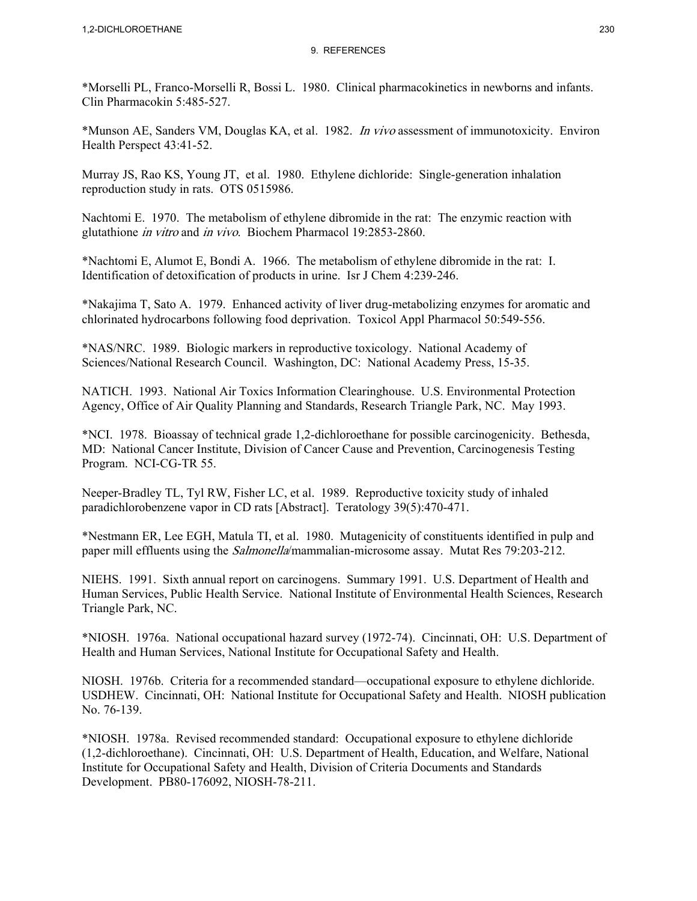\*Morselli PL, Franco-Morselli R, Bossi L. 1980. Clinical pharmacokinetics in newborns and infants. Clin Pharmacokin 5:485-527.

\*Munson AE, Sanders VM, Douglas KA, et al. 1982. In vivo assessment of immunotoxicity. Environ Health Perspect 43:41-52.

Murray JS, Rao KS, Young JT, et al. 1980. Ethylene dichloride: Single-generation inhalation reproduction study in rats. OTS 0515986.

Nachtomi E. 1970. The metabolism of ethylene dibromide in the rat: The enzymic reaction with glutathione in vitro and in vivo. Biochem Pharmacol 19:2853-2860.

\*Nachtomi E, Alumot E, Bondi A. 1966. The metabolism of ethylene dibromide in the rat: I. Identification of detoxification of products in urine. Isr J Chem 4:239-246.

\*Nakajima T, Sato A. 1979. Enhanced activity of liver drug-metabolizing enzymes for aromatic and chlorinated hydrocarbons following food deprivation. Toxicol Appl Pharmacol 50:549-556.

\*NAS/NRC. 1989. Biologic markers in reproductive toxicology. National Academy of Sciences/National Research Council. Washington, DC: National Academy Press, 15-35.

NATICH. 1993. National Air Toxics Information Clearinghouse. U.S. Environmental Protection Agency, Office of Air Quality Planning and Standards, Research Triangle Park, NC. May 1993.

\*NCI. 1978. Bioassay of technical grade 1,2-dichloroethane for possible carcinogenicity. Bethesda, MD: National Cancer Institute, Division of Cancer Cause and Prevention, Carcinogenesis Testing Program. NCI-CG-TR 55.

Neeper-Bradley TL, Tyl RW, Fisher LC, et al. 1989. Reproductive toxicity study of inhaled paradichlorobenzene vapor in CD rats [Abstract]. Teratology 39(5):470-471.

\*Nestmann ER, Lee EGH, Matula TI, et al. 1980. Mutagenicity of constituents identified in pulp and paper mill effluents using the *Salmonella*/mammalian-microsome assay. Mutat Res 79:203-212.

NIEHS. 1991. Sixth annual report on carcinogens. Summary 1991. U.S. Department of Health and Human Services, Public Health Service. National Institute of Environmental Health Sciences, Research Triangle Park, NC.

\*NIOSH. 1976a. National occupational hazard survey (1972-74). Cincinnati, OH: U.S. Department of Health and Human Services, National Institute for Occupational Safety and Health.

NIOSH. 1976b. Criteria for a recommended standard—occupational exposure to ethylene dichloride. USDHEW. Cincinnati, OH: National Institute for Occupational Safety and Health. NIOSH publication No. 76-139.

\*NIOSH. 1978a. Revised recommended standard: Occupational exposure to ethylene dichloride (1,2-dichloroethane). Cincinnati, OH: U.S. Department of Health, Education, and Welfare, National Institute for Occupational Safety and Health, Division of Criteria Documents and Standards Development. PB80-176092, NIOSH-78-211.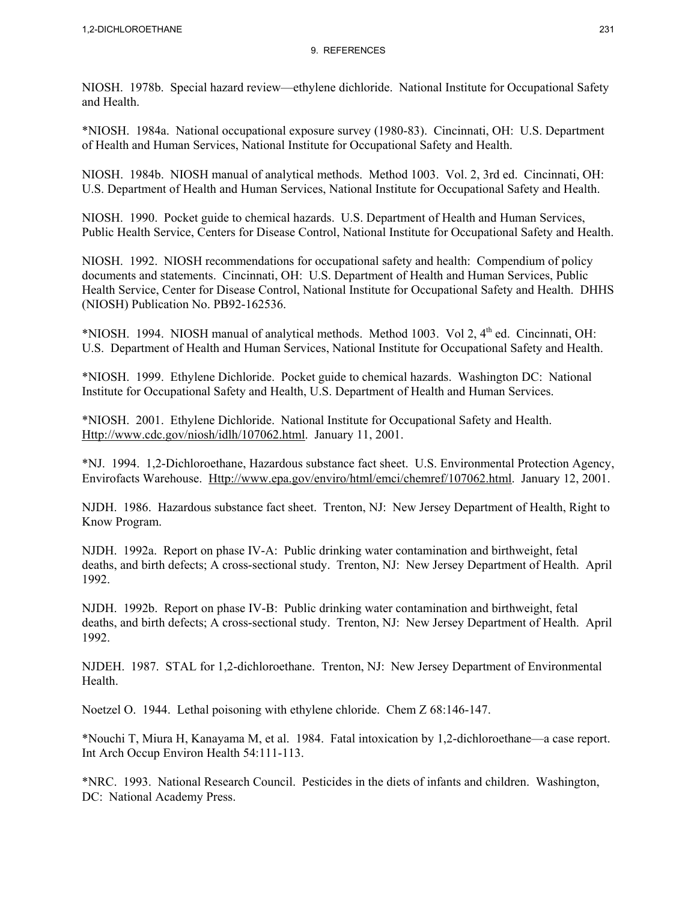NIOSH. 1978b. Special hazard review—ethylene dichloride. National Institute for Occupational Safety and Health.

\*NIOSH. 1984a. National occupational exposure survey (1980-83). Cincinnati, OH: U.S. Department of Health and Human Services, National Institute for Occupational Safety and Health.

NIOSH. 1984b. NIOSH manual of analytical methods. Method 1003. Vol. 2, 3rd ed. Cincinnati, OH: U.S. Department of Health and Human Services, National Institute for Occupational Safety and Health.

NIOSH. 1990. Pocket guide to chemical hazards. U.S. Department of Health and Human Services, Public Health Service, Centers for Disease Control, National Institute for Occupational Safety and Health.

NIOSH. 1992. NIOSH recommendations for occupational safety and health: Compendium of policy documents and statements. Cincinnati, OH: U.S. Department of Health and Human Services, Public Health Service, Center for Disease Control, National Institute for Occupational Safety and Health. DHHS (NIOSH) Publication No. PB92-162536.

\*NIOSH. 1994. NIOSH manual of analytical methods. Method 1003. Vol 2,  $4<sup>th</sup>$  ed. Cincinnati, OH: U.S. Department of Health and Human Services, National Institute for Occupational Safety and Health.

\*NIOSH. 1999. Ethylene Dichloride. Pocket guide to chemical hazards. Washington DC: National Institute for Occupational Safety and Health, U.S. Department of Health and Human Services.

\*NIOSH. 2001. Ethylene Dichloride. National Institute for Occupational Safety and Health. Http://www.cdc.gov/niosh/idlh/107062.html. January 11, 2001.

\*NJ. 1994. 1,2-Dichloroethane, Hazardous substance fact sheet. U.S. Environmental Protection Agency, Envirofacts Warehouse. Http://www.epa.gov/enviro/html/emci/chemref/107062.html. January 12, 2001.

NJDH. 1986. Hazardous substance fact sheet. Trenton, NJ: New Jersey Department of Health, Right to Know Program.

NJDH. 1992a. Report on phase IV-A: Public drinking water contamination and birthweight, fetal deaths, and birth defects; A cross-sectional study. Trenton, NJ: New Jersey Department of Health. April 1992.

NJDH. 1992b. Report on phase IV-B: Public drinking water contamination and birthweight, fetal deaths, and birth defects; A cross-sectional study. Trenton, NJ: New Jersey Department of Health. April 1992.

NJDEH. 1987. STAL for 1,2-dichloroethane. Trenton, NJ: New Jersey Department of Environmental Health.

Noetzel O. 1944. Lethal poisoning with ethylene chloride. Chem Z 68:146-147.

\*Nouchi T, Miura H, Kanayama M, et al. 1984. Fatal intoxication by 1,2-dichloroethane—a case report. Int Arch Occup Environ Health 54:111-113.

\*NRC. 1993. National Research Council. Pesticides in the diets of infants and children. Washington, DC: National Academy Press.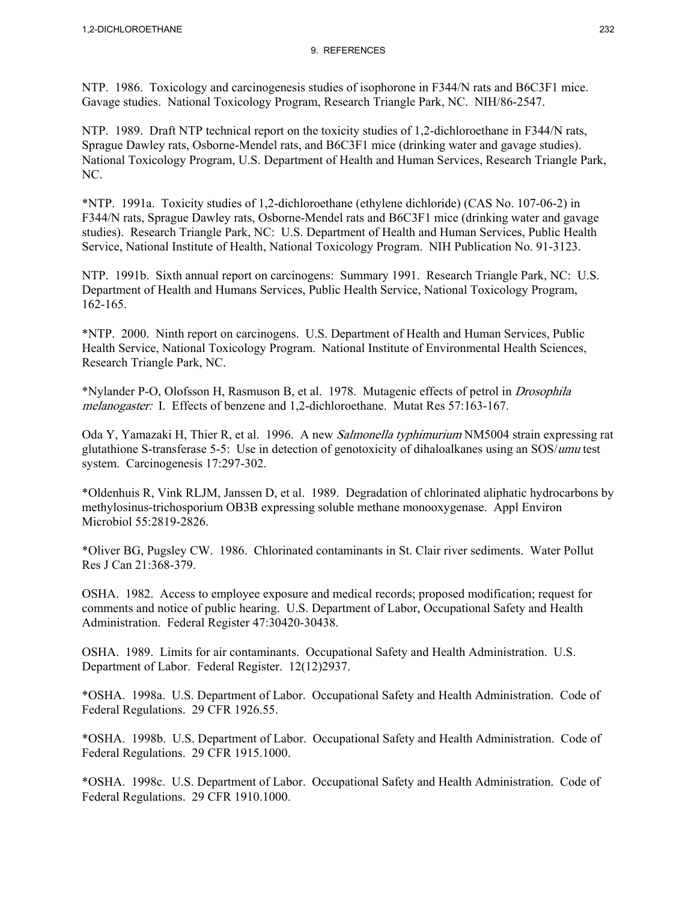NTP. 1986. Toxicology and carcinogenesis studies of isophorone in F344/N rats and B6C3F1 mice. Gavage studies. National Toxicology Program, Research Triangle Park, NC. NIH/86-2547.

NTP. 1989. Draft NTP technical report on the toxicity studies of 1,2-dichloroethane in F344/N rats, Sprague Dawley rats, Osborne-Mendel rats, and B6C3F1 mice (drinking water and gavage studies). National Toxicology Program, U.S. Department of Health and Human Services, Research Triangle Park, NC.

\*NTP. 1991a. Toxicity studies of 1,2-dichloroethane (ethylene dichloride) (CAS No. 107-06-2) in F344/N rats, Sprague Dawley rats, Osborne-Mendel rats and B6C3F1 mice (drinking water and gavage studies). Research Triangle Park, NC: U.S. Department of Health and Human Services, Public Health Service, National Institute of Health, National Toxicology Program. NIH Publication No. 91-3123.

NTP. 1991b. Sixth annual report on carcinogens: Summary 1991. Research Triangle Park, NC: U.S. Department of Health and Humans Services, Public Health Service, National Toxicology Program, 162-165.

\*NTP. 2000. Ninth report on carcinogens. U.S. Department of Health and Human Services, Public Health Service, National Toxicology Program. National Institute of Environmental Health Sciences, Research Triangle Park, NC.

\*Nylander P-O, Olofsson H, Rasmuson B, et al. 1978. Mutagenic effects of petrol in Drosophila melanogaster: I. Effects of benzene and 1,2-dichloroethane. Mutat Res 57:163-167.

Oda Y, Yamazaki H, Thier R, et al. 1996. A new *Salmonella typhimurium* NM5004 strain expressing rat glutathione S-transferase 5-5: Use in detection of genotoxicity of dihaloalkanes using an SOS/umu test system. Carcinogenesis 17:297-302.

\*Oldenhuis R, Vink RLJM, Janssen D, et al. 1989. Degradation of chlorinated aliphatic hydrocarbons by methylosinus-trichosporium OB3B expressing soluble methane monooxygenase. Appl Environ Microbiol 55:2819-2826.

\*Oliver BG, Pugsley CW. 1986. Chlorinated contaminants in St. Clair river sediments. Water Pollut Res J Can 21:368-379.

OSHA. 1982. Access to employee exposure and medical records; proposed modification; request for comments and notice of public hearing. U.S. Department of Labor, Occupational Safety and Health Administration. Federal Register 47:30420-30438.

OSHA. 1989. Limits for air contaminants. Occupational Safety and Health Administration. U.S. Department of Labor. Federal Register. 12(12)2937.

\*OSHA. 1998a. U.S. Department of Labor. Occupational Safety and Health Administration. Code of Federal Regulations. 29 CFR 1926.55.

\*OSHA. 1998b. U.S. Department of Labor. Occupational Safety and Health Administration. Code of Federal Regulations. 29 CFR 1915.1000.

\*OSHA. 1998c. U.S. Department of Labor. Occupational Safety and Health Administration. Code of Federal Regulations. 29 CFR 1910.1000.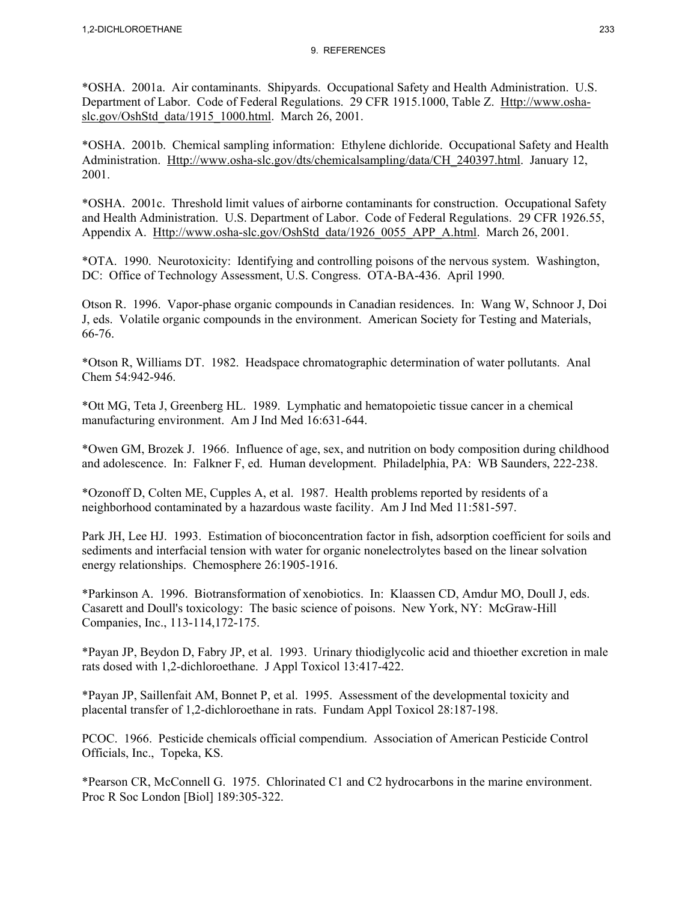\*OSHA. 2001a. Air contaminants. Shipyards. Occupational Safety and Health Administration. U.S. Department of Labor. Code of Federal Regulations. 29 CFR 1915.1000, Table Z. Http://www.oshaslc.gov/OshStd\_data/1915\_1000.html. March 26, 2001.

\*OSHA. 2001b. Chemical sampling information: Ethylene dichloride. Occupational Safety and Health Administration. Http://www.osha-slc.gov/dts/chemicalsampling/data/CH\_240397.html. January 12, 2001.

\*OSHA. 2001c. Threshold limit values of airborne contaminants for construction. Occupational Safety and Health Administration. U.S. Department of Labor. Code of Federal Regulations. 29 CFR 1926.55, Appendix A. Http://www.osha-slc.gov/OshStd\_data/1926\_0055\_APP\_A.html. March 26, 2001.

\*OTA. 1990. Neurotoxicity: Identifying and controlling poisons of the nervous system. Washington, DC: Office of Technology Assessment, U.S. Congress. OTA-BA-436. April 1990.

Otson R. 1996. Vapor-phase organic compounds in Canadian residences. In: Wang W, Schnoor J, Doi J, eds. Volatile organic compounds in the environment. American Society for Testing and Materials, 66-76.

\*Otson R, Williams DT. 1982. Headspace chromatographic determination of water pollutants. Anal Chem 54:942-946.

\*Ott MG, Teta J, Greenberg HL. 1989. Lymphatic and hematopoietic tissue cancer in a chemical manufacturing environment. Am J Ind Med 16:631-644.

\*Owen GM, Brozek J. 1966. Influence of age, sex, and nutrition on body composition during childhood and adolescence. In: Falkner F, ed. Human development. Philadelphia, PA: WB Saunders, 222-238.

\*Ozonoff D, Colten ME, Cupples A, et al. 1987. Health problems reported by residents of a neighborhood contaminated by a hazardous waste facility. Am J Ind Med 11:581-597.

Park JH, Lee HJ. 1993. Estimation of bioconcentration factor in fish, adsorption coefficient for soils and sediments and interfacial tension with water for organic nonelectrolytes based on the linear solvation energy relationships. Chemosphere 26:1905-1916.

\*Parkinson A. 1996. Biotransformation of xenobiotics. In: Klaassen CD, Amdur MO, Doull J, eds. Casarett and Doull's toxicology: The basic science of poisons. New York, NY: McGraw-Hill Companies, Inc., 113-114,172-175.

\*Payan JP, Beydon D, Fabry JP, et al. 1993. Urinary thiodiglycolic acid and thioether excretion in male rats dosed with 1,2-dichloroethane. J Appl Toxicol 13:417-422.

\*Payan JP, Saillenfait AM, Bonnet P, et al. 1995. Assessment of the developmental toxicity and placental transfer of 1,2-dichloroethane in rats. Fundam Appl Toxicol 28:187-198.

PCOC. 1966. Pesticide chemicals official compendium. Association of American Pesticide Control Officials, Inc., Topeka, KS.

\*Pearson CR, McConnell G. 1975. Chlorinated C1 and C2 hydrocarbons in the marine environment. Proc R Soc London [Biol] 189:305-322.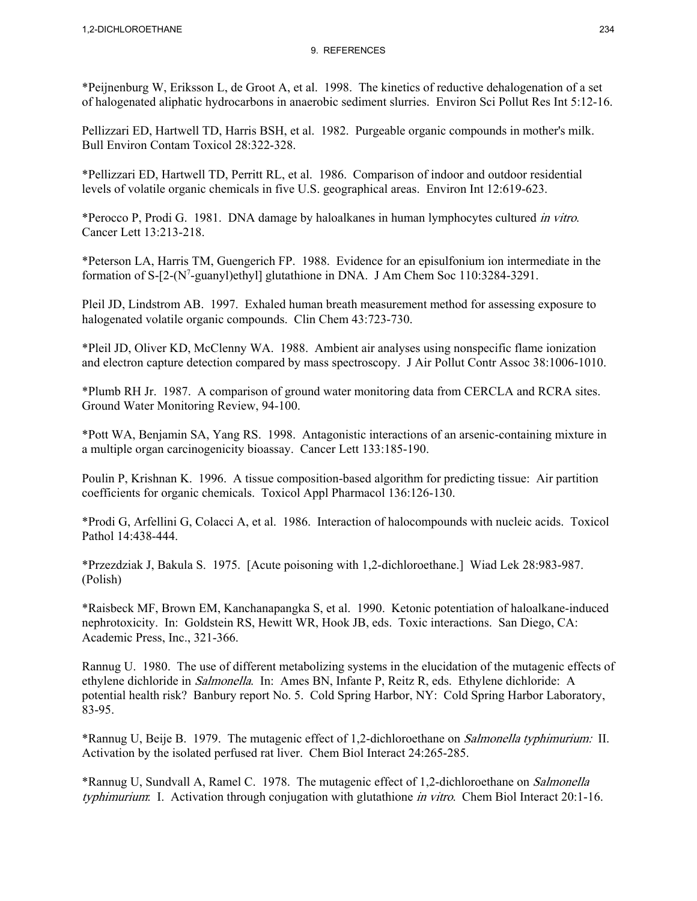\*Peijnenburg W, Eriksson L, de Groot A, et al. 1998. The kinetics of reductive dehalogenation of a set of halogenated aliphatic hydrocarbons in anaerobic sediment slurries. Environ Sci Pollut Res Int 5:12-16.

Pellizzari ED, Hartwell TD, Harris BSH, et al. 1982. Purgeable organic compounds in mother's milk. Bull Environ Contam Toxicol 28:322-328.

\*Pellizzari ED, Hartwell TD, Perritt RL, et al. 1986. Comparison of indoor and outdoor residential levels of volatile organic chemicals in five U.S. geographical areas. Environ Int 12:619-623.

\*Perocco P, Prodi G. 1981. DNA damage by haloalkanes in human lymphocytes cultured in vitro. Cancer Lett 13:213-218.

\*Peterson LA, Harris TM, Guengerich FP. 1988. Evidence for an episulfonium ion intermediate in the formation of S-[2-(N<sup>7</sup>-guanyl)ethyl] glutathione in DNA. J Am Chem Soc 110:3284-3291.

Pleil JD, Lindstrom AB. 1997. Exhaled human breath measurement method for assessing exposure to halogenated volatile organic compounds. Clin Chem 43:723-730.

\*Pleil JD, Oliver KD, McClenny WA. 1988. Ambient air analyses using nonspecific flame ionization and electron capture detection compared by mass spectroscopy. J Air Pollut Contr Assoc 38:1006-1010.

\*Plumb RH Jr. 1987. A comparison of ground water monitoring data from CERCLA and RCRA sites. Ground Water Monitoring Review, 94-100.

\*Pott WA, Benjamin SA, Yang RS. 1998. Antagonistic interactions of an arsenic-containing mixture in a multiple organ carcinogenicity bioassay. Cancer Lett 133:185-190.

Poulin P, Krishnan K. 1996. A tissue composition-based algorithm for predicting tissue: Air partition coefficients for organic chemicals. Toxicol Appl Pharmacol 136:126-130.

\*Prodi G, Arfellini G, Colacci A, et al. 1986. Interaction of halocompounds with nucleic acids. Toxicol Pathol 14:438-444.

\*Przezdziak J, Bakula S. 1975. [Acute poisoning with 1,2-dichloroethane.] Wiad Lek 28:983-987. (Polish)

\*Raisbeck MF, Brown EM, Kanchanapangka S, et al. 1990. Ketonic potentiation of haloalkane-induced nephrotoxicity. In: Goldstein RS, Hewitt WR, Hook JB, eds. Toxic interactions. San Diego, CA: Academic Press, Inc., 321-366.

Rannug U. 1980. The use of different metabolizing systems in the elucidation of the mutagenic effects of ethylene dichloride in Salmonella. In: Ames BN, Infante P, Reitz R, eds. Ethylene dichloride: A potential health risk? Banbury report No. 5. Cold Spring Harbor, NY: Cold Spring Harbor Laboratory, 83-95.

\*Rannug U, Beije B. 1979. The mutagenic effect of 1,2-dichloroethane on Salmonella typhimurium: II. Activation by the isolated perfused rat liver. Chem Biol Interact 24:265-285.

\*Rannug U, Sundvall A, Ramel C. 1978. The mutagenic effect of 1,2-dichloroethane on Salmonella typhimurium: I. Activation through conjugation with glutathione in vitro. Chem Biol Interact 20:1-16.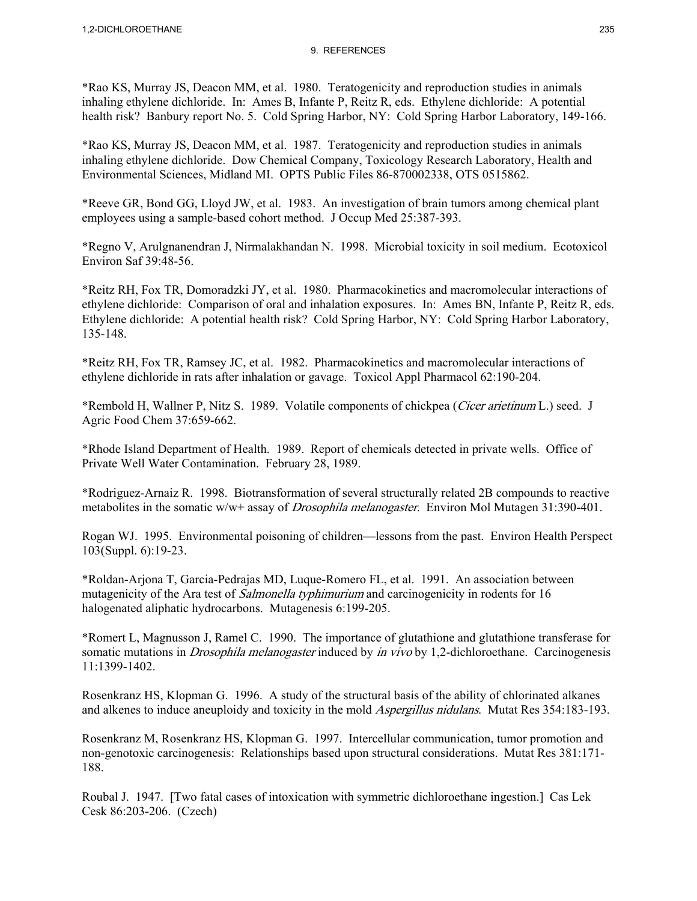\*Rao KS, Murray JS, Deacon MM, et al. 1980. Teratogenicity and reproduction studies in animals inhaling ethylene dichloride. In: Ames B, Infante P, Reitz R, eds. Ethylene dichloride: A potential health risk? Banbury report No. 5. Cold Spring Harbor, NY: Cold Spring Harbor Laboratory, 149-166.

\*Rao KS, Murray JS, Deacon MM, et al. 1987. Teratogenicity and reproduction studies in animals inhaling ethylene dichloride. Dow Chemical Company, Toxicology Research Laboratory, Health and Environmental Sciences, Midland MI. OPTS Public Files 86-870002338, OTS 0515862.

\*Reeve GR, Bond GG, Lloyd JW, et al. 1983. An investigation of brain tumors among chemical plant employees using a sample-based cohort method. J Occup Med 25:387-393.

\*Regno V, Arulgnanendran J, Nirmalakhandan N. 1998. Microbial toxicity in soil medium. Ecotoxicol Environ Saf 39:48-56.

\*Reitz RH, Fox TR, Domoradzki JY, et al. 1980. Pharmacokinetics and macromolecular interactions of ethylene dichloride: Comparison of oral and inhalation exposures. In: Ames BN, Infante P, Reitz R, eds. Ethylene dichloride: A potential health risk? Cold Spring Harbor, NY: Cold Spring Harbor Laboratory, 135-148.

\*Reitz RH, Fox TR, Ramsey JC, et al. 1982. Pharmacokinetics and macromolecular interactions of ethylene dichloride in rats after inhalation or gavage. Toxicol Appl Pharmacol 62:190-204.

\*Rembold H, Wallner P, Nitz S. 1989. Volatile components of chickpea (Cicer arietinum L.) seed. J Agric Food Chem 37:659-662.

\*Rhode Island Department of Health. 1989. Report of chemicals detected in private wells. Office of Private Well Water Contamination. February 28, 1989.

\*Rodriguez-Arnaiz R. 1998. Biotransformation of several structurally related 2B compounds to reactive metabolites in the somatic w/w+ assay of *Drosophila melanogaster*. Environ Mol Mutagen 31:390-401.

Rogan WJ. 1995. Environmental poisoning of children—lessons from the past. Environ Health Perspect 103(Suppl. 6):19-23.

\*Roldan-Arjona T, Garcia-Pedrajas MD, Luque-Romero FL, et al. 1991. An association between mutagenicity of the Ara test of *Salmonella typhimurium* and carcinogenicity in rodents for 16 halogenated aliphatic hydrocarbons. Mutagenesis 6:199-205.

\*Romert L, Magnusson J, Ramel C. 1990. The importance of glutathione and glutathione transferase for somatic mutations in *Drosophila melanogaster* induced by *in vivo* by 1,2-dichloroethane. Carcinogenesis 11:1399-1402.

Rosenkranz HS, Klopman G. 1996. A study of the structural basis of the ability of chlorinated alkanes and alkenes to induce aneuploidy and toxicity in the mold *Aspergillus nidulans*. Mutat Res 354:183-193.

Rosenkranz M, Rosenkranz HS, Klopman G. 1997. Intercellular communication, tumor promotion and non-genotoxic carcinogenesis: Relationships based upon structural considerations. Mutat Res 381:171- 188.

Roubal J. 1947. [Two fatal cases of intoxication with symmetric dichloroethane ingestion.] Cas Lek Cesk 86:203-206. (Czech)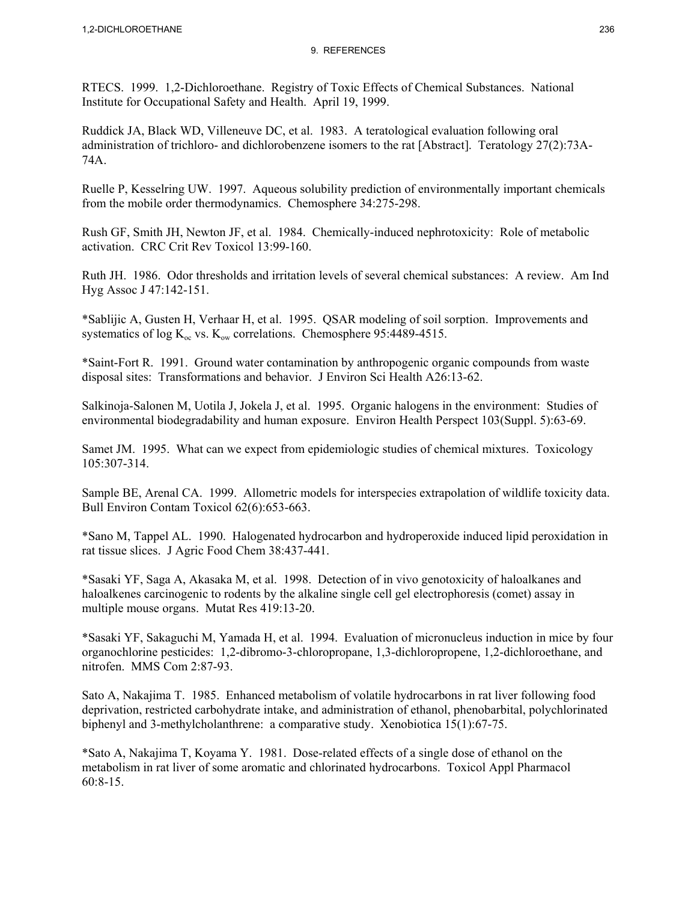RTECS. 1999. 1,2-Dichloroethane. Registry of Toxic Effects of Chemical Substances. National Institute for Occupational Safety and Health. April 19, 1999.

Ruddick JA, Black WD, Villeneuve DC, et al. 1983. A teratological evaluation following oral administration of trichloro- and dichlorobenzene isomers to the rat [Abstract]. Teratology 27(2):73A-74A.

Ruelle P, Kesselring UW. 1997. Aqueous solubility prediction of environmentally important chemicals from the mobile order thermodynamics. Chemosphere 34:275-298.

Rush GF, Smith JH, Newton JF, et al. 1984. Chemically-induced nephrotoxicity: Role of metabolic activation. CRC Crit Rev Toxicol 13:99-160.

Ruth JH. 1986. Odor thresholds and irritation levels of several chemical substances: A review. Am Ind Hyg Assoc J 47:142-151.

\*Sablijic A, Gusten H, Verhaar H, et al. 1995. QSAR modeling of soil sorption. Improvements and systematics of log  $K_{oc}$  vs.  $K_{ow}$  correlations. Chemosphere 95:4489-4515.

\*Saint-Fort R. 1991. Ground water contamination by anthropogenic organic compounds from waste disposal sites: Transformations and behavior. J Environ Sci Health A26:13-62.

Salkinoja-Salonen M, Uotila J, Jokela J, et al. 1995. Organic halogens in the environment: Studies of environmental biodegradability and human exposure. Environ Health Perspect 103(Suppl. 5):63-69.

Samet JM. 1995. What can we expect from epidemiologic studies of chemical mixtures. Toxicology 105:307-314.

Sample BE, Arenal CA. 1999. Allometric models for interspecies extrapolation of wildlife toxicity data. Bull Environ Contam Toxicol 62(6):653-663.

\*Sano M, Tappel AL. 1990. Halogenated hydrocarbon and hydroperoxide induced lipid peroxidation in rat tissue slices. J Agric Food Chem 38:437-441.

\*Sasaki YF, Saga A, Akasaka M, et al. 1998. Detection of in vivo genotoxicity of haloalkanes and haloalkenes carcinogenic to rodents by the alkaline single cell gel electrophoresis (comet) assay in multiple mouse organs. Mutat Res 419:13-20.

\*Sasaki YF, Sakaguchi M, Yamada H, et al. 1994. Evaluation of micronucleus induction in mice by four organochlorine pesticides: 1,2-dibromo-3-chloropropane, 1,3-dichloropropene, 1,2-dichloroethane, and nitrofen. MMS Com 2:87-93.

Sato A, Nakajima T. 1985. Enhanced metabolism of volatile hydrocarbons in rat liver following food deprivation, restricted carbohydrate intake, and administration of ethanol, phenobarbital, polychlorinated biphenyl and 3-methylcholanthrene: a comparative study. Xenobiotica 15(1):67-75.

\*Sato A, Nakajima T, Koyama Y. 1981. Dose-related effects of a single dose of ethanol on the metabolism in rat liver of some aromatic and chlorinated hydrocarbons. Toxicol Appl Pharmacol 60:8-15.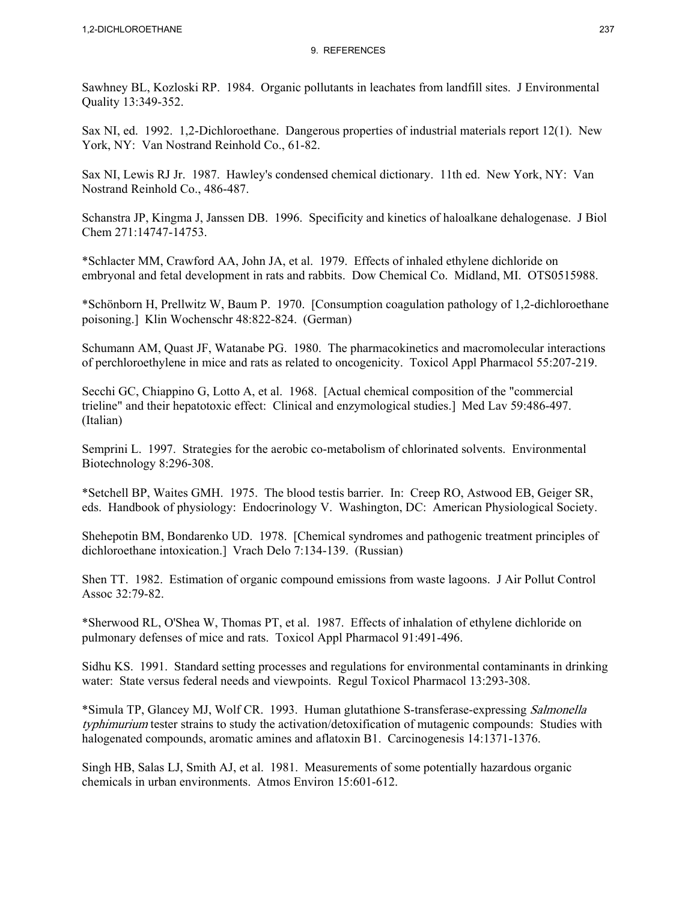Sawhney BL, Kozloski RP. 1984. Organic pollutants in leachates from landfill sites. J Environmental Quality 13:349-352.

Sax NI, ed. 1992. 1,2-Dichloroethane. Dangerous properties of industrial materials report 12(1). New York, NY: Van Nostrand Reinhold Co., 61-82.

Sax NI, Lewis RJ Jr. 1987. Hawley's condensed chemical dictionary. 11th ed. New York, NY: Van Nostrand Reinhold Co., 486-487.

Schanstra JP, Kingma J, Janssen DB. 1996. Specificity and kinetics of haloalkane dehalogenase. J Biol Chem 271:14747-14753.

\*Schlacter MM, Crawford AA, John JA, et al. 1979. Effects of inhaled ethylene dichloride on embryonal and fetal development in rats and rabbits. Dow Chemical Co. Midland, MI. OTS0515988.

\*Schönborn H, Prellwitz W, Baum P. 1970. [Consumption coagulation pathology of 1,2-dichloroethane poisoning.] Klin Wochenschr 48:822-824. (German)

Schumann AM, Quast JF, Watanabe PG. 1980. The pharmacokinetics and macromolecular interactions of perchloroethylene in mice and rats as related to oncogenicity. Toxicol Appl Pharmacol 55:207-219.

Secchi GC, Chiappino G, Lotto A, et al. 1968. [Actual chemical composition of the "commercial trieline" and their hepatotoxic effect: Clinical and enzymological studies.] Med Lav 59:486-497. (Italian)

Semprini L. 1997. Strategies for the aerobic co-metabolism of chlorinated solvents. Environmental Biotechnology 8:296-308.

\*Setchell BP, Waites GMH. 1975. The blood testis barrier. In: Creep RO, Astwood EB, Geiger SR, eds. Handbook of physiology: Endocrinology V. Washington, DC: American Physiological Society.

Shehepotin BM, Bondarenko UD. 1978. [Chemical syndromes and pathogenic treatment principles of dichloroethane intoxication.] Vrach Delo 7:134-139. (Russian)

Shen TT. 1982. Estimation of organic compound emissions from waste lagoons. J Air Pollut Control Assoc 32:79-82.

\*Sherwood RL, O'Shea W, Thomas PT, et al. 1987. Effects of inhalation of ethylene dichloride on pulmonary defenses of mice and rats. Toxicol Appl Pharmacol 91:491-496.

Sidhu KS. 1991. Standard setting processes and regulations for environmental contaminants in drinking water: State versus federal needs and viewpoints. Regul Toxicol Pharmacol 13:293-308.

\*Simula TP, Glancey MJ, Wolf CR. 1993. Human glutathione S-transferase-expressing Salmonella typhimurium tester strains to study the activation/detoxification of mutagenic compounds: Studies with halogenated compounds, aromatic amines and aflatoxin B1. Carcinogenesis 14:1371-1376.

Singh HB, Salas LJ, Smith AJ, et al. 1981. Measurements of some potentially hazardous organic chemicals in urban environments. Atmos Environ 15:601-612.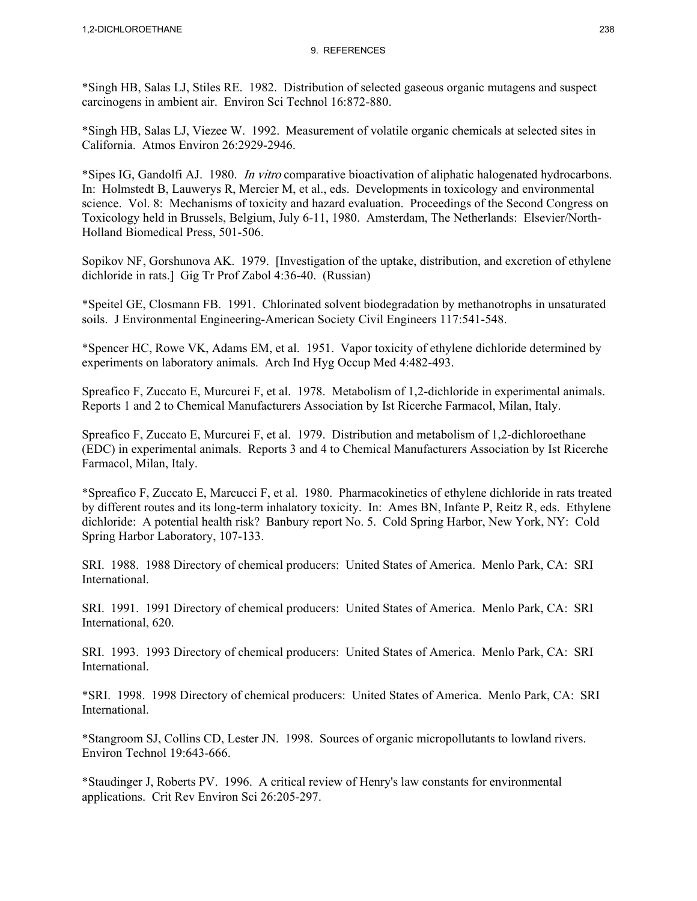\*Singh HB, Salas LJ, Stiles RE. 1982. Distribution of selected gaseous organic mutagens and suspect carcinogens in ambient air. Environ Sci Technol 16:872-880.

\*Singh HB, Salas LJ, Viezee W. 1992. Measurement of volatile organic chemicals at selected sites in California. Atmos Environ 26:2929-2946.

\*Sipes IG, Gandolfi AJ. 1980. In vitro comparative bioactivation of aliphatic halogenated hydrocarbons. In: Holmstedt B, Lauwerys R, Mercier M, et al., eds. Developments in toxicology and environmental science. Vol. 8: Mechanisms of toxicity and hazard evaluation. Proceedings of the Second Congress on Toxicology held in Brussels, Belgium, July 6-11, 1980. Amsterdam, The Netherlands: Elsevier/North-Holland Biomedical Press, 501-506.

Sopikov NF, Gorshunova AK. 1979. [Investigation of the uptake, distribution, and excretion of ethylene dichloride in rats.] Gig Tr Prof Zabol 4:36-40. (Russian)

\*Speitel GE, Closmann FB. 1991. Chlorinated solvent biodegradation by methanotrophs in unsaturated soils. J Environmental Engineering-American Society Civil Engineers 117:541-548.

\*Spencer HC, Rowe VK, Adams EM, et al. 1951. Vapor toxicity of ethylene dichloride determined by experiments on laboratory animals. Arch Ind Hyg Occup Med 4:482-493.

Spreafico F, Zuccato E, Murcurei F, et al. 1978. Metabolism of 1,2-dichloride in experimental animals. Reports 1 and 2 to Chemical Manufacturers Association by Ist Ricerche Farmacol, Milan, Italy.

Spreafico F, Zuccato E, Murcurei F, et al. 1979. Distribution and metabolism of 1,2-dichloroethane (EDC) in experimental animals. Reports 3 and 4 to Chemical Manufacturers Association by Ist Ricerche Farmacol, Milan, Italy.

\*Spreafico F, Zuccato E, Marcucci F, et al. 1980. Pharmacokinetics of ethylene dichloride in rats treated by different routes and its long-term inhalatory toxicity. In: Ames BN, Infante P, Reitz R, eds. Ethylene dichloride: A potential health risk? Banbury report No. 5. Cold Spring Harbor, New York, NY: Cold Spring Harbor Laboratory, 107-133.

SRI. 1988. 1988 Directory of chemical producers: United States of America. Menlo Park, CA: SRI International.

SRI. 1991. 1991 Directory of chemical producers: United States of America. Menlo Park, CA: SRI International, 620.

SRI. 1993. 1993 Directory of chemical producers: United States of America. Menlo Park, CA: SRI International.

\*SRI. 1998. 1998 Directory of chemical producers: United States of America. Menlo Park, CA: SRI International.

\*Stangroom SJ, Collins CD, Lester JN. 1998. Sources of organic micropollutants to lowland rivers. Environ Technol 19:643-666.

\*Staudinger J, Roberts PV. 1996. A critical review of Henry's law constants for environmental applications. Crit Rev Environ Sci 26:205-297.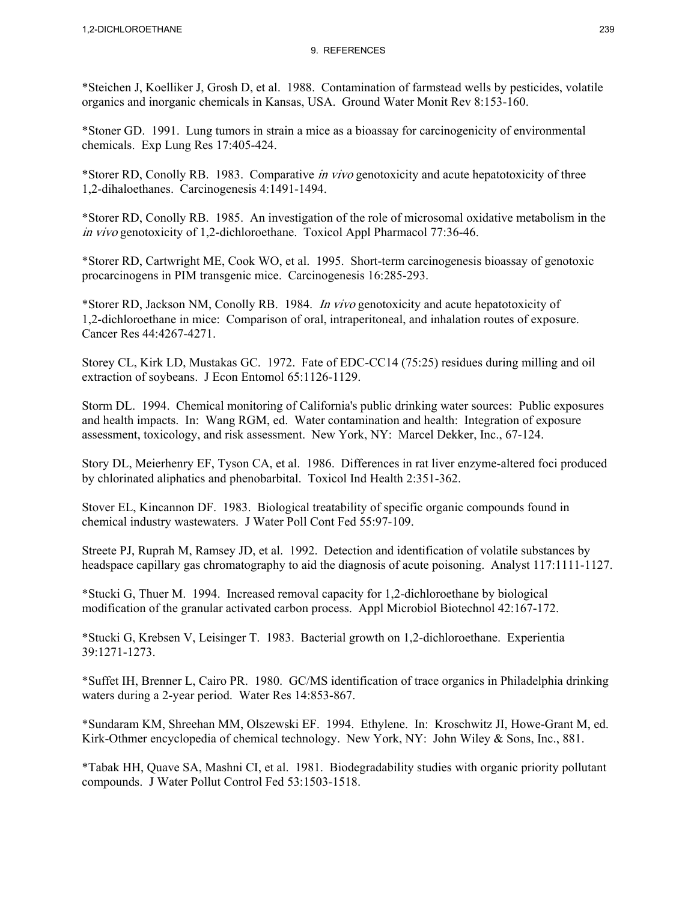\*Steichen J, Koelliker J, Grosh D, et al. 1988. Contamination of farmstead wells by pesticides, volatile organics and inorganic chemicals in Kansas, USA. Ground Water Monit Rev 8:153-160.

\*Stoner GD. 1991. Lung tumors in strain a mice as a bioassay for carcinogenicity of environmental chemicals. Exp Lung Res 17:405-424.

\*Storer RD, Conolly RB. 1983. Comparative in vivo genotoxicity and acute hepatotoxicity of three 1,2-dihaloethanes. Carcinogenesis 4:1491-1494.

\*Storer RD, Conolly RB. 1985. An investigation of the role of microsomal oxidative metabolism in the in vivo genotoxicity of 1,2-dichloroethane. Toxicol Appl Pharmacol 77:36-46.

\*Storer RD, Cartwright ME, Cook WO, et al. 1995. Short-term carcinogenesis bioassay of genotoxic procarcinogens in PIM transgenic mice. Carcinogenesis 16:285-293.

\*Storer RD, Jackson NM, Conolly RB. 1984. In vivo genotoxicity and acute hepatotoxicity of 1,2-dichloroethane in mice: Comparison of oral, intraperitoneal, and inhalation routes of exposure. Cancer Res 44:4267-4271.

Storey CL, Kirk LD, Mustakas GC. 1972. Fate of EDC-CC14 (75:25) residues during milling and oil extraction of soybeans. J Econ Entomol 65:1126-1129.

Storm DL. 1994. Chemical monitoring of California's public drinking water sources: Public exposures and health impacts. In: Wang RGM, ed. Water contamination and health: Integration of exposure assessment, toxicology, and risk assessment. New York, NY: Marcel Dekker, Inc., 67-124.

Story DL, Meierhenry EF, Tyson CA, et al. 1986. Differences in rat liver enzyme-altered foci produced by chlorinated aliphatics and phenobarbital. Toxicol Ind Health 2:351-362.

Stover EL, Kincannon DF. 1983. Biological treatability of specific organic compounds found in chemical industry wastewaters. J Water Poll Cont Fed 55:97-109.

Streete PJ, Ruprah M, Ramsey JD, et al. 1992. Detection and identification of volatile substances by headspace capillary gas chromatography to aid the diagnosis of acute poisoning. Analyst 117:1111-1127.

\*Stucki G, Thuer M. 1994. Increased removal capacity for 1,2-dichloroethane by biological modification of the granular activated carbon process. Appl Microbiol Biotechnol 42:167-172.

\*Stucki G, Krebsen V, Leisinger T. 1983. Bacterial growth on 1,2-dichloroethane. Experientia 39:1271-1273.

\*Suffet IH, Brenner L, Cairo PR. 1980. GC/MS identification of trace organics in Philadelphia drinking waters during a 2-year period. Water Res 14:853-867.

\*Sundaram KM, Shreehan MM, Olszewski EF. 1994. Ethylene. In: Kroschwitz JI, Howe-Grant M, ed. Kirk-Othmer encyclopedia of chemical technology. New York, NY: John Wiley & Sons, Inc., 881.

\*Tabak HH, Quave SA, Mashni CI, et al. 1981. Biodegradability studies with organic priority pollutant compounds. J Water Pollut Control Fed 53:1503-1518.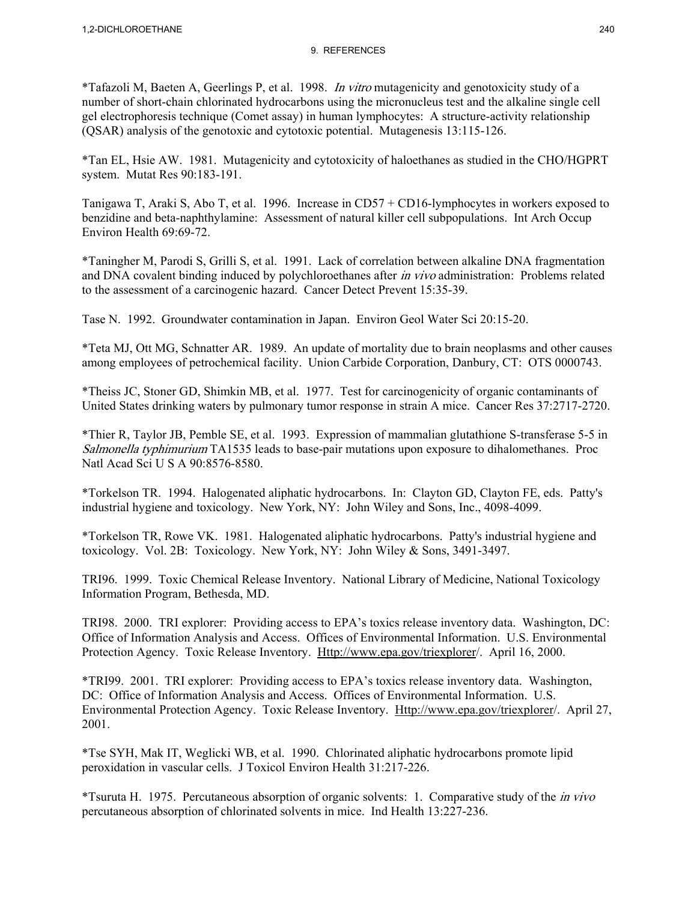\*Tafazoli M, Baeten A, Geerlings P, et al. 1998. In vitro mutagenicity and genotoxicity study of a number of short-chain chlorinated hydrocarbons using the micronucleus test and the alkaline single cell gel electrophoresis technique (Comet assay) in human lymphocytes: A structure-activity relationship (QSAR) analysis of the genotoxic and cytotoxic potential. Mutagenesis 13:115-126.

\*Tan EL, Hsie AW. 1981. Mutagenicity and cytotoxicity of haloethanes as studied in the CHO/HGPRT system. Mutat Res 90:183-191.

Tanigawa T, Araki S, Abo T, et al. 1996. Increase in CD57 + CD16-lymphocytes in workers exposed to benzidine and beta-naphthylamine: Assessment of natural killer cell subpopulations. Int Arch Occup Environ Health 69:69-72.

\*Taningher M, Parodi S, Grilli S, et al. 1991. Lack of correlation between alkaline DNA fragmentation and DNA covalent binding induced by polychloroethanes after *in vivo* administration: Problems related to the assessment of a carcinogenic hazard. Cancer Detect Prevent 15:35-39.

Tase N. 1992. Groundwater contamination in Japan. Environ Geol Water Sci 20:15-20.

\*Teta MJ, Ott MG, Schnatter AR. 1989. An update of mortality due to brain neoplasms and other causes among employees of petrochemical facility. Union Carbide Corporation, Danbury, CT: OTS 0000743.

\*Theiss JC, Stoner GD, Shimkin MB, et al. 1977. Test for carcinogenicity of organic contaminants of United States drinking waters by pulmonary tumor response in strain A mice. Cancer Res 37:2717-2720.

\*Thier R, Taylor JB, Pemble SE, et al. 1993. Expression of mammalian glutathione S-transferase 5-5 in Salmonella typhimurium TA1535 leads to base-pair mutations upon exposure to dihalomethanes. Proc Natl Acad Sci U S A 90:8576-8580.

\*Torkelson TR. 1994. Halogenated aliphatic hydrocarbons. In: Clayton GD, Clayton FE, eds. Patty's industrial hygiene and toxicology. New York, NY: John Wiley and Sons, Inc., 4098-4099.

\*Torkelson TR, Rowe VK. 1981. Halogenated aliphatic hydrocarbons. Patty's industrial hygiene and toxicology. Vol. 2B: Toxicology. New York, NY: John Wiley & Sons, 3491-3497.

TRI96. 1999. Toxic Chemical Release Inventory. National Library of Medicine, National Toxicology Information Program, Bethesda, MD.

TRI98. 2000. TRI explorer: Providing access to EPA's toxics release inventory data. Washington, DC: Office of Information Analysis and Access. Offices of Environmental Information. U.S. Environmental Protection Agency. Toxic Release Inventory. Http://www.epa.gov/triexplorer/. April 16, 2000.

\*TRI99. 2001. TRI explorer: Providing access to EPA's toxics release inventory data. Washington, DC: Office of Information Analysis and Access. Offices of Environmental Information. U.S. Environmental Protection Agency. Toxic Release Inventory. Http://www.epa.gov/triexplorer/. April 27, 2001.

\*Tse SYH, Mak IT, Weglicki WB, et al. 1990. Chlorinated aliphatic hydrocarbons promote lipid peroxidation in vascular cells. J Toxicol Environ Health 31:217-226.

\*Tsuruta H. 1975. Percutaneous absorption of organic solvents: 1. Comparative study of the in vivo percutaneous absorption of chlorinated solvents in mice. Ind Health 13:227-236.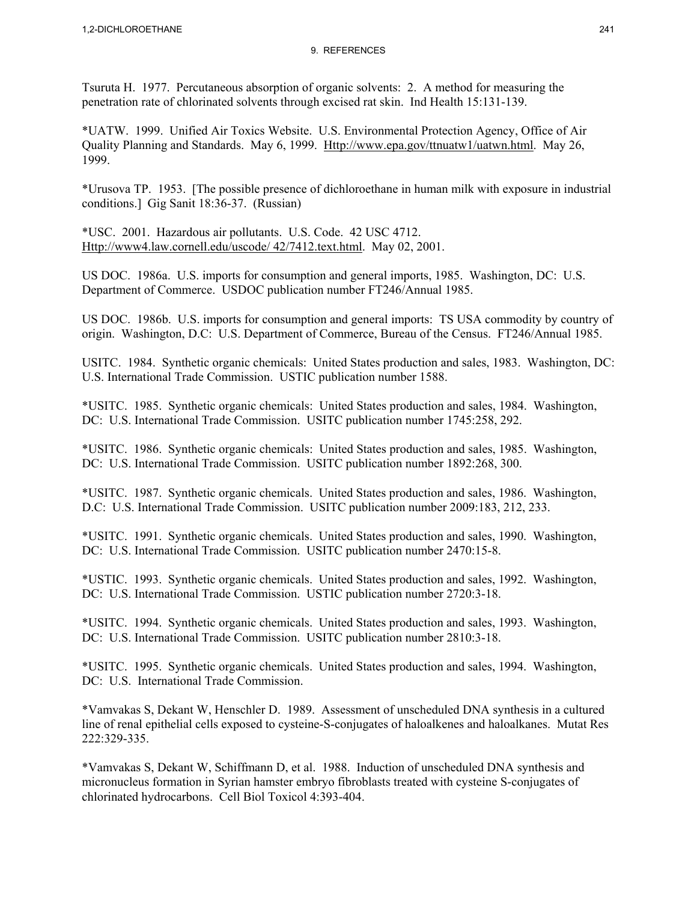Tsuruta H. 1977. Percutaneous absorption of organic solvents: 2. A method for measuring the penetration rate of chlorinated solvents through excised rat skin. Ind Health 15:131-139.

\*UATW. 1999. Unified Air Toxics Website. U.S. Environmental Protection Agency, Office of Air Quality Planning and Standards. May 6, 1999. Http://www.epa.gov/ttnuatw1/uatwn.html. May 26, 1999.

\*Urusova TP. 1953. [The possible presence of dichloroethane in human milk with exposure in industrial conditions.] Gig Sanit 18:36-37. (Russian)

\*USC. 2001. Hazardous air pollutants. U.S. Code. 42 USC 4712. Http://www4.law.cornell.edu/uscode/ 42/7412.text.html. May 02, 2001.

US DOC. 1986a. U.S. imports for consumption and general imports, 1985. Washington, DC: U.S. Department of Commerce. USDOC publication number FT246/Annual 1985.

US DOC. 1986b. U.S. imports for consumption and general imports: TS USA commodity by country of origin. Washington, D.C: U.S. Department of Commerce, Bureau of the Census. FT246/Annual 1985.

USITC. 1984. Synthetic organic chemicals: United States production and sales, 1983. Washington, DC: U.S. International Trade Commission. USTIC publication number 1588.

\*USITC. 1985. Synthetic organic chemicals: United States production and sales, 1984. Washington, DC: U.S. International Trade Commission. USITC publication number 1745:258, 292.

\*USITC. 1986. Synthetic organic chemicals: United States production and sales, 1985. Washington, DC: U.S. International Trade Commission. USITC publication number 1892:268, 300.

\*USITC. 1987. Synthetic organic chemicals. United States production and sales, 1986. Washington, D.C: U.S. International Trade Commission. USITC publication number 2009:183, 212, 233.

\*USITC. 1991. Synthetic organic chemicals. United States production and sales, 1990. Washington, DC: U.S. International Trade Commission. USITC publication number 2470:15-8.

\*USTIC. 1993. Synthetic organic chemicals. United States production and sales, 1992. Washington, DC: U.S. International Trade Commission. USTIC publication number 2720:3-18.

\*USITC. 1994. Synthetic organic chemicals. United States production and sales, 1993. Washington, DC: U.S. International Trade Commission. USITC publication number 2810:3-18.

\*USITC. 1995. Synthetic organic chemicals. United States production and sales, 1994. Washington, DC: U.S. International Trade Commission.

\*Vamvakas S, Dekant W, Henschler D. 1989. Assessment of unscheduled DNA synthesis in a cultured line of renal epithelial cells exposed to cysteine-S-conjugates of haloalkenes and haloalkanes. Mutat Res 222:329-335.

\*Vamvakas S, Dekant W, Schiffmann D, et al. 1988. Induction of unscheduled DNA synthesis and micronucleus formation in Syrian hamster embryo fibroblasts treated with cysteine S-conjugates of chlorinated hydrocarbons. Cell Biol Toxicol 4:393-404.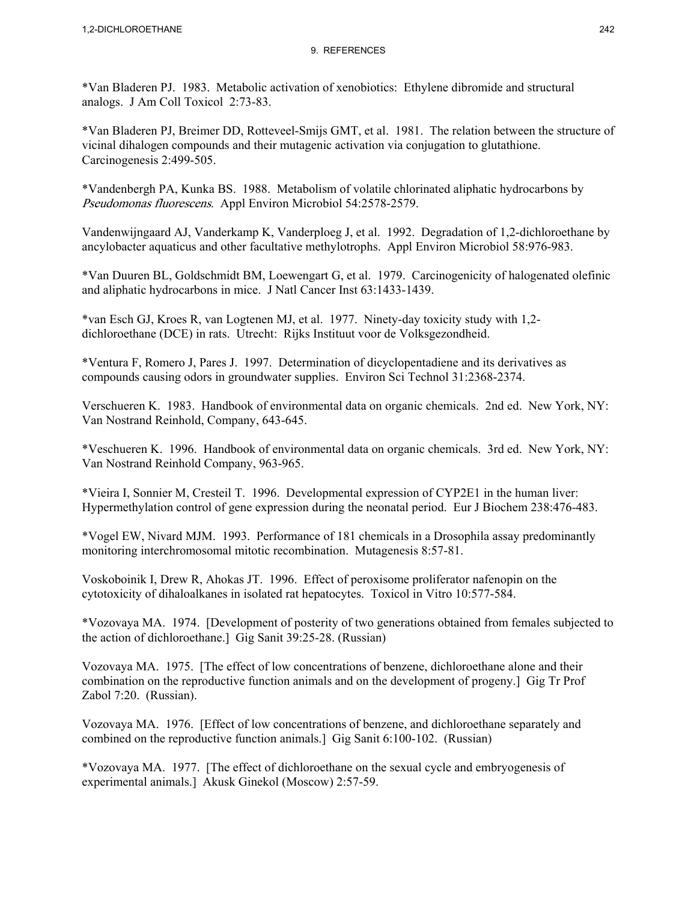\*Van Bladeren PJ. 1983. Metabolic activation of xenobiotics: Ethylene dibromide and structural analogs. J Am Coll Toxicol 2:73-83.

\*Van Bladeren PJ, Breimer DD, Rotteveel-Smijs GMT, et al. 1981. The relation between the structure of vicinal dihalogen compounds and their mutagenic activation via conjugation to glutathione. Carcinogenesis 2:499-505.

\*Vandenbergh PA, Kunka BS. 1988. Metabolism of volatile chlorinated aliphatic hydrocarbons by Pseudomonas fluorescens. Appl Environ Microbiol 54:2578-2579.

Vandenwijngaard AJ, Vanderkamp K, Vanderploeg J, et al. 1992. Degradation of 1,2-dichloroethane by ancylobacter aquaticus and other facultative methylotrophs. Appl Environ Microbiol 58:976-983.

\*Van Duuren BL, Goldschmidt BM, Loewengart G, et al. 1979. Carcinogenicity of halogenated olefinic and aliphatic hydrocarbons in mice. J Natl Cancer Inst 63:1433-1439.

\*van Esch GJ, Kroes R, van Logtenen MJ, et al. 1977. Ninety-day toxicity study with 1,2 dichloroethane (DCE) in rats. Utrecht: Rijks Instituut voor de Volksgezondheid.

\*Ventura F, Romero J, Pares J. 1997. Determination of dicyclopentadiene and its derivatives as compounds causing odors in groundwater supplies. Environ Sci Technol 31:2368-2374.

Verschueren K. 1983. Handbook of environmental data on organic chemicals. 2nd ed. New York, NY: Van Nostrand Reinhold, Company, 643-645.

\*Veschueren K. 1996. Handbook of environmental data on organic chemicals. 3rd ed. New York, NY: Van Nostrand Reinhold Company, 963-965.

\*Vieira I, Sonnier M, Cresteil T. 1996. Developmental expression of CYP2E1 in the human liver: Hypermethylation control of gene expression during the neonatal period. Eur J Biochem 238:476-483.

\*Vogel EW, Nivard MJM. 1993. Performance of 181 chemicals in a Drosophila assay predominantly monitoring interchromosomal mitotic recombination. Mutagenesis 8:57-81.

Voskoboinik I, Drew R, Ahokas JT. 1996. Effect of peroxisome proliferator nafenopin on the cytotoxicity of dihaloalkanes in isolated rat hepatocytes. Toxicol in Vitro 10:577-584.

\*Vozovaya MA. 1974. [Development of posterity of two generations obtained from females subjected to the action of dichloroethane.] Gig Sanit 39:25-28. (Russian)

Vozovaya MA. 1975. [The effect of low concentrations of benzene, dichloroethane alone and their combination on the reproductive function animals and on the development of progeny.] Gig Tr Prof Zabol 7:20. (Russian).

Vozovaya MA. 1976. [Effect of low concentrations of benzene, and dichloroethane separately and combined on the reproductive function animals.] Gig Sanit 6:100-102. (Russian)

\*Vozovaya MA. 1977. [The effect of dichloroethane on the sexual cycle and embryogenesis of experimental animals.] Akusk Ginekol (Moscow) 2:57-59.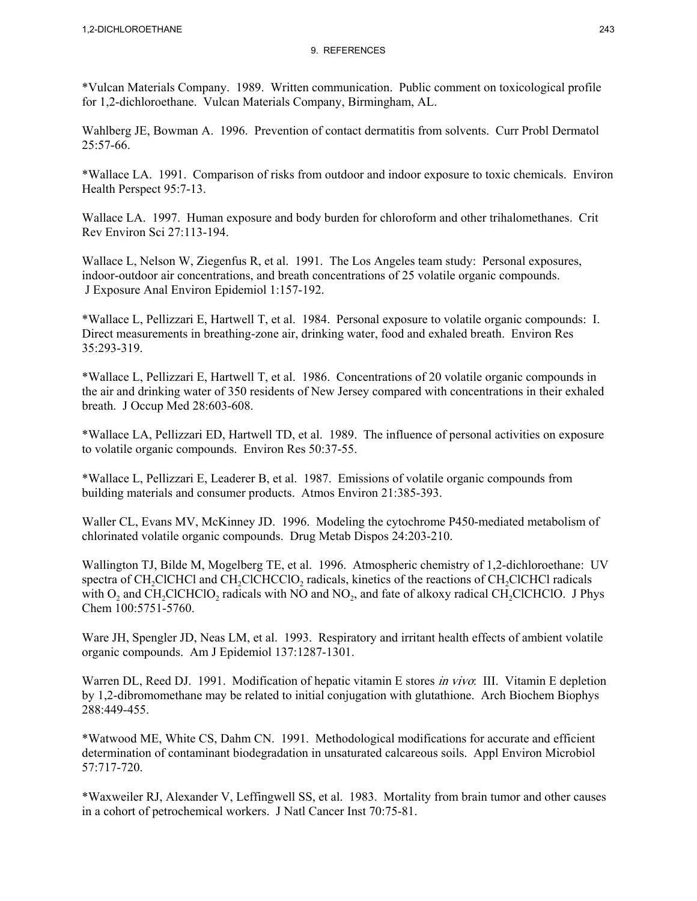\*Vulcan Materials Company. 1989. Written communication. Public comment on toxicological profile for 1,2-dichloroethane. Vulcan Materials Company, Birmingham, AL.

Wahlberg JE, Bowman A. 1996. Prevention of contact dermatitis from solvents. Curr Probl Dermatol 25:57-66.

\*Wallace LA. 1991. Comparison of risks from outdoor and indoor exposure to toxic chemicals. Environ Health Perspect 95:7-13.

Wallace LA. 1997. Human exposure and body burden for chloroform and other trihalomethanes. Crit Rev Environ Sci 27:113-194.

Wallace L, Nelson W, Ziegenfus R, et al. 1991. The Los Angeles team study: Personal exposures, indoor-outdoor air concentrations, and breath concentrations of 25 volatile organic compounds. J Exposure Anal Environ Epidemiol 1:157-192.

\*Wallace L, Pellizzari E, Hartwell T, et al. 1984. Personal exposure to volatile organic compounds: I. Direct measurements in breathing-zone air, drinking water, food and exhaled breath. Environ Res 35:293-319.

\*Wallace L, Pellizzari E, Hartwell T, et al. 1986. Concentrations of 20 volatile organic compounds in the air and drinking water of 350 residents of New Jersey compared with concentrations in their exhaled breath. J Occup Med 28:603-608.

\*Wallace LA, Pellizzari ED, Hartwell TD, et al. 1989. The influence of personal activities on exposure to volatile organic compounds. Environ Res 50:37-55.

\*Wallace L, Pellizzari E, Leaderer B, et al. 1987. Emissions of volatile organic compounds from building materials and consumer products. Atmos Environ 21:385-393.

Waller CL, Evans MV, McKinney JD. 1996. Modeling the cytochrome P450-mediated metabolism of chlorinated volatile organic compounds. Drug Metab Dispos 24:203-210.

Wallington TJ, Bilde M, Mogelberg TE, et al. 1996. Atmospheric chemistry of 1,2-dichloroethane: UV spectra of CH<sub>2</sub>ClCHCl and CH<sub>2</sub>ClCHCClO<sub>2</sub> radicals, kinetics of the reactions of CH<sub>2</sub>ClCHCl radicals with  $O_2$  and CH<sub>2</sub>ClCHClO<sub>2</sub> radicals with NO and NO<sub>2</sub>, and fate of alkoxy radical CH<sub>2</sub>ClCHClO. J Phys Chem 100:5751-5760.

Ware JH, Spengler JD, Neas LM, et al. 1993. Respiratory and irritant health effects of ambient volatile organic compounds. Am J Epidemiol 137:1287-1301.

Warren DL, Reed DJ. 1991. Modification of hepatic vitamin E stores *in vivo*: III. Vitamin E depletion by 1,2-dibromomethane may be related to initial conjugation with glutathione. Arch Biochem Biophys 288:449-455.

\*Watwood ME, White CS, Dahm CN. 1991. Methodological modifications for accurate and efficient determination of contaminant biodegradation in unsaturated calcareous soils. Appl Environ Microbiol 57:717-720.

\*Waxweiler RJ, Alexander V, Leffingwell SS, et al. 1983. Mortality from brain tumor and other causes in a cohort of petrochemical workers. J Natl Cancer Inst 70:75-81.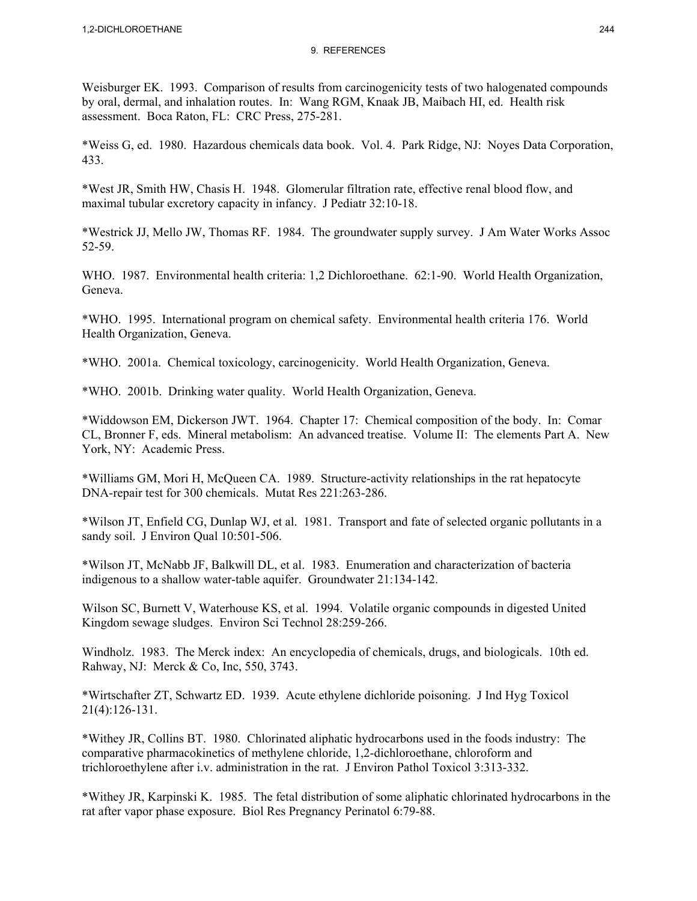Weisburger EK. 1993. Comparison of results from carcinogenicity tests of two halogenated compounds by oral, dermal, and inhalation routes. In: Wang RGM, Knaak JB, Maibach HI, ed. Health risk assessment. Boca Raton, FL: CRC Press, 275-281.

\*Weiss G, ed. 1980. Hazardous chemicals data book. Vol. 4. Park Ridge, NJ: Noyes Data Corporation, 433.

\*West JR, Smith HW, Chasis H. 1948. Glomerular filtration rate, effective renal blood flow, and maximal tubular excretory capacity in infancy. J Pediatr 32:10-18.

\*Westrick JJ, Mello JW, Thomas RF. 1984. The groundwater supply survey. J Am Water Works Assoc 52-59.

WHO. 1987. Environmental health criteria: 1,2 Dichloroethane. 62:1-90. World Health Organization, Geneva.

\*WHO. 1995. International program on chemical safety. Environmental health criteria 176. World Health Organization, Geneva.

\*WHO. 2001a. Chemical toxicology, carcinogenicity. World Health Organization, Geneva.

\*WHO. 2001b. Drinking water quality. World Health Organization, Geneva.

\*Widdowson EM, Dickerson JWT. 1964. Chapter 17: Chemical composition of the body. In: Comar CL, Bronner F, eds. Mineral metabolism: An advanced treatise. Volume II: The elements Part A. New York, NY: Academic Press.

\*Williams GM, Mori H, McQueen CA. 1989. Structure-activity relationships in the rat hepatocyte DNA-repair test for 300 chemicals. Mutat Res 221:263-286.

\*Wilson JT, Enfield CG, Dunlap WJ, et al. 1981. Transport and fate of selected organic pollutants in a sandy soil. J Environ Qual 10:501-506.

\*Wilson JT, McNabb JF, Balkwill DL, et al. 1983. Enumeration and characterization of bacteria indigenous to a shallow water-table aquifer. Groundwater 21:134-142.

Wilson SC, Burnett V, Waterhouse KS, et al. 1994. Volatile organic compounds in digested United Kingdom sewage sludges. Environ Sci Technol 28:259-266.

Windholz. 1983. The Merck index: An encyclopedia of chemicals, drugs, and biologicals. 10th ed. Rahway, NJ: Merck & Co, Inc, 550, 3743.

\*Wirtschafter ZT, Schwartz ED. 1939. Acute ethylene dichloride poisoning. J Ind Hyg Toxicol 21(4):126-131.

\*Withey JR, Collins BT. 1980. Chlorinated aliphatic hydrocarbons used in the foods industry: The comparative pharmacokinetics of methylene chloride, 1,2-dichloroethane, chloroform and trichloroethylene after i.v. administration in the rat. J Environ Pathol Toxicol 3:313-332.

\*Withey JR, Karpinski K. 1985. The fetal distribution of some aliphatic chlorinated hydrocarbons in the rat after vapor phase exposure. Biol Res Pregnancy Perinatol 6:79-88.